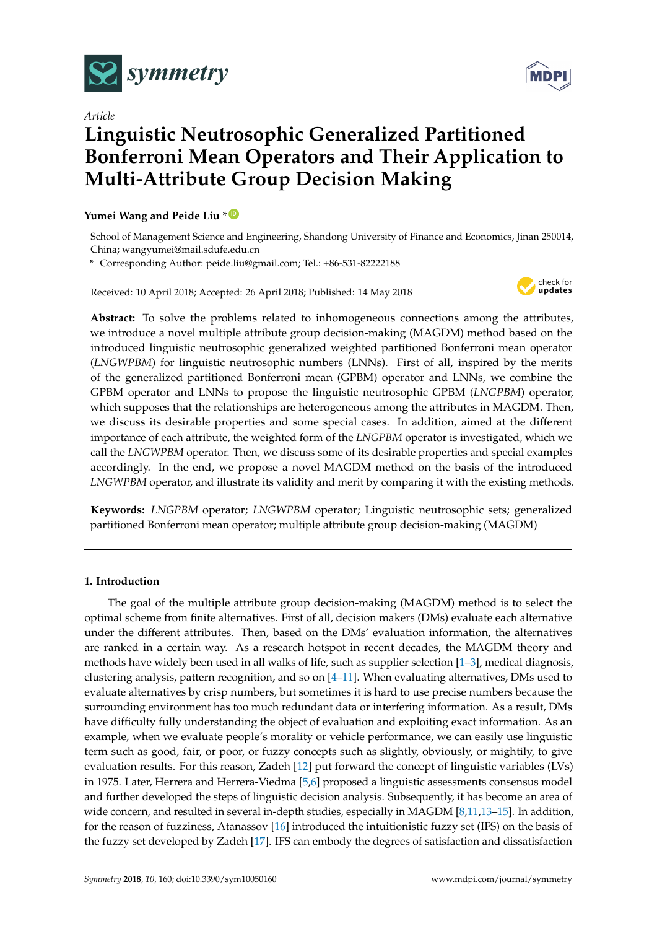

*Article*

# **Linguistic Neutrosophic Generalized Partitioned Bonferroni Mean Operators and Their Application to Multi-Attribute Group Decision Making**

## **Yumei Wang and Peide Liu \* [ID](https://orcid.org/0000-0001-5048-8145)**

School of Management Science and Engineering, Shandong University of Finance and Economics, Jinan 250014, China; wangyumei@mail.sdufe.edu.cn

**\*** Corresponding Author: peide.liu@gmail.com; Tel.: +86-531-82222188

Received: 10 April 2018; Accepted: 26 April 2018; Published: 14 May 2018



**Abstract:** To solve the problems related to inhomogeneous connections among the attributes, we introduce a novel multiple attribute group decision-making (MAGDM) method based on the introduced linguistic neutrosophic generalized weighted partitioned Bonferroni mean operator (*LNGWPBM*) for linguistic neutrosophic numbers (LNNs). First of all, inspired by the merits of the generalized partitioned Bonferroni mean (GPBM) operator and LNNs, we combine the GPBM operator and LNNs to propose the linguistic neutrosophic GPBM (*LNGPBM*) operator, which supposes that the relationships are heterogeneous among the attributes in MAGDM. Then, we discuss its desirable properties and some special cases. In addition, aimed at the different importance of each attribute, the weighted form of the *LNGPBM* operator is investigated, which we call the *LNGWPBM* operator. Then, we discuss some of its desirable properties and special examples accordingly. In the end, we propose a novel MAGDM method on the basis of the introduced *LNGWPBM* operator, and illustrate its validity and merit by comparing it with the existing methods.

**Keywords:** *LNGPBM* operator; *LNGWPBM* operator; Linguistic neutrosophic sets; generalized partitioned Bonferroni mean operator; multiple attribute group decision-making (MAGDM)

# **1. Introduction**

The goal of the multiple attribute group decision-making (MAGDM) method is to select the optimal scheme from finite alternatives. First of all, decision makers (DMs) evaluate each alternative under the different attributes. Then, based on the DMs' evaluation information, the alternatives are ranked in a certain way. As a research hotspot in recent decades, the MAGDM theory and methods have widely been used in all walks of life, such as supplier selection [\[1](#page-32-0)[–3\]](#page-32-1), medical diagnosis, clustering analysis, pattern recognition, and so on [\[4](#page-32-2)[–11\]](#page-33-0). When evaluating alternatives, DMs used to evaluate alternatives by crisp numbers, but sometimes it is hard to use precise numbers because the surrounding environment has too much redundant data or interfering information. As a result, DMs have difficulty fully understanding the object of evaluation and exploiting exact information. As an example, when we evaluate people's morality or vehicle performance, we can easily use linguistic term such as good, fair, or poor, or fuzzy concepts such as slightly, obviously, or mightily, to give evaluation results. For this reason, Zadeh [\[12\]](#page-33-1) put forward the concept of linguistic variables (LVs) in 1975. Later, Herrera and Herrera-Viedma [\[5](#page-32-3)[,6\]](#page-32-4) proposed a linguistic assessments consensus model and further developed the steps of linguistic decision analysis. Subsequently, it has become an area of wide concern, and resulted in several in-depth studies, especially in MAGDM [\[8,](#page-33-2)[11,](#page-33-0)[13–](#page-33-3)[15\]](#page-33-4). In addition, for the reason of fuzziness, Atanassov [\[16\]](#page-33-5) introduced the intuitionistic fuzzy set (IFS) on the basis of the fuzzy set developed by Zadeh [\[17\]](#page-33-6). IFS can embody the degrees of satisfaction and dissatisfaction

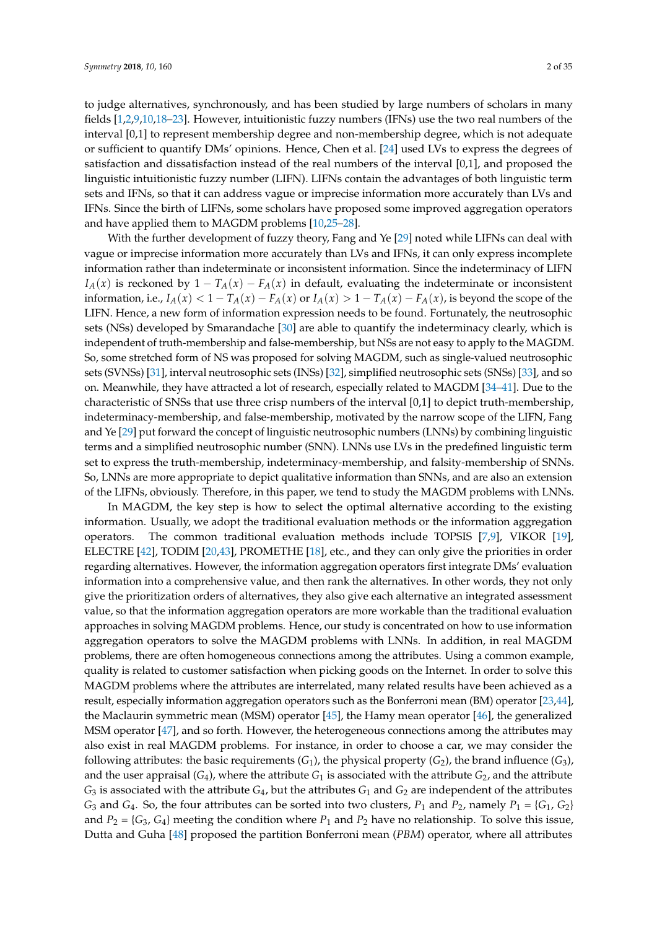to judge alternatives, synchronously, and has been studied by large numbers of scholars in many fields [\[1](#page-32-0)[,2](#page-32-5)[,9](#page-33-7)[,10](#page-33-8)[,18](#page-33-9)[–23\]](#page-33-10). However, intuitionistic fuzzy numbers (IFNs) use the two real numbers of the interval [0,1] to represent membership degree and non-membership degree, which is not adequate or sufficient to quantify DMs' opinions. Hence, Chen et al. [\[24\]](#page-33-11) used LVs to express the degrees of satisfaction and dissatisfaction instead of the real numbers of the interval [0,1], and proposed the linguistic intuitionistic fuzzy number (LIFN). LIFNs contain the advantages of both linguistic term sets and IFNs, so that it can address vague or imprecise information more accurately than LVs and IFNs. Since the birth of LIFNs, some scholars have proposed some improved aggregation operators and have applied them to MAGDM problems [\[10,](#page-33-8)[25–](#page-33-12)[28\]](#page-33-13).

With the further development of fuzzy theory, Fang and Ye [\[29\]](#page-33-14) noted while LIFNs can deal with vague or imprecise information more accurately than LVs and IFNs, it can only express incomplete information rather than indeterminate or inconsistent information. Since the indeterminacy of LIFN *I*<sub>*A*</sub>(*x*) is reckoned by 1 – *T*<sub>*A*</sub>(*x*) – *F<sub><i>A*</sub>(*x*) in default, evaluating the indeterminate or inconsistent information, i.e.,  $I_A(x) < 1 - T_A(x) - F_A(x)$  or  $I_A(x) > 1 - T_A(x) - F_A(x)$ , is beyond the scope of the LIFN. Hence, a new form of information expression needs to be found. Fortunately, the neutrosophic sets (NSs) developed by Smarandache [\[30\]](#page-33-15) are able to quantify the indeterminacy clearly, which is independent of truth-membership and false-membership, but NSs are not easy to apply to the MAGDM. So, some stretched form of NS was proposed for solving MAGDM, such as single-valued neutrosophic sets (SVNSs) [\[31\]](#page-33-16), interval neutrosophic sets (INSs) [\[32\]](#page-33-17), simplified neutrosophic sets (SNSs) [\[33\]](#page-33-18), and so on. Meanwhile, they have attracted a lot of research, especially related to MAGDM [\[34–](#page-34-0)[41\]](#page-34-1). Due to the characteristic of SNSs that use three crisp numbers of the interval [0,1] to depict truth-membership, indeterminacy-membership, and false-membership, motivated by the narrow scope of the LIFN, Fang and Ye [\[29\]](#page-33-14) put forward the concept of linguistic neutrosophic numbers (LNNs) by combining linguistic terms and a simplified neutrosophic number (SNN). LNNs use LVs in the predefined linguistic term set to express the truth-membership, indeterminacy-membership, and falsity-membership of SNNs. So, LNNs are more appropriate to depict qualitative information than SNNs, and are also an extension of the LIFNs, obviously. Therefore, in this paper, we tend to study the MAGDM problems with LNNs.

In MAGDM, the key step is how to select the optimal alternative according to the existing information. Usually, we adopt the traditional evaluation methods or the information aggregation operators. The common traditional evaluation methods include TOPSIS [\[7,](#page-33-19)[9\]](#page-33-7), VIKOR [\[19\]](#page-33-20), ELECTRE [\[42\]](#page-34-2), TODIM [\[20](#page-33-21)[,43\]](#page-34-3), PROMETHE [\[18\]](#page-33-9), etc., and they can only give the priorities in order regarding alternatives. However, the information aggregation operators first integrate DMs' evaluation information into a comprehensive value, and then rank the alternatives. In other words, they not only give the prioritization orders of alternatives, they also give each alternative an integrated assessment value, so that the information aggregation operators are more workable than the traditional evaluation approaches in solving MAGDM problems. Hence, our study is concentrated on how to use information aggregation operators to solve the MAGDM problems with LNNs. In addition, in real MAGDM problems, there are often homogeneous connections among the attributes. Using a common example, quality is related to customer satisfaction when picking goods on the Internet. In order to solve this MAGDM problems where the attributes are interrelated, many related results have been achieved as a result, especially information aggregation operators such as the Bonferroni mean (BM) operator [\[23](#page-33-10)[,44\]](#page-34-4), the Maclaurin symmetric mean (MSM) operator [\[45\]](#page-34-5), the Hamy mean operator [\[46\]](#page-34-6), the generalized MSM operator [\[47\]](#page-34-7), and so forth. However, the heterogeneous connections among the attributes may also exist in real MAGDM problems. For instance, in order to choose a car, we may consider the following attributes: the basic requirements  $(G_1)$ , the physical property  $(G_2)$ , the brand influence  $(G_3)$ , and the user appraisal  $(G_4)$ , where the attribute  $G_1$  is associated with the attribute  $G_2$ , and the attribute  $G_3$  is associated with the attribute  $G_4$ , but the attributes  $G_1$  and  $G_2$  are independent of the attributes *G*<sub>3</sub> and *G*<sub>4</sub>. So, the four attributes can be sorted into two clusters,  $P_1$  and  $P_2$ , namely  $P_1 = \{G_1, G_2\}$ and  $P_2 = \{G_3, G_4\}$  meeting the condition where  $P_1$  and  $P_2$  have no relationship. To solve this issue, Dutta and Guha [\[48\]](#page-34-8) proposed the partition Bonferroni mean (*PBM*) operator, where all attributes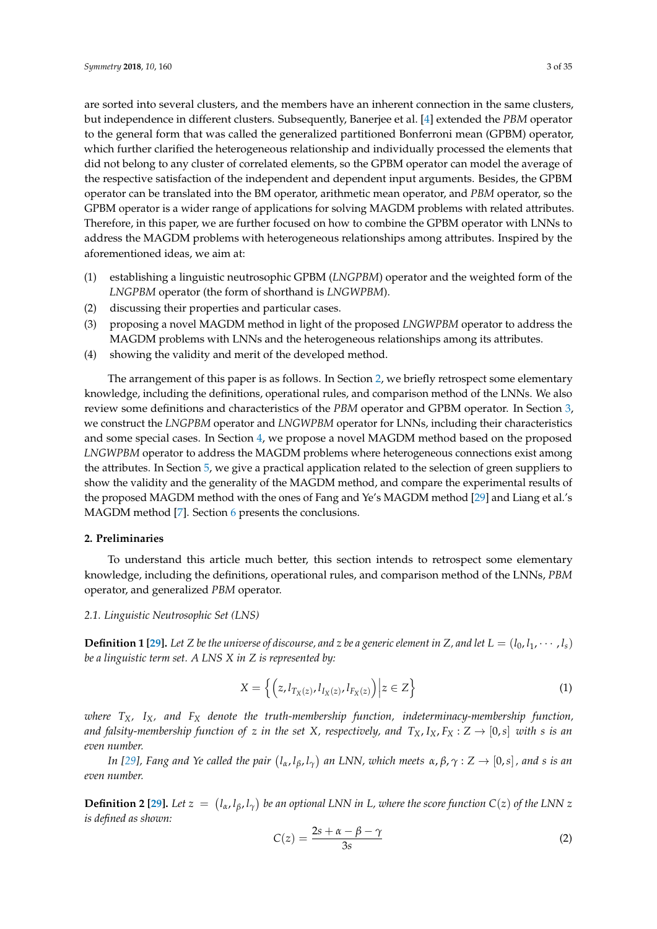are sorted into several clusters, and the members have an inherent connection in the same clusters, but independence in different clusters. Subsequently, Banerjee et al. [\[4\]](#page-32-2) extended the *PBM* operator to the general form that was called the generalized partitioned Bonferroni mean (GPBM) operator, which further clarified the heterogeneous relationship and individually processed the elements that did not belong to any cluster of correlated elements, so the GPBM operator can model the average of the respective satisfaction of the independent and dependent input arguments. Besides, the GPBM operator can be translated into the BM operator, arithmetic mean operator, and *PBM* operator, so the GPBM operator is a wider range of applications for solving MAGDM problems with related attributes. Therefore, in this paper, we are further focused on how to combine the GPBM operator with LNNs to address the MAGDM problems with heterogeneous relationships among attributes. Inspired by the aforementioned ideas, we aim at:

- (1) establishing a linguistic neutrosophic GPBM (*LNGPBM*) operator and the weighted form of the *LNGPBM* operator (the form of shorthand is *LNGWPBM*).
- (2) discussing their properties and particular cases.
- (3) proposing a novel MAGDM method in light of the proposed *LNGWPBM* operator to address the MAGDM problems with LNNs and the heterogeneous relationships among its attributes.
- (4) showing the validity and merit of the developed method.

The arrangement of this paper is as follows. In Section [2,](#page-2-0) we briefly retrospect some elementary knowledge, including the definitions, operational rules, and comparison method of the LNNs. We also review some definitions and characteristics of the *PBM* operator and GPBM operator. In Section [3,](#page-5-0) we construct the *LNGPBM* operator and *LNGWPBM* operator for LNNs, including their characteristics and some special cases. In Section [4,](#page-23-0) we propose a novel MAGDM method based on the proposed *LNGWPBM* operator to address the MAGDM problems where heterogeneous connections exist among the attributes. In Section [5,](#page-24-0) we give a practical application related to the selection of green suppliers to show the validity and the generality of the MAGDM method, and compare the experimental results of the proposed MAGDM method with the ones of Fang and Ye's MAGDM method [\[29\]](#page-33-14) and Liang et al.'s MAGDM method [\[7\]](#page-33-19). Section [6](#page-32-6) presents the conclusions.

#### <span id="page-2-0"></span>**2. Preliminaries**

To understand this article much better, this section intends to retrospect some elementary knowledge, including the definitions, operational rules, and comparison method of the LNNs, *PBM* operator, and generalized *PBM* operator.

## *2.1. Linguistic Neutrosophic Set (LNS)*

**Definition 1 [\[29\]](#page-33-14).** Let *Z* be the universe of discourse, and *z* be a generic element in *Z*, and let  $L = (l_0, l_1, \dots, l_s)$ *be a linguistic term set. A LNS X in Z is represented by:*

$$
X = \left\{ \left( z, l_{T_X(z)}, l_{I_X(z)}, l_{F_X(z)} \right) \middle| z \in Z \right\}
$$
 (1)

*where TX, IX, and F<sup>X</sup> denote the truth-membership function, indeterminacy-membership function, and falsity-membership function of z in the set X*, *respectively*, *and*  $T_X$ ,  $I_X$ ,  $F_X$  :  $Z \rightarrow [0, s]$  *with s is an even number.*

In [\[29\]](#page-33-14), Fang and Ye called the pair  $(l_\alpha,l_\beta,l_\gamma)$  an LNN, which meets  $\alpha,\beta,\gamma:Z\to[0,s]$  , and  $s$  is an *even number.*

**Definition 2** [\[29\]](#page-33-14). Let  $z = (l_{\alpha}, l_{\beta}, l_{\gamma})$  be an optional LNN in L, where the score function  $C(z)$  of the LNN z *is defined as shown:*

$$
C(z) = \frac{2s + \alpha - \beta - \gamma}{3s} \tag{2}
$$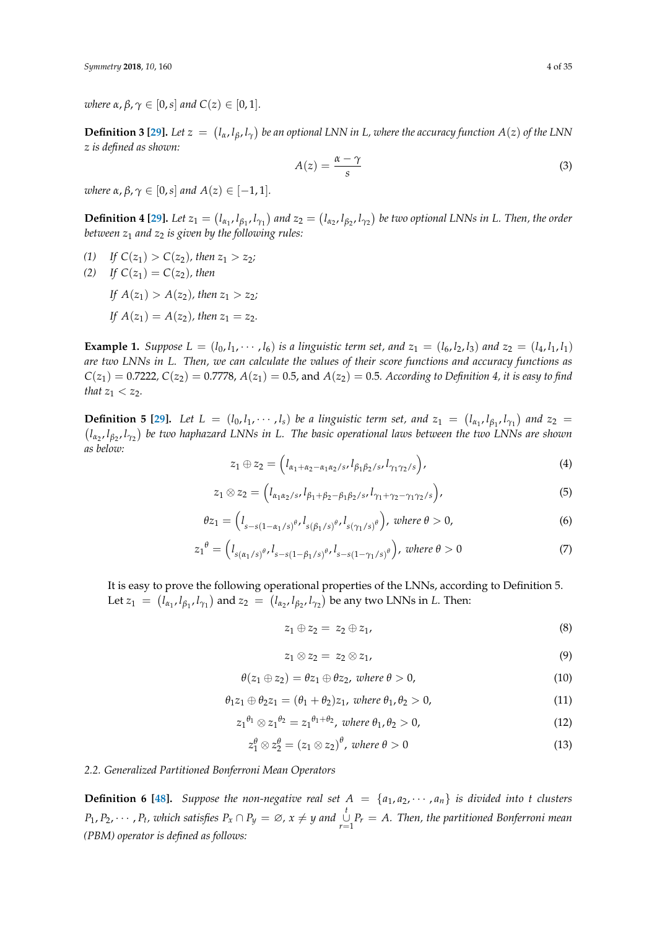*where*  $\alpha$ ,  $\beta$ ,  $\gamma \in [0, s]$  *and*  $C(z) \in [0, 1]$ *.* 

**Definition 3 [\[29\]](#page-33-14).** Let  $z = (l_\alpha, l_\beta, l_\gamma)$  be an optional LNN in L, where the accuracy function  $A(z)$  of the LNN *z is defined as shown:*

$$
A(z) = \frac{\alpha - \gamma}{s} \tag{3}
$$

*where α*, *β*,  $γ$  ∈ [0, *s*] *and*  $A(z)$  ∈ [-1, 1]*.* 

**Definition 4 [\[29\]](#page-33-14).** Let  $z_1 = (l_{\alpha_1}, l_{\beta_1}, l_{\gamma_1})$  and  $z_2 = (l_{\alpha_2}, l_{\beta_2}, l_{\gamma_2})$  be two optional LNNs in L. Then, the order *between z*<sup>1</sup> *and z*<sup>2</sup> *is given by the following rules:*

- (1) If  $C(z_1) > C(z_2)$ , then  $z_1 > z_2$ ;
- (2) *If*  $C(z_1) = C(z_2)$ *, then If*  $A(z_1) > A(z_2)$ *, then*  $z_1 > z_2$ *;* 
	- *If*  $A(z_1) = A(z_2)$ *, then*  $z_1 = z_2$ *.*

**Example 1.** Suppose  $L = (l_0, l_1, \dots, l_6)$  is a linguistic term set, and  $z_1 = (l_6, l_2, l_3)$  and  $z_2 = (l_4, l_1, l_1)$ *are two LNNs in L. Then, we can calculate the values of their score functions and accuracy functions as*  $C(z_1) = 0.7222$ ,  $C(z_2) = 0.7778$ ,  $A(z_1) = 0.5$ , and  $A(z_2) = 0.5$ *. According to Definition 4, it is easy to find that*  $z_1 < z_2$ *.* 

**Definition 5** [\[29\]](#page-33-14). Let  $L = (l_0, l_1, \dots, l_s)$  be a linguistic term set, and  $z_1 = (l_{\alpha_1}, l_{\beta_1}, l_{\gamma_1})$  and  $z_2 =$  *lα*2 , *lβ*<sup>2</sup> , *lγ*<sup>2</sup> *be two haphazard LNNs in L. The basic operational laws between the two LNNs are shown as below:*

$$
z_1 \oplus z_2 = \left(l_{\alpha_1 + \alpha_2 - \alpha_1 \alpha_2 / s}, l_{\beta_1 \beta_2 / s}, l_{\gamma_1 \gamma_2 / s}\right),\tag{4}
$$

$$
z_1 \otimes z_2 = \left(l_{\alpha_1 \alpha_2 / s}, l_{\beta_1 + \beta_2 - \beta_1 \beta_2 / s}, l_{\gamma_1 + \gamma_2 - \gamma_1 \gamma_2 / s}\right),
$$
\n<sup>(5)</sup>

$$
\theta z_1 = \left( l_{s-s(1-\alpha_1/s)} \theta, l_{s(\beta_1/s)} \theta, l_{s(\gamma_1/s)} \theta \right), \text{ where } \theta > 0,
$$
\n
$$
(6)
$$

$$
z_1^{\theta} = \left(l_{s(\alpha_1/s)^{\theta}}, l_{s-s(1-\beta_1/s)^{\theta}}, l_{s-s(1-\gamma_1/s)^{\theta}}\right), \text{ where } \theta > 0 \tag{7}
$$

It is easy to prove the following operational properties of the LNNs, according to Definition 5. Let  $z_1 = (l_{\alpha_1}, l_{\beta_1}, l_{\gamma_1})$  and  $z_2 = (l_{\alpha_2}, l_{\beta_2}, l_{\gamma_2})$  be any two LNNs in *L*. Then:

$$
z_1 \oplus z_2 = z_2 \oplus z_1, \tag{8}
$$

$$
z_1 \otimes z_2 = z_2 \otimes z_1, \tag{9}
$$

$$
\theta(z_1 \oplus z_2) = \theta z_1 \oplus \theta z_2, \text{ where } \theta > 0,
$$
\n(10)

$$
\theta_1 z_1 \oplus \theta_2 z_1 = (\theta_1 + \theta_2) z_1, \text{ where } \theta_1, \theta_2 > 0,
$$
\n(11)

$$
z_1^{\theta_1} \otimes z_1^{\theta_2} = z_1^{\theta_1 + \theta_2}, \text{ where } \theta_1, \theta_2 > 0,
$$
 (12)

$$
z_1^{\theta} \otimes z_2^{\theta} = (z_1 \otimes z_2)^{\theta}, \text{ where } \theta > 0 \tag{13}
$$

#### *2.2. Generalized Partitioned Bonferroni Mean Operators*

**Definition 6 [\[48\]](#page-34-8).** Suppose the non-negative real set  $A = \{a_1, a_2, \dots, a_n\}$  is divided into *t* clusters  $P_1, P_2, \cdots, P_t$ , which satisfies  $P_x \cap P_y = \varnothing$ ,  $x \neq y$  and  $\bigcup_{r=1}^t P_r = A$ . Then, the partitioned Bonferroni mean *(PBM) operator is defined as follows:*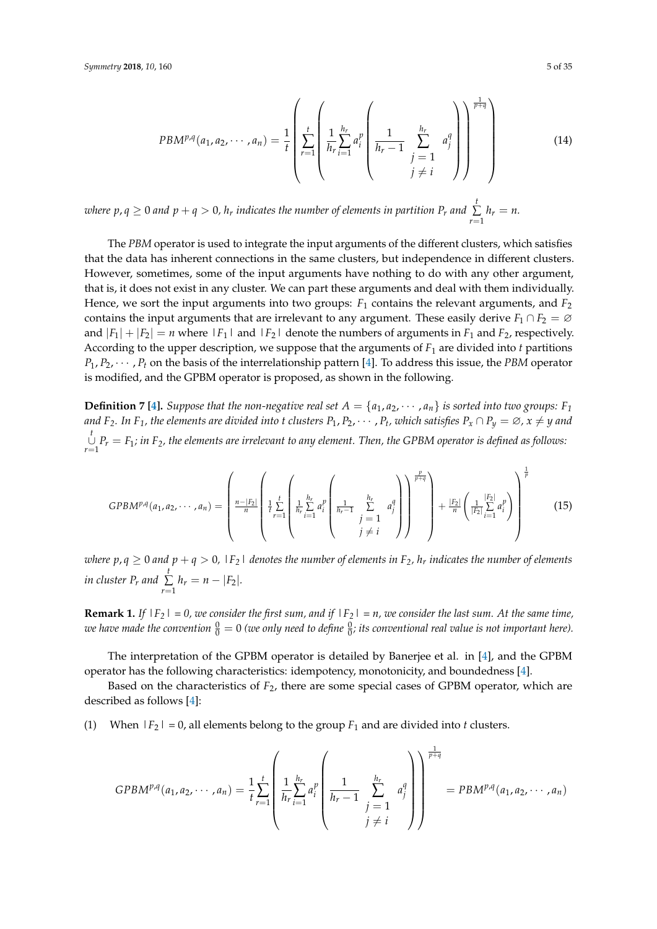$$
PBM^{p,q}(a_1, a_2, \cdots, a_n) = \frac{1}{t} \left( \sum_{r=1}^t \left( \frac{1}{h_r} \sum_{i=1}^{h_r} a_i^p \left( \frac{1}{h_r - 1} \sum_{\substack{j=1 \ j \neq i}}^{h_r} a_j^q \right) \right)^{\frac{1}{p+q}} \right)
$$
(14)

where  $p$ ,  $q \ge 0$  and  $p + q > 0$ ,  $h_r$  indicates the number of elements in partition  $P_r$  and  $\sum$  $\sum_{r=1} h_r = n.$ 

The *PBM* operator is used to integrate the input arguments of the different clusters, which satisfies that the data has inherent connections in the same clusters, but independence in different clusters. However, sometimes, some of the input arguments have nothing to do with any other argument, that is, it does not exist in any cluster. We can part these arguments and deal with them individually. Hence, we sort the input arguments into two groups:  $F_1$  contains the relevant arguments, and  $F_2$ contains the input arguments that are irrelevant to any argument. These easily derive  $F_1 \cap F_2 = \emptyset$ and  $|F_1| + |F_2| = n$  where  $|F_1|$  and  $|F_2|$  denote the numbers of arguments in  $F_1$  and  $F_2$ , respectively. According to the upper description, we suppose that the arguments of *F*<sup>1</sup> are divided into *t* partitions  $P_1, P_2, \dots, P_t$  on the basis of the interrelationship pattern [\[4\]](#page-32-2). To address this issue, the *PBM* operator is modified, and the GPBM operator is proposed, as shown in the following.

**Definition 7 [\[4\]](#page-32-2).** Suppose that the non-negative real set  $A = \{a_1, a_2, \dots, a_n\}$  is sorted into two groups:  $F_1$ and F<sub>2</sub>. In F<sub>1</sub>, the elements are divided into t clusters P<sub>1</sub>, P<sub>2</sub>,  $\cdots$  , P<sub>t</sub>, which satisfies P<sub>x</sub>  $\cap$  P<sub>y</sub>  $=\varnothing$ ,  $x\neq y$  and *t* ∪ *r*=1 *P<sup>r</sup>* = *F*1*; in F2, the elements are irrelevant to any element. Then, the GPBM operator is defined as follows:*

$$
GPBM^{p,q}(a_1, a_2, \cdots, a_n) = \left(\frac{n-|F_2|}{n}\left(\frac{1}{t}\sum_{r=1}^t \left(\frac{1}{h_r}\sum_{i=1}^{h_r} a_i^p \left(\frac{1}{h_r-1}\sum_{j=1}^{h_r} a_j^q\right)\right)^{\frac{p}{p+q}}\right) + \frac{|F_2|}{n}\left(\frac{1}{|F_2|}\sum_{i=1}^{|F_2|} a_i^p\right)\right)^{\frac{1}{p}}
$$
(15)

 $\omega$ here  $p$ ,  $q \ge 0$  and  $p + q > 0$ ,  $\mid$   $F_2 \mid$  denotes the number of elements in  $F_2$ ,  $h_r$  indicates the number of elements *in cluster P<sub>r</sub> and*  $\sum_{i=1}^{t}$  $\sum_{r=1} h_r = n - |F_2|$ .

**Remark 1.** If  $|F_2| = 0$ , we consider the first sum, and if  $|F_2| = n$ , we consider the last sum. At the same time, we have made the convention  $\frac{0}{0}=0$  (we only need to define  $\frac{0}{0}$ ; its conventional real value is not important here).

The interpretation of the GPBM operator is detailed by Banerjee et al. in [\[4\]](#page-32-2), and the GPBM operator has the following characteristics: idempotency, monotonicity, and boundedness [\[4\]](#page-32-2).

Based on the characteristics of *F*2, there are some special cases of GPBM operator, which are described as follows [\[4\]](#page-32-2):

(1) When  $|F_2| = 0$ , all elements belong to the group  $F_1$  and are divided into *t* clusters.

$$
GPBM^{p,q}(a_1, a_2, \cdots, a_n) = \frac{1}{t} \sum_{r=1}^t \left( \frac{1}{h_r} \sum_{i=1}^{h_r} a_i^p \left( \frac{1}{h_r - 1} \sum_{\substack{j=1 \ j \neq i}}^{h_r} a_j^q \right) \right)^{\frac{1}{p+q}} = PBM^{p,q}(a_1, a_2, \cdots, a_n)
$$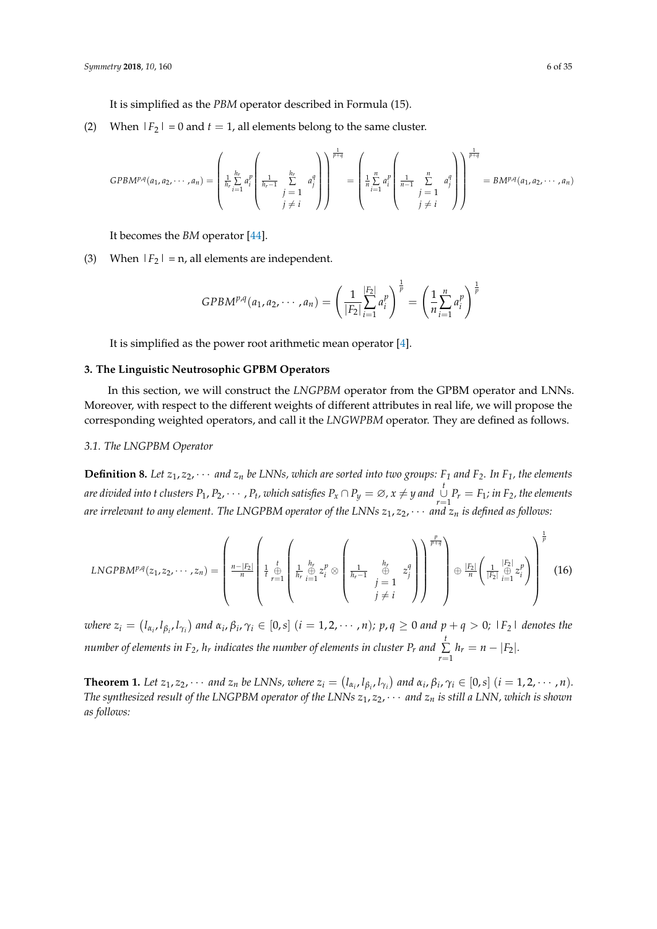It is simplified as the *PBM* operator described in Formula (15).

(2) When  $|F_2| = 0$  and  $t = 1$ , all elements belong to the same cluster.

$$
GPBM^{p,q}(a_1, a_2, \cdots, a_n) = \left(\frac{1}{h_r} \sum_{i=1}^{h_r} a_i^p \left(\frac{1}{h_r - 1} \sum_{\substack{j=1 \ j \neq i}}^{h_r} a_j^q\right)\right)^{\frac{1}{p+q}} = \left(\frac{1}{h_r} \sum_{i=1}^n a_i^p \left(\frac{1}{n-1} \sum_{\substack{j=1 \ j \neq i}}^n a_j^q\right)\right)^{\frac{1}{p+q}} = BM^{p,q}(a_1, a_2, \cdots, a_n)
$$

It becomes the *BM* operator [\[44\]](#page-34-4).

(3) When  $|F_2|$  = n, all elements are independent.

$$
GPBM^{p,q}(a_1,a_2,\cdots,a_n)=\left(\frac{1}{|F_2|}\sum_{i=1}^{|F_2|}a_i^p\right)^{\frac{1}{p}}=\left(\frac{1}{n}\sum_{i=1}^n a_i^p\right)^{\frac{1}{p}}
$$

It is simplified as the power root arithmetic mean operator [\[4\]](#page-32-2).

## <span id="page-5-0"></span>**3. The Linguistic Neutrosophic GPBM Operators**

In this section, we will construct the *LNGPBM* operator from the GPBM operator and LNNs. Moreover, with respect to the different weights of different attributes in real life, we will propose the corresponding weighted operators, and call it the *LNGWPBM* operator. They are defined as follows.

## *3.1. The LNGPBM Operator*

**Definition 8.** Let  $z_1, z_2, \cdots$  and  $z_n$  be LNNs, which are sorted into two groups:  $F_1$  and  $F_2$ *. In*  $F_1$ *, the elements* are divided into t clusters  $P_1, P_2, \cdots, P_t$ , which satisfies  $P_x \cap P_y = \varnothing$ ,  $x \neq y$  and  $\bigcup_{r=1}^t P_r = F_1$ ; in  $F_2$ , the elements *are irrelevant to any element. The LNGPBM operator of the LNNs*  $z_1, z_2, \cdots$  *and*  $z_n$  *is defined as follows:* 

$$
LNGPB M^{p,q}(z_1, z_2, \cdots, z_n) = \left(\frac{n-|F_2|}{n}\left(\frac{1}{t} \bigoplus_{r=1}^{t} \left(\frac{1}{h_r} \bigoplus_{i=1}^{h_r} z_i^p \otimes \left(\frac{1}{h_r-1} \bigoplus_{\substack{j=1 \ j \neq i}}^{h_r} z_j^q\right)\right)\right)^{\frac{p}{p+q}}\right) \oplus \frac{|F_2|}{n}\left(\frac{1}{|F_2|} \bigoplus_{i=1}^{|F_2|} z_i^p\right)\right)^{\frac{1}{p}}\tag{16}
$$

where  $z_i=(l_{\alpha_i},l_{\beta_i},l_{\gamma_i})$  and  $\alpha_i,\beta_i,\gamma_i\in[0,s]$   $(i=1,2,\cdots,n)$ ;  $p,q\geq 0$  and  $p+q>0$ ;  $\lfloor F_2\rfloor$  denotes the *number of elements in F*<sub>2</sub>*, h<sub>r</sub> indicates the number of elements in cluster P<sub>r</sub> and*  $\sum$  $\sum_{r=1}^{\infty} h_r = n - |F_2|$ .

**Theorem 1.** Let  $z_1, z_2, \cdots$  and  $z_n$  be LNNs, where  $z_i = (l_{\alpha_i}, l_{\beta_i}, l_{\gamma_i})$  and  $\alpha_i, \beta_i, \gamma_i \in [0, s]$   $(i = 1, 2, \cdots, n)$ . *The synthesized result of the LNGPBM operator of the LNNs*  $z_1, z_2, \cdots$  *and*  $z_n$  *is still a LNN, which is shown as follows:*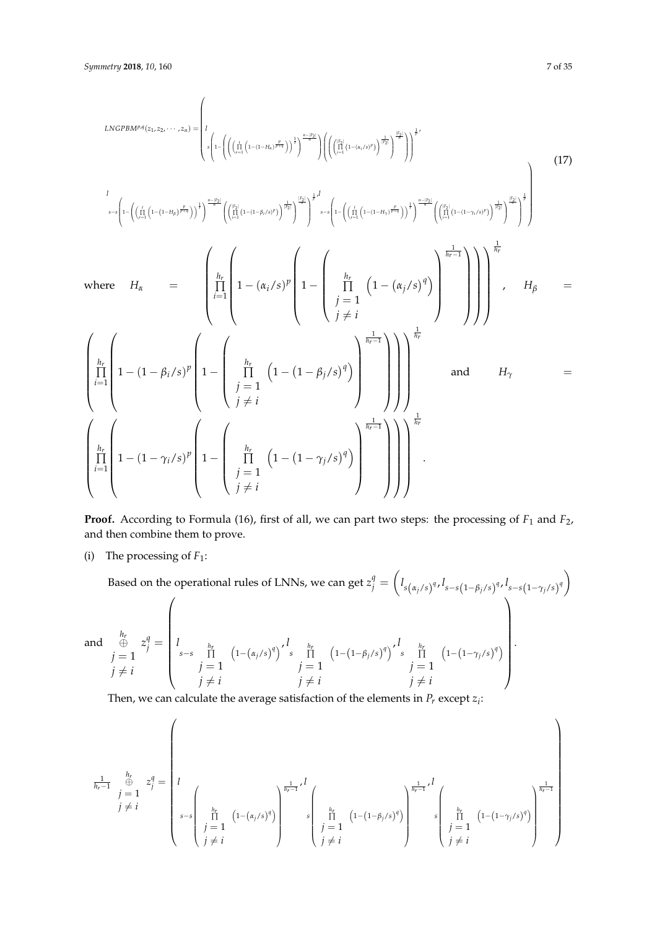$$
LNGPBM^{P,q}(z_1, z_2, \dots, z_n) = \left\{ I_{\phi}\left( I - \left( \left( \prod_{i=1}^i \left( 1 - (1 - \mu_i)^{\frac{p}{p(q)}} \right)^{\frac{1}{r}} \right)^{\frac{n-|p|}{2}} \right) \left( \left( \prod_{i=1}^{\binom{p}{2}} \left( 1 - (\mu_i/\delta)^p \right)^{\frac{1}{r}} \right)^{\frac{n-1}{r}} \right)^{\frac{n-1}{r}} \right) \left( \left( \prod_{i=1}^{\binom{p}{2}} \left( 1 - (\mu_i/\delta)^p \right)^{\frac{1}{r}} \right)^{\frac{n-1}{r}} \right)^{\frac{n-1}{r}}
$$
\n
$$
I_{\delta^{-\delta}} \left\{ I - \left( \left( \prod_{i=1}^i \left( 1 - (1 - \mu_i/\delta)^p \right)^{\frac{1}{r}} \right)^{\frac{n-1}{r}} \right)^{\frac{n-1}{r}} \left( \prod_{i=1}^{\binom{p}{2}} \left( 1 - (\mu_i/\delta)^p \right)^{\frac{n-1}{r}} \right)^{\frac{n-1}{r}} \right\} \left( \prod_{j=1}^{\binom{p}{2}} \left( 1 - (\mu_i/\delta)^q \right)^{\frac{n-1}{r}} \right)^{\frac{n-1}{r}}
$$
\nwhere\n
$$
H_{\alpha} = \left\{ \prod_{i=1}^{h_r} \left( 1 - (\mu_i/\delta)^p \left( 1 - \left( \prod_{j=1}^{h_r} \left( 1 - (1 - \beta_j/\delta)^q \right) \right)^{\frac{1}{h_r - 1}} \right) \right) \right\} \right\} \left\{ \prod_{j=1}^{h_r} \left( 1 - (1 - \mu_i/\delta)^p \right)^{\frac{1}{h_r - 1}} \right\} \right\} \left( \prod_{i=1}^{h_r} \left( 1 - (1 - \gamma_i/\delta)^p \right)^{\frac{1}{h_r - 1}} \right) \right\}^{\frac{1}{h_r}}
$$
\nand\n
$$
H_{\gamma} = \left\{ \prod_{i=1}^{h_r} \left( 1 - (1 - \gamma_i/\delta)^p \left( 1 - \left( \prod_{j=1}^{h_r} \left( 1 - (1 - \gamma_j/\delta)^q \right) \right)^{\frac{1}{h_r - 1}}
$$

**Proof.** According to Formula (16), first of all, we can part two steps: the processing of  $F_1$  and  $F_2$ , and then combine them to prove.

(i) The processing of  $F_1$ :

Based on the operational rules of LNNs, we can get 
$$
z_j^q = \left( l_{s(\alpha_j/s)^q}, l_{s-s(1-\beta_j/s)^q}, l_{s-s(1-\gamma_j/s)^q} \right)
$$
  
and  $\underset{j=1}{\overset{h_r}{\oplus}} z_j^q = \begin{cases} \n\frac{1}{s-s} \prod_{\substack{n_r \ j=1}}^{\frac{h_r}{s-s}} \left( 1 - (\alpha_j/s)^q \right)^{r} \prod_{\substack{j=1 \ j \neq i}}^{\frac{h_r}{s-s}} \left( 1 - (1 - \beta_j/s)^q \right)^{r} \prod_{\substack{j=1 \ j \neq i}}^{\frac{h_r}{s-s}} \left( 1 - (1 - \gamma_j/s)^q \right)^{r} \right). \n\end{cases}$ 

Then, we can calculate the average satisfaction of the elements in  $P_r$  except  $z_i$ :

$$
\frac{1}{h_r - 1} \underbrace{\int_{j=1}^{h_r} z_j^q = \left( \int_{s-s} \left( \frac{h_r}{\prod_{\substack{j=1 \ j \neq i}}^{h_r} (1 - (\alpha_j/s)^q) \right)^{\frac{1}{h_r - 1}} s \left( \frac{h_r}{\prod_{\substack{j=1 \ j \neq i}}^{h_r} (1 - (1 - \beta_j/s)^q) \right)^{\frac{1}{h_r - 1}} s \left( \frac{h_r}{\prod_{\substack{j=1 \ j \neq i}}^{h_r} (1 - (1 - \gamma_j/s)^q) \right)^{\frac{1}{h_r - 1}} \right)
$$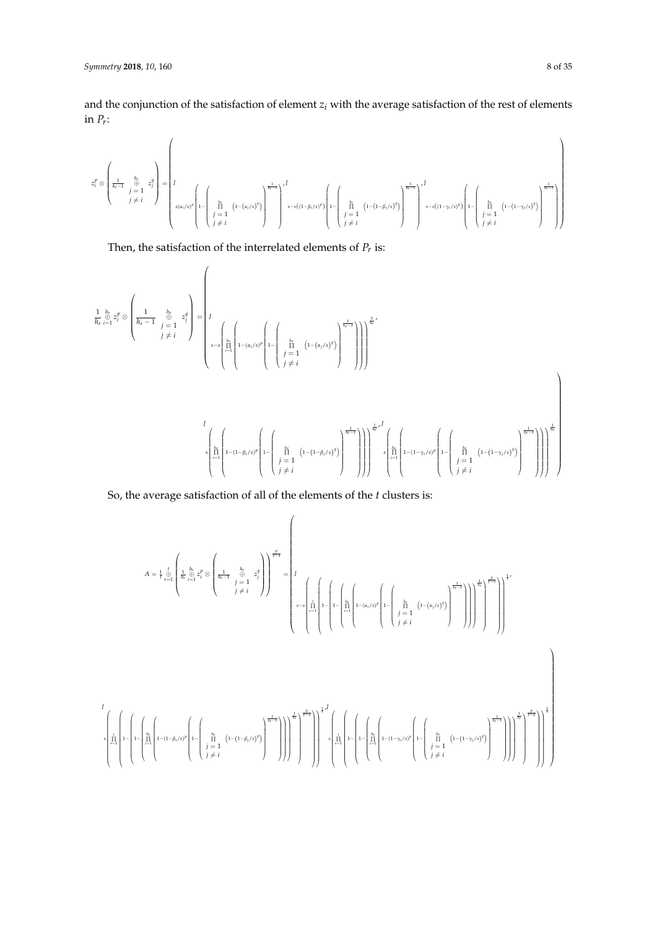*l*

and the conjunction of the satisfaction of element *z<sup>i</sup>* with the average satisfaction of the rest of elements in *P<sup>r</sup>* :

$$
z_i^p \otimes \left(\frac{1}{h_r-1} \underbrace{\int\limits_{j=1}^{h_r} z_j^q}_{j \neq i} \right) = \left(I\left(\frac{h_r}{j \neq i} \underbrace{\left(1-(\alpha_j/s)^q\right)}_{j \neq i}\right)^{\frac{1}{h_r-1}}\right) \left(I\left(\frac{h_r}{j \neq i} \underbrace{\left(1-(\beta_j/s)^p\right)}_{s-s\left((1-\beta_j/s)^p\right)}\left(1-\left(\frac{h_r}{j \neq i} \underbrace{\left(1-(1-\beta_j/s)^q\right)}_{j \neq i}\right)^{\frac{1}{h_r-1}}\right)^{I}\right) \right) \nonumber \\ s-s\left((1-\gamma_i/s)^p\right) \left(I\left(\frac{h_r}{j \neq i} \underbrace{\left(1-(1-\beta_j/s)^q\right)}_{s-s\left((1-\gamma_i/s)^p\right)}\right) \left(I\left(\frac{h_r}{j \neq i} \underbrace{\left(1-(1-\beta_j/s)^q\right)}_{s-s\left((1-\gamma_i/s)^q\right)}\right)^{\frac{1}{h_r-1}}\right)\right) \nonumber \\
$$

Then, the satisfaction of the interrelated elements of *P<sup>r</sup>* is:

$$
\begin{split} \frac{1}{h_r}\mathop{\stackrel{h_r}{\rightleftarrow}}\limits_{i=1}^{h_r}z_r^p \otimes & \left(\frac{1}{h_r-1}\mathop{\stackrel{h_r}{\rightleftarrow}}\limits_{j\; \neq \; i}^{h_r}z_j^q\right) = \left(l \\ \begin{array}{c} \vdots \\ \vdots \\ \vdots \\ \vdots \\ \vdots \\ \vdots \end{array}\right) \left.\begin{array}{c} \vdots \\ \vdots \\ \vdots \\ \vdots \\ \vdots \\ \vdots \\ \vdots \end{array}\right) \left.\begin{array}{c} \vdots \\ \vdots \\ \vdots \\ \vdots \\ \vdots \\ \vdots \\ \vdots \end{array}\right) \left.\begin{array}{c} \vdots \\ \vdots \\ \vdots \\ \vdots \\ \vdots \\ \vdots \end{array}\right) \left(\begin{array}{c} \vdots \\ \vdots \\ \vdots \\ \vdots \\ \vdots \\ \vdots \end{array}\right) \left(\begin{array}{c} \vdots \\ \vdots \\ \vdots \\ \vdots \\ \vdots \end{array}\right) \left(\begin{array}{c} \vdots \\ \vdots \\ \vdots \\ \vdots \\ \vdots \\ \vdots \end{array}\right) \left(\begin{array}{c} \vdots \\ \vdots \\ \vdots \\ \vdots \\ \vdots \\ \vdots \end{array}\right) \left(\begin{array}{c} \vdots \\ \vdots \\ \vdots \\ \vdots \\ \vdots \\ \vdots \end{array}\right) \left(\begin{array}{c} \vdots \\ \vdots \\ \vdots \\ \vdots \\ \vdots \\ \vdots \end{array}\right) \left(\begin{array}{c} \vdots \\ \vdots \\ \vdots \\ \vdots \\ \vdots \\ \vdots \end{array}\right) \left(\begin{array}{c} \vdots \\ \vdots \\ \vdots \\ \vdots \\ \vdots \\ \vdots \end{array}\right) \left(\begin{array}{c} \vdots \\ \vdots \\ \vdots \\ \vdots \\ \vdots \\ \vdots \end{array}\right) \left(\begin{array}{c} \vdots \\ \vdots \\ \vdots \\ \vdots \\ \vdots \\ \vdots \end{array}\right) \left(\begin{array}{c} \vdots \\ \vdots \\ \vdots \\ \vdots \\ \vdots \\ \vdots \end{array}\right) \left(\begin{array}{c} \vdots \\ \vdots \\ \vdots \\ \vdots \\ \vdots \\ \vdots \end{array}\right) \left(\begin{array}{c} \vdots \\ \vdots \\ \vdots \\ \vdots \\ \vdots \\ \vdots \
$$

So, the average satisfaction of all of the elements of the *t* clusters is:

$$
A = \frac{1}{r} \frac{1}{r^2} \left( \frac{1}{h_r} \frac{h_r}{\frac{h_r}{r}} \frac{z_r^p}{z_i^p} \otimes \left( \frac{1}{h_r - 1} \frac{h_r}{\frac{1}{r} = 1} z_i^p \right) \right)^{\frac{p}{p+q}} = \left( \frac{1}{r} \left( \frac{1}{r} \left( 1 - \left( \frac{h_r}{\left( 1 + \left( \frac{h_r}{\left( 1 + \left( \frac{h_r}{\left( 1 + \left( \frac{h_r}{\left( 1 + \left( \frac{h_r}{\left( 1 + \left( \frac{h_r}{\left( 1 + \left( \frac{h_r}{\left( 1 + \left( \frac{h_r}{\left( 1 + \left( \frac{h_r}{\left( 1 + \left( \frac{h_r}{\left( 1 + \left( \frac{h_r}{\left( 1 + \left( \frac{h_r}{\left( 1 + \left( \frac{h_r}{\left( 1 + \left( \frac{h_r}{\left( 1 + \left( \frac{h_r}{\left( 1 + \left( \frac{h_r}{\left( 1 + \left( \frac{h_r}{\left( 1 + \left( \frac{h_r}{\left( 1 + \left( \frac{h_r}{\left( 1 + \left( \frac{h_r}{\left( 1 + \left( \frac{h_r}{\left( 1 + \left( \frac{h_r}{\left( 1 + \left( \frac{h_r}{\left( 1 + \left( \frac{h_r}{\left( 1 + \left( \frac{h_r}{\left( 1 + \left( \frac{h_r}{\left( 1 + \left( \frac{h_r}{\left( 1 + \left( \frac{h_r}{\left( 1 + \left( \frac{h_r}{\left( 1 + \left( \frac{h_r}{\left( 1 + \left( \frac{h_r}{\left( 1 + \left( \frac{h_r}{\left( 1 + \left( \frac{h_r}{\left( 1 + \left( \frac{h_r}{\left( 1 + \left( \frac{h_r}{\left( 1 + \left( \frac{h_r}{\left( 1 + \left( \frac{h_r}{\left( 1 + \left( \frac{h_r}{\left( 1 + \left( \frac{h_r}{\left( 1 + \left( \frac{h_r}{\left( 1 + \left( \frac{h_r}{\left( 1 + \left( \frac{h_r
$$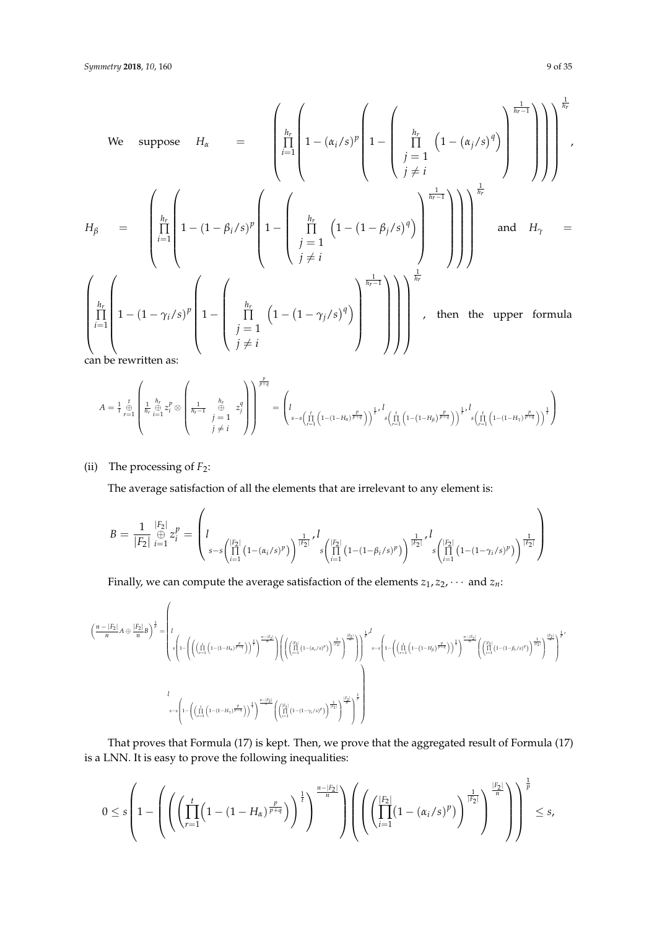We suppose 
$$
H_{\alpha}
$$
 = 
$$
\left(\prod_{i=1}^{h_r} \left(1 - (\alpha_i/s)^p \left(1 - \left(\prod_{j=1}^{h_r} \left(1 - (\alpha_j/s)^q\right)\right)^{\frac{1}{h_r-1}}\right)\right)\right)^{\frac{1}{h_r}}
$$

$$
H_{\beta} = \left(\prod_{i=1}^{h_r} \left(1 - (1 - \beta_i/s)^p \left(1 - \left(\prod_{j=1}^{h_r} \left(1 - (1 - \beta_j/s)^q\right)\right)^{\frac{1}{h_r-1}}\right)\right)\right)^{\frac{1}{h_r}}
$$

$$
\left(\prod_{i=1}^{h_r} \left(1 - (1 - \gamma_i/s)^p \left(1 - \left(\prod_{j=1}^{h_r} \left(1 - (1 - \gamma_j/s)^q\right)\right)^{\frac{1}{h_r-1}}\right)\right)\right)^{\frac{1}{h_r}}
$$
and  $H_{\gamma}$  = 
$$
\left(\prod_{i=1}^{h_r} \left(1 - (1 - \gamma_i/s)^p \left(1 - \left(\prod_{j=1}^{h_r} \left(1 - (1 - \gamma_j/s)^q\right)\right)^{\frac{1}{h_r-1}}\right)\right)\right)^{\frac{1}{h_r}}
$$
, then the upper formula

can be rewritten as:

*A* = <sup>1</sup> *t t*⊕ *r*=1 1 *hr hr* ⊕ *i*=1 *z p <sup>i</sup>* ⊗ 1 *hr*−1 *hr* ⊕ *j* = 1 *j* 6= *i z q j p p*+*q* = *l s*−*s t* ∏ *r*=1 1−(1−*Hα*) *p p*+*q* <sup>1</sup> *t* , *l s t* ∏ *r*=1 <sup>1</sup>−(1−*Hβ*) *p p*+*q* <sup>1</sup> *t* , *l s t* ∏ *r*=1 1−(1−*Hγ*) *p p*+*q* <sup>1</sup> *t* 

(ii) The processing of  $F_2$ :

The average satisfaction of all the elements that are irrelevant to any element is:

$$
B = \frac{1}{|F_2|} \bigoplus_{i=1}^{|F_2|} z_i^p = \left( I_{\substack{s-s \\ s-s\left(\prod_{i=1}^{|F_2|} (1-(\alpha_i/s)^p) \right)^{\frac{1}{|F_2|}}} \cdot \int_{s\left(\prod_{i=1}^{|F_2|} (1-(1-\beta_i/s)^p) \right)^{\frac{1}{|F_2|}}} \cdot \int_{s\left(\prod_{i=1}^{|F_2|} (1-(1-\gamma_i/s)^p) \right)^{\frac{1}{|F_2|}}} \right)
$$

Finally, we can compute the average satisfaction of the elements  $z_1, z_2, \cdots$  and  $z_n$ :

$$
\left(\frac{n-|F_2|}{n}A\oplus\frac{|F_2|}{n}B\right)^{\frac{1}{p}}=\left(\begin{array}{c} \displaystyle I\\ \displaystyle s\left(1-\left(\left(\prod_{r=1}^l\left(1-(1-H_{\delta})^{\frac{p}{p+q}}\right)\right)^{\frac{1}{q}}\right)^{-\frac{p-1}{q}}\right)\left(\left(\left(\prod_{l=1}^{\lceil p\rfloor}\left(1-(\alpha_{i}/s)^{p}\right)\right)^{\frac{1}{\lceil p\rfloor}}\right)^{\frac{p}{\lceil p\rfloor}}\right)^{\frac{1}{p}}\right)^{\frac{1}{p}}\end{array}\right)^{\frac{n-|F_2|}{q}}\left(\left(\prod_{l=1}^{\lceil p\rfloor}\left(1-(\alpha_{i}/s)^{p}\right)^{\frac{1}{\lceil p\rfloor}}\right)^{\frac{1}{\lceil p\rfloor}}\right)^{\frac{1}{p}}\left(\left(\prod_{r=1}^{\lceil p\rfloor}\left(1-(1-H_{\delta})^{\frac{p}{p+q}}\right)\right)^{\frac{1}{\lceil p\rfloor}}\right)^{\frac{1}{\lceil p\rfloor}\left(\left(\prod_{l=1}^{\lceil p\rfloor}\left(1-(1-H_{\delta})^{\frac{p}{p+q}}\right)\right)^{\frac{1}{\lceil p\rfloor}}\right)^{\frac{1}{\lceil p\rfloor}\left(\left(\prod_{l=1}^{\lceil p\rfloor}\left(1-(1-\gamma_{l}/s)^{p}\right)\right)^{\frac{1}{\lceil p\rfloor}}\right)^{\frac{1}{\lceil p\rfloor}\left(\left(\prod_{l=1}^{\lceil p\rfloor}\left(1-(1-\gamma_{l}/s)^{p}\right)\right)^{\frac{1}{\lceil p\rfloor}}\right)^{\frac{1}{\lceil p\rfloor}\right)^{\frac{1}{p}}}
$$

That proves that Formula (17) is kept. Then, we prove that the aggregated result of Formula (17) is a LNN. It is easy to prove the following inequalities:

$$
0\leq s\left(1-\left(\left(\left(\prod_{r=1}^{t}\left(1-(1-H_{\alpha})^{\frac{p}{p+q}}\right)\right)^{\frac{1}{t}}\right)^{\frac{n-|F_2|}{n}}\right)\left(\left(\left(\prod_{i=1}^{|F_2|}(1-(\alpha_i/s)^p)\right)^{\frac{1}{|F_2|}}\right)^{\frac{|F_2|}{n}}\right)\right)^{\frac{1}{p}}\leq s,
$$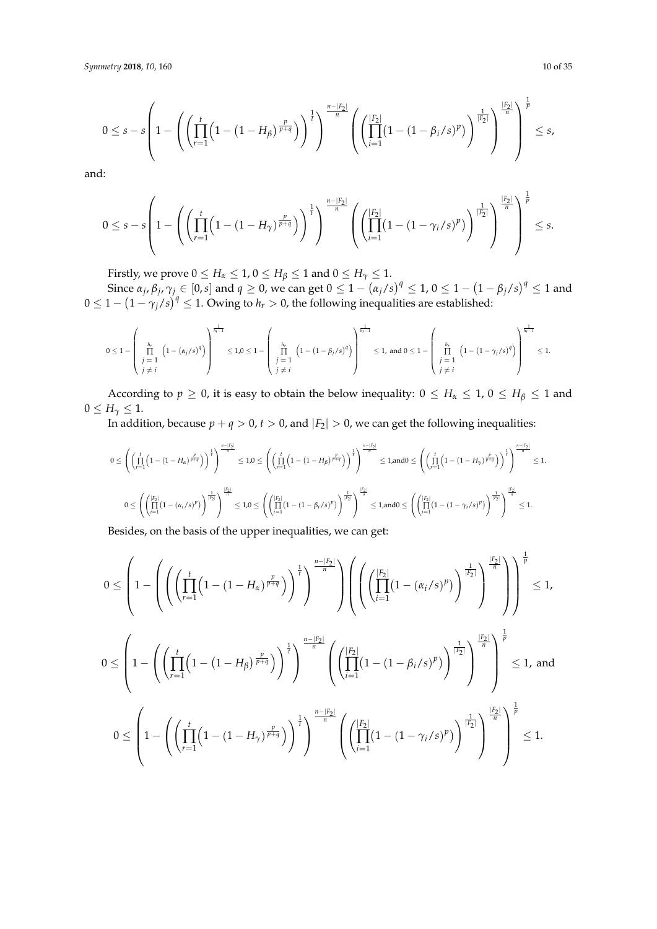$$
0 \leq s - s \left( 1 - \left( \left( \prod_{r=1}^{t} \left( 1 - (1 - H_{\beta})^{\frac{p}{p+q}} \right) \right)^{\frac{1}{q}} \right)^{\frac{n-|F_2|}{n}} \left( \left( \prod_{i=1}^{|F_2|} (1 - (1 - \beta_i/s)^p) \right)^{\frac{1}{|F_2|}} \right)^{\frac{|F_2|}{n}} \right)^{\frac{1}{p}} \leq s,
$$

and:

$$
0 \leq s - s \left(1 - \left( \left( \prod_{r=1}^{t} \left(1 - (1 - H_{\gamma})^{\frac{p}{p+q}} \right) \right)^{\frac{1}{t}} \right)^{\frac{n-|F_2|}{n}} \left( \left( \prod_{i=1}^{|F_2|} \left(1 - (1 - \gamma_i/s)^p \right) \right)^{\frac{1}{|F_2|}} \right)^{\frac{|F_2|}{n}} \right)^{\frac{1}{p}} \leq s.
$$

Firstly, we prove  $0 \le H_\alpha \le 1$ ,  $0 \le H_\beta \le 1$  and  $0 \le H_\gamma \le 1$ .

Since  $\alpha_j$ ,  $\beta_j$ ,  $\gamma_j\in[0,s]$  and  $q\geq 0$ , we can get  $0\leq 1-(\alpha_j/s)^q\leq 1$ ,  $0\leq 1-(1-\beta_j/s)^q\leq 1$  and  $0 \leq 1 - (1 - \gamma_j/s)^q \leq 1$ . Owing to  $h_r > 0$ , the following inequalities are established:

$$
0\leq 1-\left(\begin{array}{c} \frac{h_r}{\prod} \\ \prod\limits_{j=1}^{h_r} \left(1-\left(\alpha_j/s\right)^q\right) \\ j\neq i \end{array}\right)^{\frac{1}{h_r-1}} \leq 1, 0\leq 1-\left(\begin{array}{c} \frac{h_r}{\prod} \\ \prod\limits_{j=1}^{h_r} \left(1-\left(1-\beta_j/s\right)^q\right) \\ j\neq i \end{array}\right)^{\frac{1}{h_r-1}} \leq 1, \text{ and } 0\leq 1-\left(\begin{array}{c} \frac{h_r}{\prod} \\ \prod\limits_{j=1}^{h_r} \left(1-\left(1-\gamma_j/s\right)^q\right) \\ j\neq i \end{array}\right)^{\frac{1}{h_r-1}} \leq 1.
$$

According to  $p \ge 0$ , it is easy to obtain the below inequality:  $0 \le H_\alpha \le 1$ ,  $0 \le H_\beta \le 1$  and  $0 \leq H_{\gamma} \leq 1.$ 

In addition, because  $p + q > 0$ ,  $t > 0$ , and  $|F_2| > 0$ , we can get the following inequalities:

$$
0 \leq \left( \left( \prod_{r=1}^{t} \left( 1-(1-H_{\alpha})^{\frac{p}{p+q}} \right) \right)^{\frac{1}{r}} \right)^{\frac{n-|F_2|}{n}} \leq 1,0 \leq \left( \left( \prod_{r=1}^{t} \left( 1-(1-H_{\beta})^{\frac{p}{p+q}} \right) \right)^{\frac{1}{r}} \right)^{\frac{n-|F_2|}{n}} \leq 1, \text{and} 0 \leq \left( \left( \prod_{r=1}^{t} \left( 1-(1-H_{\gamma})^{\frac{p}{p+q}} \right) \right)^{\frac{1}{r}} \right)^{\frac{n-|F_2|}{n}} \leq 1.
$$
  

$$
0 \leq \left( \left( \prod_{i=1}^{|F_2|} \left( 1-(\alpha_i/s)^p \right) \right)^{\frac{1}{|F_2|}} \right)^{\frac{|F_2|}{n}} \leq 1,0 \leq \left( \left( \prod_{i=1}^{|F_2|} \left( 1-(1-\beta_i/s)^p \right) \right)^{\frac{1}{|F_2|}} \right)^{\frac{|F_2|}{n}} \leq 1, \text{and} 0 \leq \left( \left( \prod_{i=1}^{|F_2|} \left( 1-(1-\gamma_i/s)^p \right) \right)^{\frac{1}{|F_2|}} \right)^{\frac{|F_2|}{n}} \leq 1.
$$
  
Residues, can the basis of the cross sum is a result, it is a non-zero, even, and

Besides, on the basis of the upper inequalities, we can get:

$$
0 \leq \left(1 - \left( \left( \prod_{r=1}^{t} \left(1 - (1 - H_{\alpha})^{\frac{p}{p+q}}\right) \right)^{\frac{1}{r}} \right)^{\frac{n-|F_2|}{n}} \right) \left( \left( \left( \prod_{i=1}^{|F_2|} (1 - (\alpha_i/s)^p) \right)^{\frac{1}{|F_2|}} \right)^{\frac{1}{n}} \right)^{\frac{|F_2|}{n}} \right)^{\frac{1}{p}} \leq 1,
$$
  

$$
0 \leq \left(1 - \left( \left( \prod_{r=1}^{t} \left(1 - (1 - H_{\beta})^{\frac{p}{p+q}}\right) \right)^{\frac{1}{r}} \right)^{\frac{n-|F_2|}{n}} \left( \left( \prod_{i=1}^{|F_2|} (1 - (1 - \beta_i/s)^p) \right)^{\frac{1}{|F_2|}} \right)^{\frac{|F_2|}{n}} \right)^{\frac{1}{p}} \leq 1, \text{ and}
$$
  

$$
0 \leq \left(1 - \left( \left( \prod_{r=1}^{t} \left(1 - (1 - H_{\gamma})^{\frac{p}{p+q}}\right) \right)^{\frac{1}{r}} \right)^{\frac{n-|F_2|}{n}} \left( \left( \prod_{i=1}^{|F_2|} (1 - (1 - \gamma_i/s)^p) \right)^{\frac{1}{|F_2|}} \right)^{\frac{|F_2|}{n}} \right)^{\frac{1}{p}} \leq 1.
$$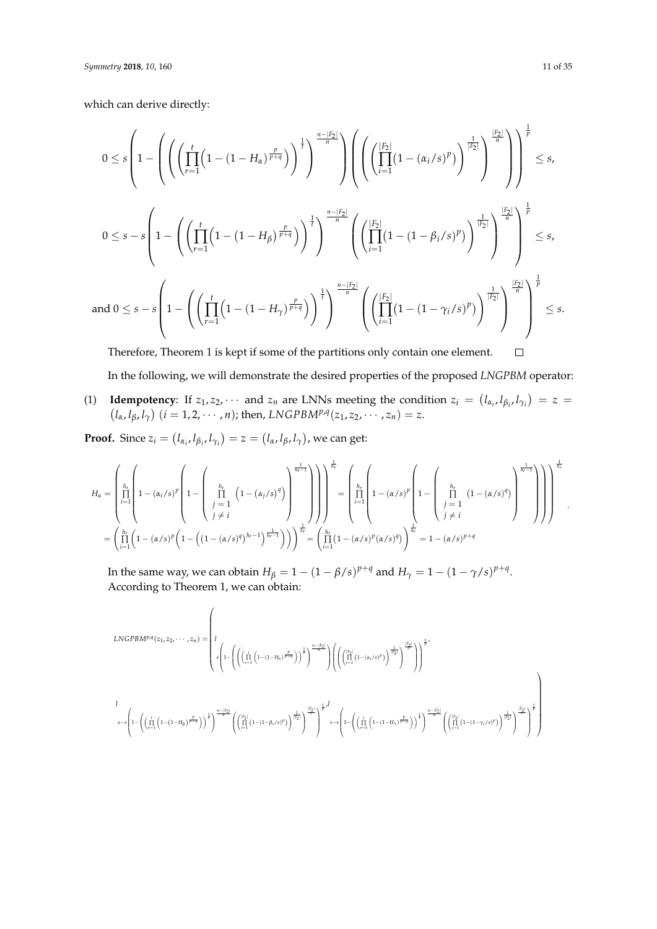which can derive directly:

$$
0 \leq s \left(1 - \left( \left( \prod_{r=1}^{t} \left(1 - (1 - H_{\alpha})^{\frac{p}{p+q}}\right) \right)^{\frac{1}{r}} \right)^{\frac{n-|F_2|}{n}} \right) \left( \left( \left( \prod_{i=1}^{|F_2|} (1 - (\alpha_i/s)^p) \right)^{\frac{1}{|F_2|}} \right)^{\frac{1}{n}} \right)^{\frac{1}{p}} \leq s,
$$
  

$$
0 \leq s - s \left(1 - \left( \left( \prod_{r=1}^{t} \left(1 - (1 - H_{\beta})^{\frac{p}{p+q}}\right) \right)^{\frac{1}{r}} \right)^{\frac{n-|F_2|}{n}} \left( \left( \prod_{i=1}^{|F_2|} (1 - (1 - \beta_i/s)^p) \right)^{\frac{1}{|F_2|}} \right)^{\frac{1}{n}} \right)^{\frac{1}{p}} \leq s,
$$
  
and  $0 \leq s - s \left(1 - \left( \left( \prod_{r=1}^{t} \left(1 - (1 - H_{\gamma})^{\frac{p}{p+q}}\right) \right)^{\frac{1}{r}} \right)^{\frac{n-|F_2|}{n}} \left( \left( \prod_{i=1}^{|F_2|} (1 - (1 - \gamma_i/s)^p) \right)^{\frac{1}{|F_2|}} \right)^{\frac{1}{n}} \right)^{\frac{1}{p}} \leq s.$   
and  $0 \leq s - s \left(1 - \left( \left( \prod_{r=1}^{t} \left(1 - (1 - H_{\gamma})^{\frac{p}{p+q}}\right) \right)^{\frac{1}{r}} \right)^{\frac{n-|F_2|}{n}} \left( \left( \prod_{i=1}^{|F_2|} (1 - (1 - \gamma_i/s)^p) \right)^{\frac{1}{|F_2|}} \right)^{\frac{1}{n}} \right)^{\frac{1}{p}} \leq s.$ 

Therefore, Theorem 1 is kept if some of the partitions only contain one element.  $\Box$ 

In the following, we will demonstrate the desired properties of the proposed *LNGPBM* operator:

(1) **Idempotency**: If  $z_1, z_2, \cdots$  and  $z_n$  are LNNs meeting the condition  $z_i = (l_{\alpha_i}, l_{\beta_i}, l_{\gamma_i}) = z =$  $(l_{\alpha}, l_{\beta}, l_{\gamma})$   $(i = 1, 2, \cdots, n)$ ; then, *LNGPBM<sup>p,q</sup>*(*z*<sub>1</sub>, *z*<sub>2</sub>, · · · , *z*<sub>*n*</sub>) = *z*.

**Proof.** Since  $z_i = (l_{\alpha_i}, l_{\beta_i}, l_{\gamma_i}) = z = (l_{\alpha}, l_{\beta}, l_{\gamma})$ , we can get:

$$
H_{\alpha} = \left(\prod_{i=1}^{h_r} \left(1 - \left(\alpha_i/s\right)^p \left(1 - \left(\prod_{\substack{j=1 \ i \neq i}}^{h_r} \left(1 - \left(\alpha_j/s\right)^q\right)\right)^{\frac{1}{h_r-1}}\right)\right)\right) \prod_{i=1}^{\frac{1}{h_r}} = \left(\prod_{i=1}^{h_r} \left(1 - \left(\alpha/s\right)^p \left(1 - \left(\left(1 - \left(\alpha/s\right)^p\right)^{h_r-1}\right)^{\frac{1}{h_r}}\right)\right)\right) \prod_{i=1}^{\frac{1}{h_r}} = \left(\prod_{i=1}^{h_r} \left(1 - \left(\alpha/s\right)^p \left(1 - \left(\left(1 - \left(\alpha/s\right)^q\right)^{h_r-1}\right)^{\frac{1}{h_r}}\right)\right)\right) \prod_{i=1}^{\frac{1}{h_r}} = \left(\prod_{i=1}^{h_r} \left(1 - \left(\alpha/s\right)^p \left(\alpha/s\right)^q\right)\right) \prod_{i=1}^{\frac{1}{h_r}} = 1 - \left(\alpha/s\right)^{p+q}
$$

In the same way, we can obtain  $H_{\beta} = 1 - (1 - \beta/s)^{p+q}$  and  $H_{\gamma} = 1 - (1 - \gamma/s)^{p+q}$ . According to Theorem 1, we can obtain:

$$
LNGPBM^{p,q}(z_1, z_2, \dots, z_n) = \left(I_{s}\left(1 - \left(\left(\prod_{r=1}^t \left(1 - (1 - H_s)^{\frac{p}{p+q}}\right)\right)^{\frac{1}{r}}\right)^{\frac{n-|F_2|}{n}}\right)\left(\left(\prod_{i=1}^{\left[\binom{F_2}{1-t} \left(1 - (\alpha_i/s)^p\right)\right]^{\frac{1}{r}}\right)^{\frac{1}{r}}}\right)^{\frac{p}{r}}\right)^{\frac{1}{r}}
$$
\n
$$
s - s \left(1 - \left(\left(\prod_{r=1}^t \left(1 - (1 - H_\beta)^{\frac{p}{p+q}}\right)\right)^{\frac{1}{r}}\right)^{\frac{n-|F_2|}{n}} \left(\left(\prod_{i=1}^{\left[\binom{F_2}{1-t} \left(1 - (1 - H_s)^{\frac{p}{p+q}}\right)\right]^{\frac{1}{r}}}\right)^{\frac{1}{r}}\right)^{\frac{1}{r}}
$$
\n
$$
s - s \left(1 - \left(\left(\prod_{r=1}^t \left(1 - (1 - H_\beta)^{\frac{p}{p+q}}\right)\right)^{\frac{1}{r}}\right)^{\frac{1}{r}}\left(\left(\prod_{i=1}^{\left[\binom{F_2}{1-t} \left(1 - (1 - H_\beta)^{\frac{p}{p+q}}\right)\right]^{\frac{1}{r}}}\right)^{\frac{1}{r}}\right)^{\frac{1}{r}}
$$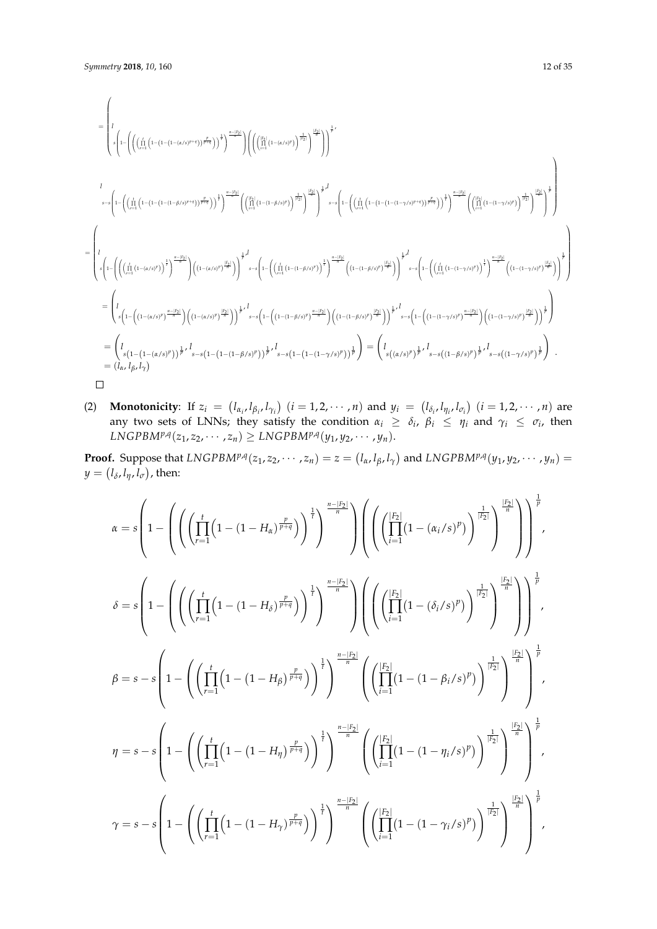$$
\begin{split} &\qquad=\left( l\left(\left(\int_{\Omega}^{i}\left(1-(1-(1-(\alpha/s)^{p})^{s+q})\right)^{\frac{p}{p-q}}\right)^{1}\right)^{\frac{n-|f_2|}{q}}\right)\left(\left(\left(\bigcup_{l=1}^{[i}\left(1-(\alpha/s)^{p})\right)^{\frac{1}{p}}\right)^{1}\right)^{1}\right)^{1/2} \\ &\qquad \qquad l\leq n\right) \\ &\qquad \qquad \leq n\left( l-\left(\left(\int_{\Omega}^{i}\left(1-(1-(1-(1-\beta/s)^{p})^{s+q})\right)^{\frac{p}{p-q}}\right)^{1}\right)^{\frac{n-|f_2|}{q}}\left(\left(\bigcup_{l=1}^{[i_1}\left(1-(1-(1-\beta/s)^{p})\right)^{\frac{1}{p}}\right)^{1}\right)^{1}\right)^{1/2} \\ &\qquad \qquad \leq n\left( l-\left(\left(\bigcup_{l=1}^{i_1}\left(1-(1-(1-(1-(\alpha/s)^{p})^{p})^{s+q})\right)^{\frac{p}{p-q}}\right)^{1/2}\right)\left(\left(\bigcup_{l=1}^{[i_1}\left(1-(1-(\alpha/s)^{p})^{p}\right)^{\frac{p}{p-q}}\right)^{1/2}\right)^{1/2} \\ &\qquad \qquad \leq n\left( l-\left(\left(\bigcup_{l=1}^{i_1}\left(1-(1-(1-(\alpha/s)^{p})^{p})^{1}\right)^{\frac{p}{p-q}}\right)\left((1-(\alpha/s)^{p})^{p}\right)^{\frac{1}{p}}\right)^{1/2}\right)^{1/2} \\ &\qquad \qquad \leq n\left( l-\left(\left(\bigcup_{l=1}^{i_1}\left(1-(\alpha/s)^{p}\right)^{\frac{p}{p-q}}\right)\left((1-(\alpha/s)^{p})^{p}\right)^{\frac{1}{p}}\right)\right)^{1/2}s-s\left( l-\left(\left(\bigcup_{l=1}^{i_1}\left(1-(1-\beta/s)^{p}\right)^{\frac{p}{p-q}}\right)\right)^{\frac{1}{p}}\right)^{1/2}s-s\left( l-\left(\left(1-(1-\beta/s)^{p}\right)^{\frac{p}{p-q}}\right)\right)^{\frac{1}{p}}\right)^{1/2}s-s\left( l-\left(1-(1-\beta/s)^{p}\right)^{\
$$

(2) **Monotonicity**: If  $z_i = (l_{\alpha_i}, l_{\beta_i}, l_{\gamma_i})$   $(i = 1, 2, \cdots, n)$  and  $y_i = (l_{\delta_i}, l_{\eta_i}, l_{\sigma_i})$   $(i = 1, 2, \cdots, n)$  are any two sets of LNNs; they satisfy the condition  $\alpha_i \geq \delta_i$ ,  $\beta_i \leq \eta_i$  and  $\gamma_i \leq \sigma_i$ , then  $LMGPBM^{p,q}(z_1, z_2, \cdots, z_n) \geq LNGPBM^{p,q}(y_1, y_2, \cdots, y_n).$ 

**Proof.** Suppose that  $LNGPBM^{p,q}(z_1, z_2, \cdots, z_n) = z = (l_\alpha, l_\beta, l_\gamma)$  and  $LNGPBM^{p,q}(y_1, y_2, \cdots, y_n) =$  $y = (l_{\delta}, l_{\eta}, l_{\sigma})$ , then:

$$
\begin{split} \alpha & = s \left( 1 - \left( \left( \left( \prod_{r=1}^{t} \left( 1 - (1 - H_{\alpha})^{\frac{p}{p+q}} \right) \right)^{\frac{1}{l}} \right)^{\frac{n-|F_{2}|}{n}} \right) \left( \left( \left( \prod_{i=1}^{|F_{2}|} \left( 1 - (\alpha_{i}/s)^{p} \right) \right)^{\frac{1}{|F_{2}|}} \right)^{\frac{1}{p}} \right)^{\frac{1}{p}} \right) \\ \delta & = s \left( 1 - \left( \left( \left( \prod_{r=1}^{t} \left( 1 - (1-H_{\delta})^{\frac{p}{p+q}} \right) \right)^{\frac{1}{l}} \right)^{\frac{n-|F_{2}|}{n}} \right) \left( \left( \left( \prod_{i=1}^{|F_{2}|} \left( 1 - (\delta_{i}/s)^{p} \right) \right)^{\frac{1}{|F_{2}|}} \right)^{\frac{1}{p}} \right)^{\frac{1}{p}} \right) \\ \beta & = s - s \left( 1 - \left( \left( \prod_{r=1}^{t} \left( 1 - (1-H_{\beta})^{\frac{p}{p+q}} \right) \right)^{\frac{1}{l}} \right)^{\frac{n-|F_{2}|}{n}} \left( \left( \prod_{i=1}^{|F_{2}|} \left( 1 - (1-\beta_{i}/s)^{p} \right) \right)^{\frac{1}{|F_{2}|}} \right)^{\frac{1}{p}} \right)^{\frac{1}{p}} \\ \eta & = s - s \left( 1 - \left( \left( \prod_{r=1}^{t} \left( 1 - (1-H_{\eta})^{\frac{p}{p+q}} \right) \right)^{\frac{1}{l}} \right)^{\frac{n-|F_{2}|}{n}} \left( \left( \prod_{i=1}^{|F_{2}|} \left( 1 - (1-\gamma_{i}/s)^{p} \right) \right)^{\frac{1}{l}} \right)^{\frac{1}{n}} \right)^{\frac{1}{p}} \\ \gamma & = s - s \left( 1 - \left( \left( \prod_{r=1}^{t} \left( 1 - (1-H_{\eta})^{\frac{p}{p+q}} \right) \right)^{\frac{1}{l}} \right)^{\frac{n-|F_{2}|}{n}} \left( \left( \prod_{i=1}^{|F_{2}|} \left( 1 - (1-\gamma_{i}/s)^{p}
$$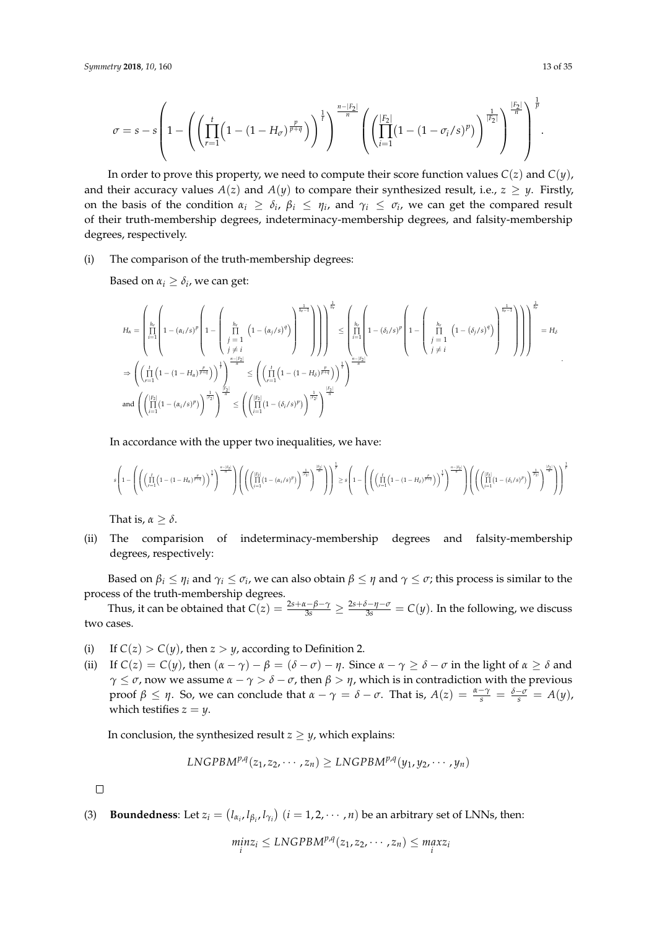$$
\sigma = s - s \left( 1 - \left( \left( \prod_{r=1}^{t} \left( 1 - (1 - H_{\sigma})^{\frac{p}{p+q}} \right) \right)^{\frac{1}{t}} \right)^{\frac{n-|F_2|}{n}} \left( \left( \prod_{i=1}^{|F_2|} (1 - (1 - \sigma_i/s)^p) \right)^{\frac{1}{|F_2|}} \right)^{\frac{1}{n}} \right)^{\frac{1}{p}}.
$$

In order to prove this property, we need to compute their score function values  $C(z)$  and  $C(y)$ , and their accuracy values  $A(z)$  and  $A(y)$  to compare their synthesized result, i.e.,  $z \geq y$ . Firstly, on the basis of the condition  $\alpha_i \geq \delta_i$ ,  $\beta_i \leq \eta_i$ , and  $\gamma_i \leq \sigma_i$ , we can get the compared result of their truth-membership degrees, indeterminacy-membership degrees, and falsity-membership degrees, respectively.

(i) The comparison of the truth-membership degrees:

Based on  $\alpha_i \geq \delta_i$ , we can get:

$$
\begin{split} H_{\alpha}&=\left(\prod\limits_{i=1}^{h_r}\left(1-\left(\alpha_i/s\right)^p\left(1-\left(\prod\limits_{j=1}^{h_r}\left(1-\left(\alpha_j/s\right)^q\right)\right)^{\frac{1}{h_r-1}}\right)\right)\right)^\frac{1}{h_r}\leq \left(\prod\limits_{i=1}^{h_r}\left(1-\left(\delta_i/s\right)^p\right)^{\frac{1}{h_r-1}}\right)\right)^\frac{1}{h_r}\\ &\Rightarrow \left(\left(\prod\limits_{r=1}^{t}\left(1-\left(1-H_{\alpha}\right)^{\frac{p}{p+q}}\right)\right)^\frac{1}{p}\right)^\frac{1-\left(p-1\right)}{n}\\ &\Rightarrow \left(\left(\prod\limits_{r=1}^{t}\left(1-\left(1-H_{\alpha}\right)^{\frac{p}{p+q}}\right)\right)^\frac{1}{p}\right)^\frac{1-\left(p-1\right)}{n}\\ &\text{and } \left(\left(\prod\limits_{i=1}^{h_r}\left(1-\left(\alpha_i/s\right)^p\right)\right)^{\frac{1}{h_r}}\right)^\frac{|\mathcal{P}_1|}{n}\\ &\leq \left(\left(\prod\limits_{i=1}^{h_r}\left(1-\left(1-H_{\delta}\right)^{\frac{p}{p+q}}\right)\right)^\frac{1}{h}\right)^\frac{|\mathcal{P}_2|}{n}\\ &\text{and } \left(\left(\prod\limits_{i=1}^{h_r}\left(1-\left(\alpha_i/s\right)^p\right)\right)^{\frac{1}{h_r}}\right)^\frac{|\mathcal{P}_2|}{n}\\ &\leq \left(\left(\prod\limits_{i=1}^{h_r}\left(1-\left(\delta_i/s\right)^p\right)\right)^{\frac{1}{h_r}}\right)^\frac{|\mathcal{P}_2|}{n}\\ &\end{split}
$$

In accordance with the upper two inequalities, we have:

$$
s\left(1-\left(\left(\left(\prod_{r=1}^{t}\left(1-(1-H_{\alpha})^{\frac{p}{p+q}}\right)\right)^{\frac{1}{r}}\right)^{\frac{n-|F_2|}{a}}\right)\left(\left(\left(\prod_{i=1}^{|F_2|}(1-(\alpha_i/s)^p)\right)^{\frac{1}{|F_2|}}\right)^{\frac{|F_2|}{a}}\right)\right)^{\frac{1}{p}}\geq s\left(1-\left(\left(\left(\prod_{r=1}^{t}\left(1-(1-H_{\delta})^{\frac{p}{p+q}}\right)\right)^{\frac{1}{r}}\right)^{\frac{n-|F_2|}{a}}\right)\left(\left(\left(\prod_{i=1}^{|F_2|}(1-(\delta_i/s)^p)\right)^{\frac{1}{|F_2|}}\right)^{\frac{p}{p}}\right)^{\frac{n-|F_2|}{a}}\right)^{\frac{1}{p}}\right)
$$

That is,  $\alpha > \delta$ .

(ii) The comparision of indeterminacy-membership degrees and falsity-membership degrees, respectively:

Based on  $\beta_i\leq\eta_i$  and  $\gamma_i\leq\sigma_i$ , we can also obtain  $\beta\leq\eta$  and  $\gamma\leq\sigma$ ; this process is similar to the process of the truth-membership degrees.

Thus, it can be obtained that  $C(z) = \frac{2s + \alpha - \beta - \gamma}{3s} \ge \frac{2s + \delta - \eta - \sigma}{3s} = C(y)$ . In the following, we discuss two cases.

- (i) If  $C(z) > C(y)$ , then  $z > y$ , according to Definition 2.
- (ii) If  $C(z) = C(y)$ , then  $(\alpha \gamma) \beta = (\delta \sigma) \eta$ . Since  $\alpha \gamma \ge \delta \sigma$  in the light of  $\alpha \ge \delta$  and *γ*  $\leq$  *σ*, now we assume *α* − *γ* > *δ* − *σ*, then *β* > *η*, which is in contradiction with the previous *proof β* ≤ *η*. So, we can conclude that  $α − γ = δ − σ$ . That is,  $A(z) = \frac{α - γ}{s} = \frac{δ - σ}{s} = A(y)$ , which testifies  $z = y$ .

In conclusion, the synthesized result  $z \geq y$ , which explains:

$$
LNGPBM^{p,q}(z_1, z_2, \cdots, z_n) \geq LNGPBM^{p,q}(y_1, y_2, \cdots, y_n)
$$

 $\Box$ 

(3) **Boundedness**: Let  $z_i = (l_{\alpha_i}, l_{\beta_i}, l_{\gamma_i})$   $(i = 1, 2, \dots, n)$  be an arbitrary set of LNNs, then:

$$
\min_i z_i \leq LNGPBM^{p,q}(z_1, z_2, \cdots, z_n) \leq \max_i z_i
$$

.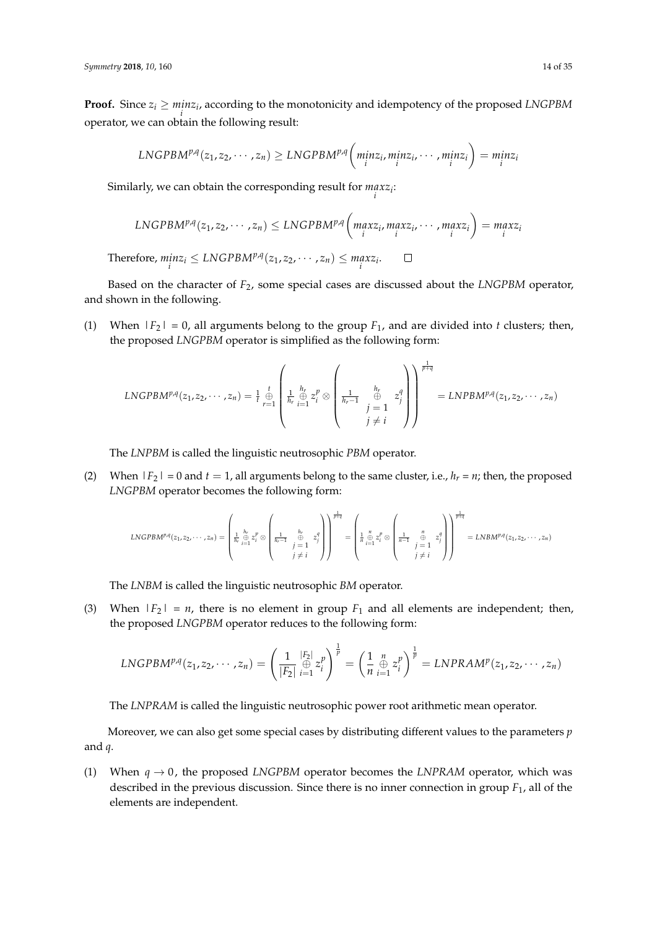**Proof.** Since  $z_i \geq minz_i$ , according to the monotonicity and idempotency of the proposed *LNGPBM i* operator, we can obtain the following result:

$$
LNGPBM^{p,q}(z_1, z_2, \cdots, z_n) \geq LNGPBM^{p,q}\left(\underset{i}{min}z_i, \underset{i}{min}z_i, \cdots, \underset{i}{min}z_i\right) = \underset{i}{min}z_i
$$

Similarly, we can obtain the corresponding result for *max zi* : *i*

$$
LNGPBM^{p,q}(z_1, z_2, \cdots, z_n) \leq LNGPBM^{p,q}\left(\max_{i} z_i, \max_{i} z_i, \cdots, \max_{i} z_i\right) = \max_{i} z_i
$$
  
Therefore,  $\min_{i} z_i \leq LNGPBM^{p,q}(z_1, z_2, \cdots, z_n) \leq \max_{i} z_i$ .

Based on the character of *F*2, some special cases are discussed about the *LNGPBM* operator, and shown in the following.

(1) When  $|F_2| = 0$ , all arguments belong to the group  $F_1$ , and are divided into *t* clusters; then, the proposed *LNGPBM* operator is simplified as the following form:

$$
LNGPB M^{p,q}(z_1, z_2, \cdots, z_n) = \frac{1}{t} \bigoplus_{r=1}^t \left( \frac{1}{h_r} \frac{h_r}{\bigoplus_{i=1}^h z_i^p} \otimes \left( \frac{1}{h_r - 1} \bigoplus_{\substack{j=1 \ j \neq i}}^{h_r} z_j^q \right) \right)^{\frac{1}{p+q}} = LNPB M^{p,q}(z_1, z_2, \cdots, z_n)
$$

The *LNPBM* is called the linguistic neutrosophic *PBM* operator.

(2) When  $|F_2| = 0$  and  $t = 1$ , all arguments belong to the same cluster, i.e.,  $h_r = n$ ; then, the proposed *LNGPBM* operator becomes the following form:

$$
LNGPBM^{p,q}(z_1, z_2, \cdots, z_n) = \left(\begin{matrix} \frac{h}{h_r} & \frac{h_r}{z_1^p} \otimes \begin{pmatrix} \frac{1}{h_r-1} & \frac{h_r}{z_1^p} \\ \frac{1}{h_r-1} & \frac{1}{p} & z_j^q \end{pmatrix} \\ \begin{pmatrix} \frac{1}{h_r-1} & \frac{h_r}{z_1^p} \\ \frac{1}{p} & \frac{1}{p} & \frac{1}{p} \end{pmatrix} \end{matrix}\right)^{\frac{1}{p+q}} = \left(\begin{matrix} \frac{n}{h_r} & \frac{n}{k} & z_j^q \\ \frac{1}{h_r-1} & \frac{1}{p} & \frac{1}{p} & z_j^q \\ \frac{1}{h_r-1} & \frac{1}{p} & \frac{1}{p} & \frac{1}{p} \end{pmatrix}\right)^{\frac{1}{p+q}} = LNBM^{p,q}(z_1, z_2, \cdots, z_n)
$$

The *LNBM* is called the linguistic neutrosophic *BM* operator.

(3) When  $|F_2| = n$ , there is no element in group  $F_1$  and all elements are independent; then, the proposed *LNGPBM* operator reduces to the following form:

$$
LNGPBM^{p,q}(z_1, z_2, \cdots, z_n) = \left(\frac{1}{|F_2|} \underset{i=1}{\overset{|F_2|}{\oplus}} z_i^p\right)^{\frac{1}{p}} = \left(\frac{1}{n} \underset{i=1}{\overset{n}{\oplus}} z_i^p\right)^{\frac{1}{p}} = LNPRAM^p(z_1, z_2, \cdots, z_n)
$$

The *LNPRAM* is called the linguistic neutrosophic power root arithmetic mean operator.

Moreover, we can also get some special cases by distributing different values to the parameters *p* and *q*.

(1) When  $q \rightarrow 0$ , the proposed *LNGPBM* operator becomes the *LNPRAM* operator, which was described in the previous discussion. Since there is no inner connection in group *F*1, all of the elements are independent.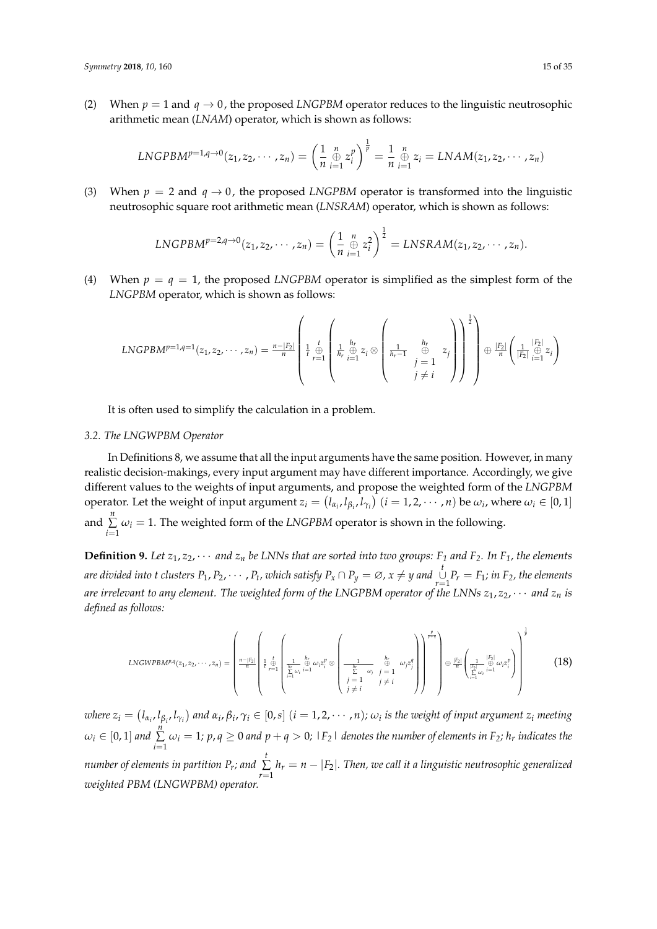(2) When  $p = 1$  and  $q \rightarrow 0$ , the proposed *LNGPBM* operator reduces to the linguistic neutrosophic arithmetic mean (*LNAM*) operator, which is shown as follows:

$$
LNGPBM^{p=1,q\to 0}(z_1, z_2, \cdots, z_n) = \left(\frac{1}{n} \bigoplus_{i=1}^n z_i^p\right)^{\frac{1}{p}} = \frac{1}{n} \bigoplus_{i=1}^n z_i = LNAM(z_1, z_2, \cdots, z_n)
$$

(3) When  $p = 2$  and  $q \rightarrow 0$ , the proposed *LNGPBM* operator is transformed into the linguistic neutrosophic square root arithmetic mean (*LNSRAM*) operator, which is shown as follows:

$$
LNGPBM^{p=2,q\rightarrow 0}(z_1,z_2,\cdots,z_n)=\left(\frac{1}{n}\underset{i=1}{\overset{n}{\oplus}}z_i^2\right)^{\frac{1}{2}}=LNSRAM(z_1,z_2,\cdots,z_n).
$$

(4) When  $p = q = 1$ , the proposed *LNGPBM* operator is simplified as the simplest form of the *LNGPBM* operator, which is shown as follows:

$$
LNGPB M^{p=1,q=1}(z_1, z_2, \cdots, z_n) = \frac{n-|F_2|}{n} \left( \frac{1}{t} \bigoplus_{r=1}^t \left( \frac{1}{h_r} \bigoplus_{i=1}^{h_r} z_i \otimes \left( \frac{1}{h_r-1} \bigoplus_{\substack{j=1 \ j \neq i}}^{h_r} z_j \right) \right)^{\frac{1}{2}} \right) \oplus \frac{|F_2|}{n} \left( \frac{1}{|F_2|} \bigoplus_{i=1}^{|F_2|} z_i \right)
$$

It is often used to simplify the calculation in a problem.

#### <span id="page-14-0"></span>*3.2. The LNGWPBM Operator*

In Definitions 8, we assume that all the input arguments have the same position. However, in many realistic decision-makings, every input argument may have different importance. Accordingly, we give different values to the weights of input arguments, and propose the weighted form of the *LNGPBM* operator. Let the weight of input argument  $z_i = (l_{\alpha_i}, l_{\beta_i}, l_{\gamma_i})$   $(i = 1, 2, \cdots, n)$  be  $\omega_i$ , where  $\omega_i \in [0, 1]$ and  $\sum_{n=1}^{\infty}$  $\sum_{i=1} \omega_i = 1$ . The weighted form of the *LNGPBM* operator is shown in the following.

**Definition 9.** Let  $z_1, z_2, \cdots$  and  $z_n$  be LNNs that are sorted into two groups:  $F_1$  and  $F_2$ *. In*  $F_1$ *, the elements* are divided into t clusters  $P_1, P_2, \cdots, P_t$ , which satisfy  $P_x \cap P_y = \varnothing$ ,  $x \neq y$  and  $\bigcup\limits_{r=1}^t P_r = F_1$ ; in  $F_2$ , the elements *are irrelevant to any element. The weighted form of the LNGPBM operator of the LNNs z*1, *z*2, · · · *and z<sup>n</sup> is defined as follows:*

$$
LNGWPBM^{p,q}(z_1, z_2, \cdots, z_n) = \left(\frac{\prod_{\substack{n=|F_2|\\n\\n\\n}}\left(\frac{1}{r+1}\oint\limits_{i=1}^{h_2} \omega_i \frac{1}{i=1} \omega_i z_i^p \otimes \left(\frac{1}{\sum_{\substack{k\\j\leq \omega_i\\j=1}}^{h_2} \omega_j z_j^q\right)} \left(\frac{1}{\sum_{\substack{k\\j\neq i}}^{h_2} \omega_j z_j^q\right)\right)^{\frac{p}{p+q}}\right) \oplus \frac{|F_2|}{n}\left(\frac{1}{\sum_{i=1}^{|F_2|} \oplus \omega_i z_i^p}\right)^{\frac{1}{p}}\right)
$$
(18)

where  $z_i=(l_{\alpha_i},l_{\beta_i},l_{\gamma_i})$  and  $\alpha_i,\beta_i,\gamma_i\in[0,s]$   $(i=1,2,\cdots,n)$ ;  $\omega_i$  is the weight of input argument  $z_i$  meeting  $\omega_i\in[0,1]$  and  $\sum\limits_{}^n\omega_i=1;$   $p,q\geq 0$  and  $p+q>0;$   $\mathop{|\mathnormal{F}_2|}\,$  denotes the number of elements in  $\mathop{\mathnormal{F}_2};$   $h_r$  indicates the *i*=1 *number of elements in partition P<sub>r</sub>; and*  $\sum_{i=1}^{t}$  $\sum_{r=1} h_r = n - |F_2|$ *. Then, we call it a linguistic neutrosophic generalized weighted PBM (LNGWPBM) operator.*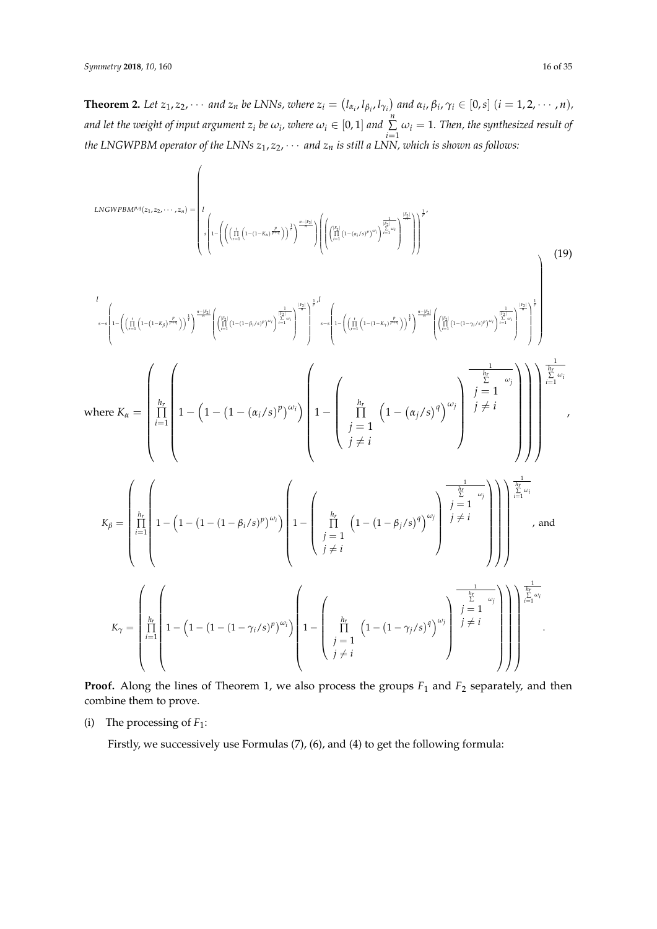**Theorem 2.** Let  $z_1, z_2, \cdots$  and  $z_n$  be LNNs, where  $z_i = (l_{\alpha_i}, l_{\beta_i}, l_{\gamma_i})$  and  $\alpha_i, \beta_i, \gamma_i \in [0, s]$   $(i = 1, 2, \cdots, n)$ , *and let the weight of input argument*  $z_i$  *be*  $\omega_i$ *, where*  $\omega_i \in [0,1]$  *and*  $\sum_{i=1}^n \frac{1}{n}$  $\sum_{i=1}$   $\omega_i = 1$ *. Then, the synthesized result of the LNGWPBM operator of the LNNs z*1, *z*2, · · · *and z<sup>n</sup> is still a LNN, which is shown as follows:*

$$
L_{\text{NGWPBM}^{p,q}(z_{1},z_{2},\cdots,z_{n}) =\n\begin{pmatrix}\n1 & \frac{1}{2} \\
1 & \frac{1}{2} \\
1 & \frac{1}{2} \\
1 & \frac{1}{2} \\
1 & \frac{1}{2} \\
1 & \frac{1}{2} \\
1 & \frac{1}{2} \\
1 & \frac{1}{2} \\
1 & \frac{1}{2} \\
1 & \frac{1}{2} \\
1 & \frac{1}{2} \\
1 & \frac{1}{2} \\
1 & \frac{1}{2} \\
1 & \frac{1}{2} \\
1 & \frac{1}{2} \\
1 & \frac{1}{2} \\
1 & \frac{1}{2} \\
1 & \frac{1}{2} \\
1 & \frac{1}{2} \\
1 & \frac{1}{2} \\
1 & \frac{1}{2} \\
1 & \frac{1}{2} \\
1 & \frac{1}{2} \\
1 & \frac{1}{2} \\
1 & \frac{1}{2} \\
1 & \frac{1}{2} \\
1 & \frac{1}{2} \\
1 & \frac{1}{2} \\
1 & \frac{1}{2} \\
1 & \frac{1}{2} \\
1 & \frac{1}{2} \\
1 & \frac{1}{2} \\
1 & \frac{1}{2} \\
1 & \frac{1}{2} \\
1 & \frac{1}{2} \\
1 & \frac{1}{2} \\
1 & \frac{1}{2} \\
1 & \frac{1}{2} \\
1 & \frac{1}{2} \\
1 & \frac{1}{2} \\
1 & \frac{1}{2} \\
1 & \frac{1}{2} \\
1 & \frac{1}{2} \\
1 & \frac{1}{2} \\
1 & \frac{1}{2} \\
1 & \frac{1}{2} \\
1 & \frac{1}{2} \\
1 & \frac{1}{2} \\
1 & \frac{1}{2} \\
1 & \frac{1}{2} \\
1 & \frac{1}{2} \\
1 & \frac{1}{2} \\
1 & \frac{1}{2} \\
1 & \frac{1}{2} \\
1 & \frac{1}{2} \\
1 & \frac{1}{2} \\
1 & \frac{1}{2} \\
1 & \frac{1}{2} \\
1 & \frac{1}{2} \\
1 & \frac{1}{2} \\
1 & \frac{1}{2} \\
1 & \frac{1}{2} \\
1 & \frac{1}{2} \\
1 & \frac{1}{2} \\
1 & \frac{1}{2} \\
1 & \frac{1}{2} \\
1 & \frac{1}{2} \\
1 & \frac{1}{2} \\
1 & \frac{1}{2} \\
1 & \frac{1}{2} \\
1 & \frac{1}{2} \\
1 & \frac{1}{2} \\
$$

**Proof.** Along the lines of Theorem 1, we also process the groups  $F_1$  and  $F_2$  separately, and then combine them to prove.

(i) The processing of  $F_1$ :

Firstly, we successively use Formulas (7), (6), and (4) to get the following formula: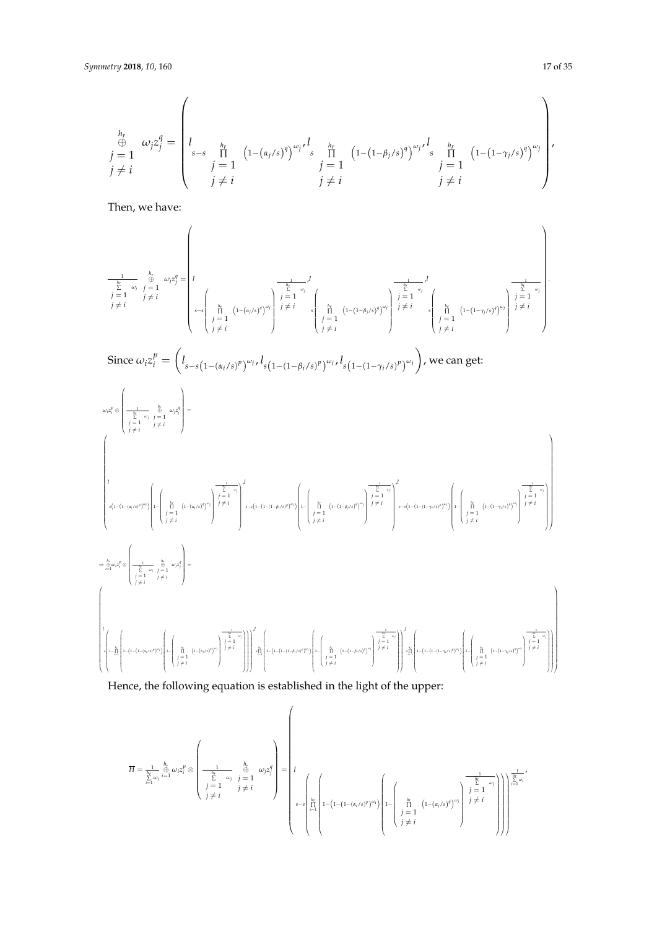$$
\begin{aligned}\n\stackrel{h_r}{\oplus} \quad & \omega_j z_j^q = \n\begin{bmatrix}\n1 & \text{if } \quad |I - (\alpha_j / s)^q \rangle^{\omega_j / l}, & \text{if } \quad |I - (1 - \beta_j / s)^q \rangle^{\omega_j / l}, & \text{if } \quad |I - (1 - \gamma_j / s)^q \rangle^{\omega_j} \\
j & \neq i & \quad j \neq i & \quad j \neq i\n\end{bmatrix}, \\
j & \text{if } \quad j \neq i\n\end{aligned}
$$

Then, we have:

$$
\frac{1}{\sum\limits_{j=1}^{h_r} \omega_j} \underset{j \neq i}{\overset{h_r}{\sum}} \omega_j z_j^q = \left[ l \underset{j \neq i}{\overset{\sum\limits_{k=1}^{h_r} \omega_j z_j^q = l}{\left( l - (\alpha_j/s)^q \right)^{\omega_j}} \right)} \frac{1}{j = 1} \int\limits_{j \neq i}^{l} \frac{1}{\left( l - (1 - \beta_j/s)^q \right)^{\omega_j}} \frac{1}{j \neq i} \int\limits_{j \neq i}^{\frac{1}{h_r} \omega_j} \frac{1}{j \neq i} \int\limits_{j \neq i}^{h_r} \frac{1}{\left( l - (1 - \beta_j/s)^q \right)^{\omega_j}} \frac{1}{j \neq i} \int\limits_{j \neq i}^{h_r} \frac{1}{\left( l - (1 - \gamma_j/s)^q \right)^{\omega_j}} \right)^{\frac{1}{j \neq i}} \frac{1}{j \neq i}.
$$

Since 
$$
\omega_i z_i^p = \left( l_{s-s(1-(\alpha_i/s)^p)} \omega_i, l_{s(1-(1-\beta_i/s)^p)} \omega_i, l_{s(1-(1-\gamma_i/s)^p)} \omega_i \right)
$$
, we can get:



Hence, the following equation is established in the light of the upper:

$$
\overline{H} = \frac{1}{\sum\limits_{i=1}^{h_r} \omega_i} \bigoplus\limits_{i=1}^{\hat{h}_r} \omega_i z_i^p \otimes \left(\frac{1}{\sum\limits_{j=1}^{h_r} \omega_j} \bigoplus\limits_{j=1}^{\hat{h}_r} \omega_j z_j^q\right) = \left[\begin{matrix} 1 \\ 1 \\ 1 \\ 1 \end{matrix}\right]
$$
\n
$$
\left(\begin{matrix} \sum\limits_{j=1}^{h_r} \omega_j z_j^q \\ \sum\limits_{j=1}^{h_r} \omega_j z_j^q \end{matrix}\right) = \left[\begin{matrix} 1 \\ 1 \\ 1 \\ 1 \end{matrix}\right]
$$
\n
$$
\left(\begin{matrix} \sum\limits_{j=1}^{h_r} \omega_j z_j^q \\ \sum\limits_{i=1}^{h_r} \omega_i z_j^q \end{matrix}\right) = \left(\begin{matrix} 1 \\ 1 \\ 1 \end{matrix}\right)
$$
\n
$$
\left(\begin{matrix} \sum\limits_{j=1}^{h_r} \omega_j z_j^q \\ \sum\limits_{i=1}^{h_r} \omega_i z_j^q \end{matrix}\right) = \left(\begin{matrix} 1 \\ 1 \\ 1 \end{matrix}\right)
$$
\n
$$
\left(\begin{matrix} \sum\limits_{j=1}^{h_r} \omega_j z_j^q \\ \sum\limits_{i=1}^{h_r} \omega_i z_j^q \end{matrix}\right) = \left(\begin{matrix} 1 \\ 1 \\ 1 \end{matrix}\right)
$$

,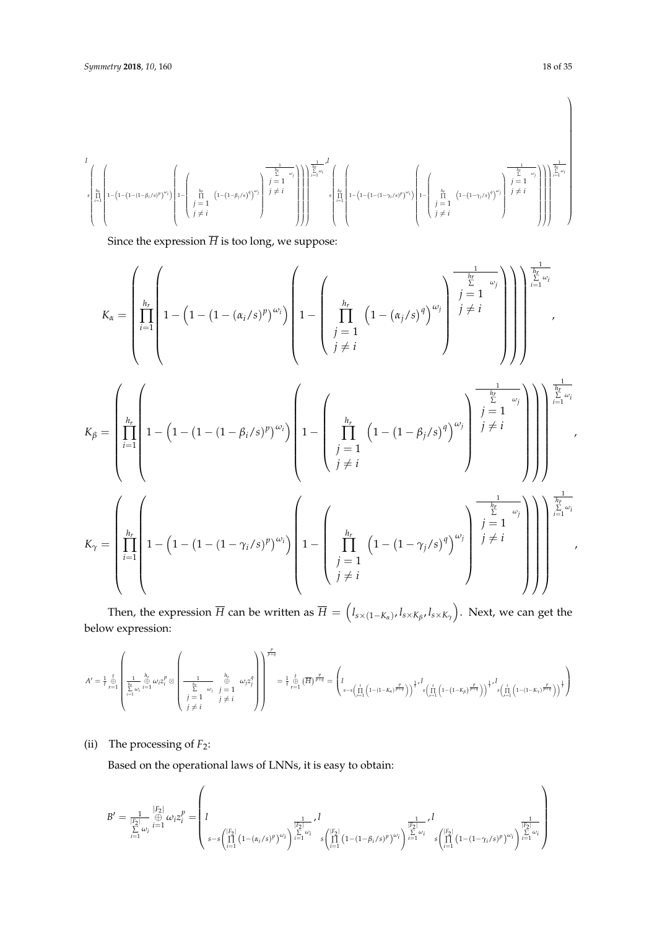$$
\begin{array}{c} \displaystyle l \\\\ \displaystyle s \left(\prod\limits_{l=1}^{h_r} \left(1-\left(1-\left(1-\left(1-\beta_l/s\right)^p\right)^{\omega_l}\right)\left(1-\left(\prod\limits_{\begin{array}{l}j=1\\j\neq i\end{array}}^{h_r} \left(1-\left(1-\beta_l/s\right)^q\right)^{\omega_j}\right)\right)^{\frac{1}{p}} \right)^{\frac{1}{p}}\right)^{\frac{1}{h_r}-\omega_l} \right) \end{array}\right) \end{array}
$$

Since the expression  $\overline{H}$  is too long, we suppose:

$$
K_{\alpha} = \left(\prod_{i=1}^{h_r} \left(1 - \left(1 - (1 - (\alpha_i/s)^p)^{\omega_i}\right)\left(1 - \left(\prod_{j=1}^{h_r} \left(1 - (\alpha_j/s)^q\right)^{\omega_j}\right)\right)^{\frac{1}{\substack{j=1 \text{odd } j \neq i}}}\right)\right)^{\frac{1}{\substack{k=1 \text{odd } j \neq i}}}\right)
$$
\n
$$
K_{\beta} = \left(\prod_{i=1}^{h_r} \left(1 - \left(1 - (1 - (1 - \beta_i/s)^p)^{\omega_i}\right)\left(1 - \left(\prod_{j=1}^{h_r} \left(1 - (1 - \beta_j/s)^q\right)^{\omega_j}\right)^{\frac{1}{\substack{j=1 \text{odd } j \neq i}}}\right)\right)^{\frac{1}{\substack{j=1 \text{odd } j \neq i}}}\right)
$$
\n
$$
K_{\gamma} = \left(\prod_{i=1}^{h_r} \left(1 - \left(1 - (1 - (1 - \gamma_i/s)^p)^{\omega_i}\right)\left(1 - \left(\prod_{j=1}^{h_r} \left(1 - (1 - \beta_j/s)^q\right)^{\omega_j}\right)^{\frac{1}{\substack{j=1 \text{odd } j \neq i}}}\right)\right)^{\frac{1}{\substack{j=1 \text{odd } j \neq i}}}\right)
$$
\n
$$
K_{\gamma} = \left(\prod_{i=1}^{h_r} \left(1 - (1 - (1 - \gamma_i/s)^p)^{\omega_i}\right)\left(1 - \left(\prod_{j=1}^{h_r} \left(1 - (1 - \gamma_j/s)^q\right)^{\omega_j}\right)^{\frac{1}{\substack{j=1 \text{odd } j \neq i}}}\right)\right)^{\frac{1}{\substack{k=1 \text{odd } j \neq i}}}\right)
$$

Then, the expression  $\overline{H}$  can be written as  $\overline{H}=\left(l_{s\times (1-K_\alpha)},l_{s\times K_\beta},l_{s\times K_\gamma}\right)$ . Next, we can get the below expression:

$$
A' = \tfrac{1}{t} \bigoplus_{r=1}^t \left(\tfrac{1}{\sum\limits_{i=1}^{h_r} \omega_i} \sum\limits_{i=1}^{\alpha_r} \omega_i z_i^p \otimes \left(\tfrac{1}{\sum\limits_{j=1}^L \omega_j} \sum\limits_{j=1}^{\beta_r} \omega_j z_j^q\right)\right) = \tfrac{1}{t} \bigoplus_{r=1}^t \left(\overline{H}\right)^{\frac{p}{p+q}} = \left(l \sum\limits_{s=s\left(\prod\limits_{i=1}^t \left(1-(1-K_s)\frac{p}{p+q}\right)\right)} \tfrac{1}{t} \cdot l \left(\prod\limits_{i=1}^t \left(1-(1-K_\beta)\frac{p}{p+q}\right)\right)^{\frac{1}{t} \cdot l} s\left(\prod\limits_{i=1}^t \left(1-(1-K_i)\frac{p}{p+q}\right)\right)^{\frac{1}{t} \cdot l} s\left(\prod\limits_{i=1}^t \left(1-(1-K_i)\frac{p}{p+q}\right)\right)^{\frac{1}{t} \cdot l} \left(\prod\limits_{i=1}^t \left(1-(1-K_i)\frac{p}{p+q}\right)\right)^{\frac{1}{t} \cdot l} s\left(\prod\limits_{i=1}^t \left(1-(1-K_i)\frac{p}{p+q}\right)\right)^{\frac{1}{t} \cdot l} s\left(\prod\limits_{i=1}^t \left(1-(1-K_i)\frac{p}{p+q}\right)\right)^{\frac{1}{t} \cdot l} \left(\prod\limits_{i=1}^t \left(1-(1-K_i)\frac{p}{p+q}\right)\right)^{\frac{1}{t} \cdot l} s\left(\prod\limits_{i=1}^t \left(1-(1-K_i)\frac{p}{p+q}\right)\right)^{\frac{1}{t} \cdot l} s\left(\prod\limits_{i=1}^t \left(1-(1-K_i)\frac{p}{p+q}\right)\right)^{\frac{1}{t} \cdot l} s\left(\prod\limits_{i=1}^t \left(1-(1-K_i)\frac{p}{p+q}\right)\right)^{\frac{1}{t} \cdot l} s\left(\prod\limits_{i=1}^t \left(1-(1-K_i)\frac{p}{p+q}\right)\right)^{\frac{1}{t} \cdot l} s\left(\prod\limits_{i=1}^t \left(1-(1-K_i)\frac{p}{p+q}\right)\right)^{\frac{1}{
$$

(ii) The processing of  $F_2$ :

Based on the operational laws of LNNs, it is easy to obtain:

$$
B' = \frac{1}{\sum\limits_{i=1}^{|F_2|} \bigoplus\limits_{i=1}^{|F_2|} \omega_i z_i^p} = \left( l \sum_{s=s\left(\prod\limits_{i=1}^{|F_2|} (1-(\alpha_i/s)^p)^{\omega_i}\right)}^{\frac{1}{|F_2|}} \sum_{i=1}^l \left( l \sum_{s=s\left(\prod\limits_{i=1}^{|F_2|} (1-(1-\beta_i/s)^p)^{\omega_i}\right)}^{\frac{1}{|F_2|}} \right)^{\frac{1}{|F_2|}} \sum_{i=1}^l \left( l \sum_{i=1}^{|F_2|} (1-(1-\gamma_i/s)^p)^{\omega_i}\right)^{\frac{1}{|F_2|}} \sum_{i=1}^{|F_2|} \left( l \sum_{s=s\left(\sum\limits_{i=1}^{|F_2|} (1-(1-\gamma_i/s)^p)^{\omega_i}\right)}^{\frac{1}{|F_2|}} \right)^{\frac{1}{|F_2|}} \right)
$$

 $\setminus$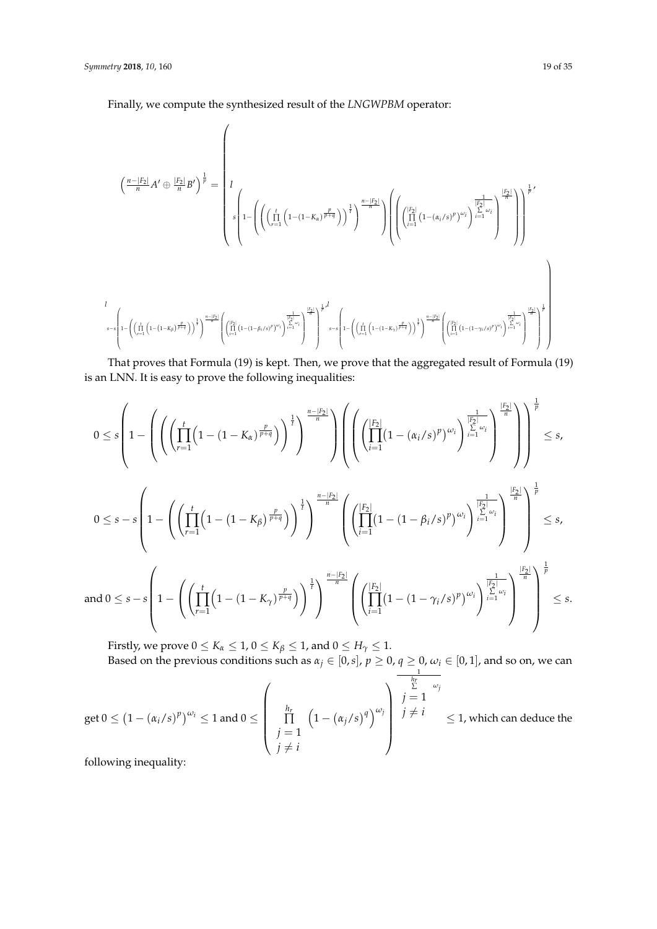Finally, we compute the synthesized result of the *LNGWPBM* operator:

 $\overline{1}$ 

$$
\begin{pmatrix}\n\frac{n-|F_2|}{n}A' \oplus \frac{|F_2|}{n}B'\n\end{pmatrix}^{\frac{1}{p}} = \n\begin{pmatrix}\n\frac{1}{2}\n\end{pmatrix}\n\begin{pmatrix}\n\frac{1}{2} & \frac{1}{2} \\
\frac{1}{2} & \frac{1}{2} \\
\frac{1}{2} & \frac{1}{2} \\
\frac{1}{2} & \frac{1}{2} \\
\frac{1}{2} & \frac{1}{2} \\
\frac{1}{2} & \frac{1}{2} \\
\frac{1}{2} & \frac{1}{2} \\
\frac{1}{2} & \frac{1}{2} \\
\frac{1}{2} & \frac{1}{2} \\
\frac{1}{2} & \frac{1}{2} \\
\frac{1}{2} & \frac{1}{2} \\
\frac{1}{2} & \frac{1}{2} \\
\frac{1}{2} & \frac{1}{2} \\
\frac{1}{2} & \frac{1}{2} \\
\frac{1}{2} & \frac{1}{2} \\
\frac{1}{2} & \frac{1}{2} \\
\frac{1}{2} & \frac{1}{2} \\
\frac{1}{2} & \frac{1}{2} \\
\frac{1}{2} & \frac{1}{2} \\
\frac{1}{2} & \frac{1}{2} \\
\frac{1}{2} & \frac{1}{2} \\
\frac{1}{2} & \frac{1}{2} \\
\frac{1}{2} & \frac{1}{2} \\
\frac{1}{2} & \frac{1}{2} \\
\frac{1}{2} & \frac{1}{2} \\
\frac{1}{2} & \frac{1}{2} \\
\frac{1}{2} & \frac{1}{2} \\
\frac{1}{2} & \frac{1}{2} \\
\frac{1}{2} & \frac{1}{2} \\
\frac{1}{2} & \frac{1}{2} \\
\frac{1}{2} & \frac{1}{2} \\
\frac{1}{2} & \frac{1}{2} \\
\frac{1}{2} & \frac{1}{2} \\
\frac{1}{2} & \frac{1}{2} \\
\frac{1}{2} & \frac{1}{2} \\
\frac{1}{2} & \frac{1}{2} \\
\frac{1}{2} & \frac{1}{2} \\
\frac{1}{2} & \frac{1}{2} \\
\frac{1}{2} & \frac{1}{2} \\
\frac{1}{2} & \frac{1}{2} \\
\frac{1}{2} & \frac{1}{2} \\
\frac{1}{2} & \frac{1}{2} \\
\frac{1}{
$$

That proves that Formula (19) is kept. Then, we prove that the aggregated result of Formula (19) is an LNN. It is easy to prove the following inequalities:

$$
0 \leq s \left(1 - \left( \left( \prod_{r=1}^{t} \left(1 - (1 - K_{\alpha})^{\frac{p}{p+q}}\right) \right)^{\frac{1}{t}} \right)^{\frac{n-|F_{2}|}{n}} \right) \left( \left( \left( \prod_{i=1}^{|F_{2}|} (1 - (\alpha_{i}/s)^{p})^{\omega_{i}} \right)^{\frac{1}{\sum_{i=1}^{t} \omega_{i}} - 1} \right)^{\frac{1}{\sum_{i=1}^{t} \omega_{i}} \right) \right)^{\frac{1}{p}} \leq s,
$$
  

$$
0 \leq s - s \left(1 - \left( \left( \prod_{r=1}^{t} \left(1 - (1 - K_{\beta})^{\frac{p}{p+q}}\right) \right)^{\frac{1}{t}} \right)^{\frac{n-|F_{2}|}{n}} \left( \left( \prod_{i=1}^{|F_{2}|} (1 - (1 - \beta_{i}/s)^{p})^{\omega_{i}} \right)^{\frac{1}{\sum_{i=1}^{t} \omega_{i}} - 1} \right)^{\frac{1}{\sum_{i=1}^{t} \omega_{i}} \right)^{\frac{1}{p}} \leq s,
$$
  
and  $0 \leq s - s \left(1 - \left( \left( \prod_{r=1}^{t} \left(1 - (1 - K_{\gamma})^{\frac{p}{p+q}}\right) \right)^{\frac{1}{t}} \right)^{\frac{n-|F_{2}|}{n}} \left( \left( \prod_{i=1}^{|F_{2}|} (1 - (1 - \gamma_{i}/s)^{p})^{\omega_{i}} \right)^{\frac{1}{\sum_{i=1}^{t} \omega_{i}} - 1} \right)^{\frac{1}{\sum_{i=1}^{t} \omega_{i}} \right)^{\frac{1}{n}} \right)^{\frac{1}{p}} \leq s.$ 

Firstly, we prove  $0 \leq K_\alpha \leq 1$ ,  $0 \leq K_\beta \leq 1$ , and  $0 \leq H_\gamma \leq 1$ . Based on the previous conditions such as  $\alpha_j \in [0,s]$ ,  $p \ge 0$ ,  $q \ge 0$ ,  $\omega_i \in [0,1]$ , and so on, we can  $\frac{1}{h_r}$ 

get 
$$
0 \le (1 - (\alpha_i/s)^p)^{\omega_i} \le 1
$$
 and  $0 \le \begin{pmatrix} \frac{h_r}{\prod} & (1 - (\alpha_j/s)^q)^{\omega_j} \\ \frac{h_r}{j} & (1 - (\alpha_j/s)^q)^{\omega_j} \end{pmatrix} \begin{cases} \sum_{\substack{j=1 \ j \neq i}}^{\frac{h_r}{\sum} \omega_j} & j = 1 \\ j \neq i & \le 1, \text{ which can deduce the following inequality:} \end{cases}$ 

following inequality: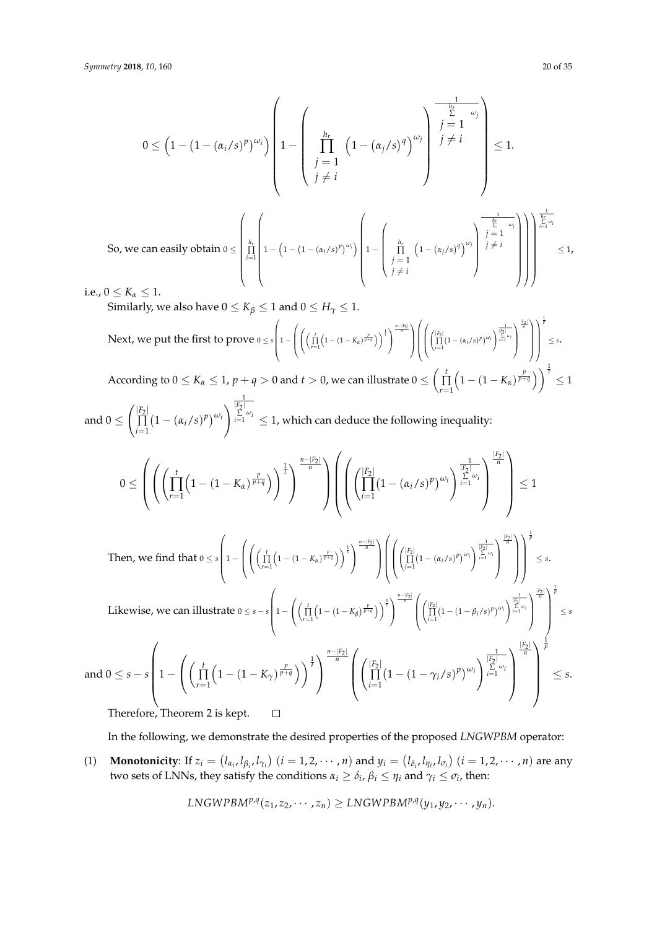$$
0 \leq \left(1 - \left(1 - (\alpha_i/s)^p\right)^{\omega_i}\right) \left(1 - \left(\prod_{\substack{j=1 \ j \neq i}}^{h_r} \left(1 - (\alpha_j/s)^q\right)^{\omega_j}\right) \begin{matrix} \frac{1}{h_r} \\ j \neq i \\ j \neq i \end{matrix}\right) \leq 1.
$$
  
So, we can easily obtain  $0 \leq \left(\prod_{i=1}^{h_r} \left(1 - \left(1 - (\alpha_i/s)^p\right)^{\omega_i}\right) \left(1 - \left(\prod_{\substack{j=1 \ j \neq i}}^{h_r} \left(1 - (\alpha_j/s)^q\right)^{\omega_j}\right)^{\frac{1}{\sum_{i=1}^{h_r} \omega_i}}\right)\right)^{\frac{1}{\sum_{i=1}^{h_r} \omega_i}} \leq 1,$ 

i.e.,  $0 \le K_{\alpha} \le 1$ .

Similarly, we also have  $0 \le K_\beta \le 1$  and  $0 \le H_\gamma \le 1$ .

Next, we put the first to prove 
$$
0 \le s \left( 1 - \left( \left( \prod_{r=1}^t \left( 1 - (1 - K_\alpha)^{\frac{p}{p+q}} \right) \right)^{\frac{1}{t}} \right)^{\frac{n-|F_2|}{n}} \right) \left( \left( \prod_{i=1}^{\left[ F_2 \right]} \left( 1 - (\alpha_i/s)^p \right)^{\omega_i} \right)^{\frac{1}{\left[ F_2 \right]} \left[ \frac{p}{n} \right]} \right)^{\frac{1}{p}} \right) \le s.
$$

According to  $0 \le K_\alpha \le 1$ ,  $p + q > 0$  and  $t > 0$ , we can illustrate  $0 \le \left(\prod_{r=1}^t$  $\left(1 - (1 - K_{\alpha})^{\frac{p}{p+q}}\right)\right)^{\frac{1}{t}} \leq 1$  $\frac{1}{|F_2|}$ 

and 
$$
0 \leq \left( \prod_{i=1}^{|F_2|} \left(1 - (\alpha_i/s)^p\right)^{\omega_i} \right)^{\sum_{i=1}^{|F_2|} \omega_i} \leq 1
$$
, which can deduce the following inequality:  

$$
0 \leq \left( \left( \left( \prod_{r=1}^t \left(1 - (1 - K_\alpha)^{\frac{p}{p+q}}\right) \right)^{\frac{1}{t}} \right)^{\frac{n-|F_2|}{n}} \right) \left( \left( \left( \prod_{i=1}^{|F_2|} \left(1 - (\alpha_i/s)^p\right)^{\omega_i} \right)^{\frac{1}{|F_2|}{\sum_{i=1}^{|F_3|} \omega_i}} \right)^{\frac{|F_2|}{n}} \right) \leq 1
$$

Then, we find that 
$$
0 \le s \left( 1 - \left( \left( \prod_{r=1}^t \left( 1 - (1 - K_{\alpha})^{\frac{p}{p+q}} \right) \right)^{\frac{1}{t}} \right)^{\frac{n-|F_2|}{n}} \right) \left( \left( \left( \prod_{i=1}^{\lfloor F_2 \rfloor} (1 - (\alpha_i/s)^p)^{\omega_i} \right)^{\frac{1}{\lfloor F_2 \rfloor} \left( \sum_{i=1}^{\lfloor F_2 \rfloor} \alpha_i \right)^{\frac{1}{n}} \right)} \right)^{\frac{1}{p}} \le s.
$$
  
Likewise, we can illustrate  $0 \le s - s \left( 1 - \left( \left( \prod_{r=1}^t \left( 1 - (1 - K_{\beta})^{\frac{p}{p+q}} \right) \right)^{\frac{1}{t}} \right)^{\frac{n-|F_2|}{n}} \left( \left( \prod_{i=1}^{\lfloor F_2 \rfloor} (1 - (1 - \beta_i/s)^p)^{\omega_i} \right)^{\frac{1}{\lfloor F_2 \rfloor} \left( \sum_{i=1}^{\lfloor F_2 \rfloor} \alpha_i \right)^{\frac{1}{n}} \right)^{\frac{1}{p}} \le s$ 

$$
\text{and } 0 \leq s - s \left( 1 - \left( \left( \prod_{r=1}^t \left( 1 - (1 - K_\gamma)^{\frac{p}{p+q}} \right) \right)^{\frac{1}{q}} \right)^{\frac{n - |F_2|}{n}} \left( \left( \prod_{i=1}^{|F_2|} \left( 1 - (1 - \gamma_i/s)^p \right)^{\omega_i} \right)^{\frac{1}{\sum\limits_{i=1}^{|F_2|} \omega_i}} \right)^{\frac{|F_2|}{n}} \right)^{\frac{1}{p}} \leq s.
$$
\n
$$
\text{Therefore, Theorem 2 is kept.} \qquad \Box
$$

Therefore, Theorem 2 is kept.

In the following, we demonstrate the desired properties of the proposed *LNGWPBM* operator:

(1) **Monotonicity**: If  $z_i = (l_{\alpha_i}, l_{\beta_i}, l_{\gamma_i})$   $(i = 1, 2, \cdots, n)$  and  $y_i = (l_{\delta_i}, l_{\eta_i}, l_{\sigma_i})$   $(i = 1, 2, \cdots, n)$  are any two sets of LNNs, they satisfy the conditions  $α_i ≥ δ_i$ ,  $β_i ≤ η_i$  and  $γ_i ≤ σ_i$ , then:

$$
LNGWPBM^{p,q}(z_1, z_2, \cdots, z_n) \geq LNGWPBM^{p,q}(y_1, y_2, \cdots, y_n).
$$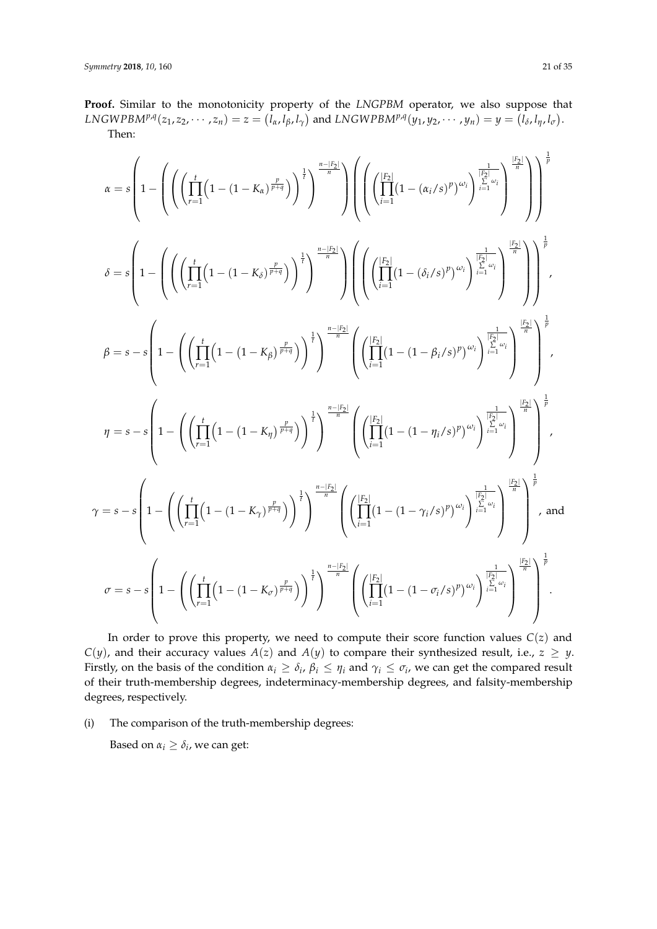**Proof.** Similar to the monotonicity property of the *LNGPBM* operator, we also suppose that  $LNGWPBM^{p,q}(z_1,z_2,\cdots,z_n)=z=\left(l_\alpha,l_\beta,l_\gamma\right)$  and  $LNGWPBM^{p,q}(y_1,y_2,\cdots,y_n)=y=\left(l_\delta,l_\eta,l_\sigma\right)$ . Then:

$$
\begin{split} \alpha & = s \left( 1 - \left( \left( \prod_{r=1}^{t} \left( 1 - (1 - K_{\alpha})^{\frac{p}{p+q}} \right) \right)^{\frac{1}{l}} \right)^{\frac{n-|F_2|}{n}} \right) \left( \left( \prod_{i=1}^{|F_2|} (1 - (\alpha_i/s)^p)^{\omega_i} \right)^{\frac{1}{|\frac{k_1|}{n-1}\omega_i}} \right)^{\frac{1}{l}} \right)^{\frac{1}{p}} \\ \delta & = s \left( 1 - \left( \left( \prod_{r=1}^{t} \left( 1 - (1 - K_{\delta})^{\frac{p}{p+q}} \right) \right)^{\frac{1}{l}} \right)^{\frac{n-|F_2|}{n}} \right) \left( \left( \prod_{i=1}^{|F_2|} (1 - (\delta_i/s)^p)^{\omega_i} \right)^{\frac{1}{|\frac{k_1|}{n-1}\omega_i}} \right)^{\frac{1}{l}} \right)^{\frac{1}{p}} \\ \beta & = s - s \left( 1 - \left( \left( \prod_{r=1}^{t} \left( 1 - (1 - K_{\beta})^{\frac{p}{p+q}} \right) \right)^{\frac{1}{l}} \right)^{\frac{n-|F_2|}{n}} \left( \left( \prod_{i=1}^{|F_2|} (1 - (1 - \beta_i/s)^p)^{\omega_i} \right)^{\frac{1}{|\frac{k_2|}{n-1}\omega_i}} \right)^{\frac{1}{l}} \right)^{\frac{1}{p}} \\ \eta & = s - s \left( 1 - \left( \left( \prod_{r=1}^{t} \left( 1 - (1 - K_{\eta})^{\frac{p}{p+q}} \right) \right)^{\frac{1}{l}} \right)^{\frac{n-|F_2|}{n}} \left( \left( \prod_{i=1}^{|F_2|} (1 - (1 - \gamma_i/s)^p)^{\omega_i} \right)^{\frac{1}{|\frac{k_2|}{n-1}\omega_i}} \right)^{\frac{1}{l}} \right)^{\frac{1}{p}} \\ \gamma & = s - s \left( 1 - \left( \left( \prod_{r=1}^{t} \left( 1 - (1 - K_{\eta})^{\frac{p}{p+q}} \right) \right)^{\frac{1}{l}} \right)^{\frac{n-|F_2|}{n}} \left( \left( \prod_{i=1}^{|F_2|} (1 - (1 - \gamma_i/s)^p)^{\
$$

In order to prove this property, we need to compute their score function values *C*(*z*) and *C*(*y*), and their accuracy values *A*(*z*) and *A*(*y*) to compare their synthesized result, i.e.,  $z \geq y$ . Firstly, on the basis of the condition  $\alpha_i \geq \delta_i$ ,  $\beta_i \leq \eta_i$  and  $\gamma_i \leq \sigma_i$ , we can get the compared result of their truth-membership degrees, indeterminacy-membership degrees, and falsity-membership degrees, respectively.

(i) The comparison of the truth-membership degrees:

Based on  $\alpha_i \geq \delta_i$ , we can get: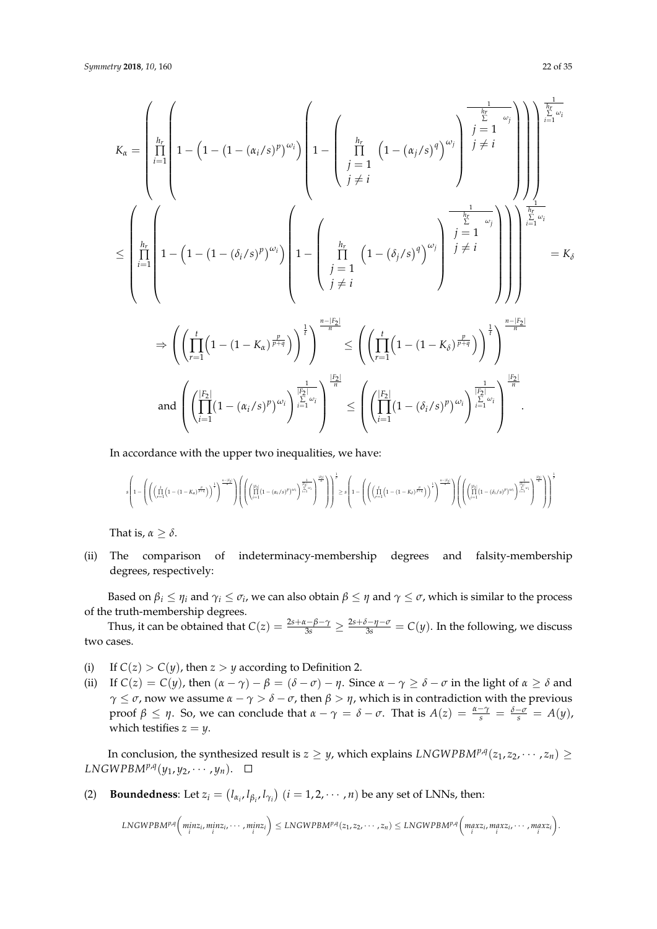$$
K_{\alpha} = \left(\prod_{\substack{i=1 \ i=1}}^{h_r} \left(1 - \left(1 - (1 - (\alpha_i/s)^p)^{\omega_i}\right)\left(1 - \left(\prod_{\substack{j=1 \ i\neq i}}^{h_r} \left(1 - (\alpha_j/s)^q\right)^{\omega_j}\right)\right)^{\frac{1}{p}}\right)^{\frac{1}{p}} \neq i\right)
$$
\n
$$
\leq \left(\prod_{\substack{i=1 \ i\neq i}}^{h_r} \left(1 - \left(1 - (\delta_i/s)^p\right)^{\omega_i}\right)\left(1 - \left(\prod_{\substack{j=1 \ i\neq i}}^{h_r} \left(1 - (\delta_j/s)^q\right)^{\omega_j}\right)^{\frac{1}{p}}\right)^{\frac{1}{p}} \neq i\right)
$$
\n
$$
\Rightarrow \left(\left(\prod_{r=1}^{h_r} \left(1 - (1 - K_{\alpha})^{\frac{p}{p+q}}\right)\right)^{\frac{1}{p}}\right)^{\frac{n-|F_2|}{n}} \leq \left(\left(\prod_{r=1}^{h_r} \left(1 - (1 - K_{\delta})^{\frac{p}{p+q}}\right)\right)^{\frac{1}{p}}\right)^{\frac{n-|F_2|}{n}} = K_{\delta}
$$
\n
$$
\text{and } \left(\left(\prod_{i=1}^{k} (1 - (1 - K_{\alpha})^p)^{\omega_i}\right)^{\frac{1}{k}}\right)^{\frac{1}{k-1}\omega_i} \leq \left(\left(\prod_{r=1}^{k} (1 - (1 - K_{\delta})^p)^{\frac{p}{p+q}}\right)^{\frac{1}{k}}\right)^{\frac{n-|F_2|}{n}}
$$

In accordance with the upper two inequalities, we have:

$$
s\left(1-\left(\left(\left(\prod\limits_{r=1}^{t}\left(1-(1-K_s)^{\frac{p}{p+q}}\right)\right)^{\frac{1}{q}}\right)^{\frac{n-|F_1|}{n}}\right)\left(\left(\left(\prod\limits_{l=1}^{|F_2|}{\left(1-(\alpha_i/s)^p\right)^{\omega_l}}\right)^{\frac{1}{|\alpha_l|}\omega_l}\right)^{\frac{1}{q}}\right)\right)^{\frac{1}{p}}\geq s\left(1-\left(\left(\left(\prod\limits_{r=1}^{t}\left(1-(1-K_s)^{\frac{p}{p+q}}\right)\right)^{\frac{1}{q}}\right)^{\frac{n-|F_2|}{n}}\right)\left(\left(\left(\prod\limits_{l=1}^{|F_2|}{\left(1-(\delta_l/s)^p\right)^{\omega_l}}\right)^{\frac{1}{|\alpha_l|}\omega_l}\right)^{\frac{1}{q}}\right)^{\frac{n-|F_3|}{n}}\right)^{\frac{n-|F_4|}{n}}\right)^{\frac{n-|F_4|}{n}}\right)
$$

That is,  $\alpha \geq \delta$ .

(ii) The comparison of indeterminacy-membership degrees and falsity-membership degrees, respectively:

Based on  $\beta_i \leq \eta_i$  and  $\gamma_i \leq \sigma_i$ , we can also obtain  $\beta \leq \eta$  and  $\gamma \leq \sigma$ , which is similar to the process of the truth-membership degrees.

Thus, it can be obtained that  $C(z) = \frac{2s + \alpha - \beta - \gamma}{3s} \ge \frac{2s + \delta - \eta - \sigma}{3s} = C(y)$ . In the following, we discuss two cases.

- (i) If  $C(z) > C(y)$ , then  $z > y$  according to Definition 2.
- (ii) If  $C(z) = C(y)$ , then  $(\alpha \gamma) \beta = (\delta \sigma) \eta$ . Since  $\alpha \gamma \ge \delta \sigma$  in the light of  $\alpha \ge \delta$  and *γ*  $\leq$  *σ*, now we assume  $\alpha$  – *γ* > *δ* – *σ*, then  $\beta$  > *η*, which is in contradiction with the previous *proof β* ≤ *η*. So, we can conclude that  $α − γ = δ − σ$ . That is  $A(z) = \frac{α - γ}{s} = \frac{δ - σ}{s} = A(y)$ , which testifies  $z = y$ .

In conclusion, the synthesized result is  $z \geq y$ , which explains  $\textit{LNGWPBM}^{p,q}(z_1, z_2, \cdots, z_n) \geq$  $LNGWPBM^{p,q}(y_1, y_2, \cdots, y_n).$ 

(2) **Boundedness**: Let  $z_i = (l_{\alpha_i}, l_{\beta_i}, l_{\gamma_i})$   $(i = 1, 2, \cdots, n)$  be any set of LNNs, then:

$$
LNGWPB M^{p,q}\left(\underset{i}{min}z_{i},\underset{i}{min}z_{i},\cdots,\underset{i}{min}z_{i}\right)\leq LNGWPB M^{p,q}(z_{1},z_{2},\cdots,z_{n})\leq LNGWPB M^{p,q}\left(\underset{i}{max}z_{i},\underset{i}{max}z_{i},\cdots,\underset{i}{max}z_{i}\right).
$$

.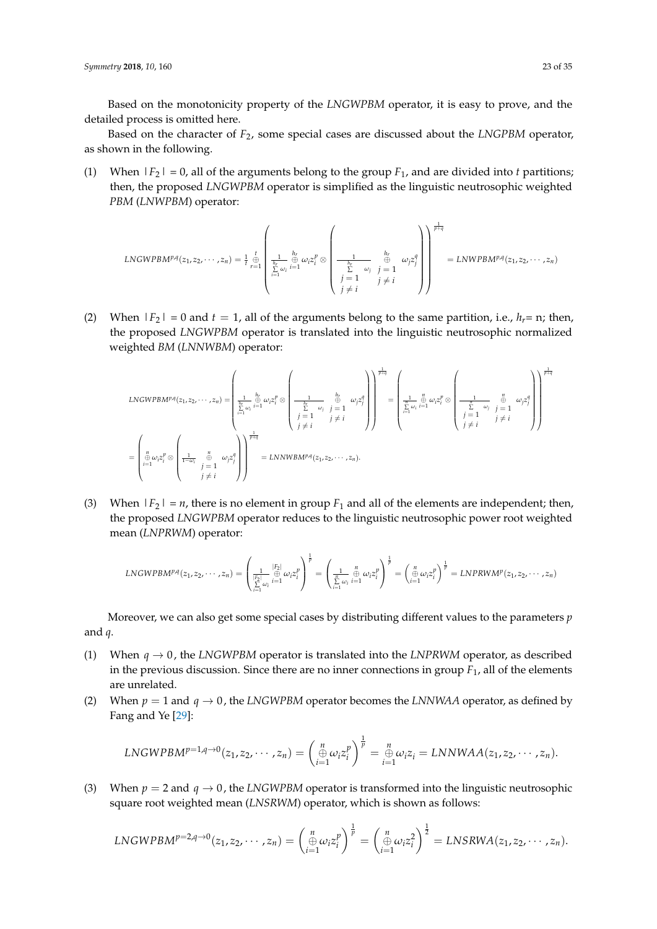*Symmetry* **2018**, *10*, 160 23 of 35

Based on the monotonicity property of the *LNGWPBM* operator, it is easy to prove, and the detailed process is omitted here.

Based on the character of *F*2, some special cases are discussed about the *LNGPBM* operator, as shown in the following.

(1) When  $|F_2| = 0$ , all of the arguments belong to the group  $F_1$ , and are divided into *t* partitions; then, the proposed *LNGWPBM* operator is simplified as the linguistic neutrosophic weighted *PBM* (*LNWPBM*) operator:

$$
LNGWPBM^{p,q}(z_1, z_2, \cdots, z_n) = \frac{1}{t} \bigoplus_{r=1}^t \underbrace{\left(\frac{1}{\sum_{i=1}^h \omega_i} \bigoplus_{i=1}^{h_r} \omega_i z_i^p \otimes \left(\frac{1}{\sum_{j=1}^h \omega_j} \bigoplus_{\substack{j=1 \ j \neq i}}^{h_r} \omega_j z_j^q\right)\right)}_{j \neq i} = LNWPBM^{p,q}(z_1, z_2, \cdots, z_n)
$$

(2) When  $|F_2| = 0$  and  $t = 1$ , all of the arguments belong to the same partition, i.e.,  $h_r = n$ ; then, the proposed *LNGWPBM* operator is translated into the linguistic neutrosophic normalized weighted *BM* (*LNNWBM*) operator:

$$
LNGWPBM^{p,q}(z_1, z_2, \dots, z_n) = \left(\begin{matrix} h_r & 0 \\ \frac{1}{k} \omega_i \oplus \omega_i z_i^p \otimes \begin{pmatrix} 0 & 0 \\ 0 & \omega_i \end{pmatrix} \end{matrix}\right)^{\frac{1}{p+q}} = \left(\begin{matrix} h_r & 0 \\ \frac{1}{k} \omega_i \oplus \omega_i z_i^p \end{matrix}\right)^{\frac{1}{p+q}} = \left(\begin{matrix} h_r & 0 \\ \frac{1}{k} \omega_i \oplus \omega_i z_i^p \end{matrix}\right)^{\frac{1}{q}} = \left(\begin{matrix} h_r & 0 \\ \frac{1}{k} \omega_i \oplus \omega_i z_i^p \otimes \begin{pmatrix} 0 & 0 \\ 0 & \omega_i \end{pmatrix} \end{matrix}\right)^{\frac{1}{p+q}} = \left(\begin{matrix} h_r & 0 \\ \frac{1}{k} \omega_i \oplus \omega_i z_i^p \otimes \begin{pmatrix} 0 & 0 \\ \frac{1}{k} \omega_i \oplus \omega_i z_i^p \end{pmatrix} \begin{pmatrix} 0 & 0 \\ 0 & \omega_i z_i^p \end{pmatrix} \end{matrix}\right)^{\frac{1}{p+q}}
$$

$$
= \left(\begin{matrix} h & 0 \\ \frac{1}{k} \omega_i z_i^p \otimes \begin{pmatrix} 0 & 0 \\ 0 & \omega_i z_i^p \end{pmatrix} \begin{pmatrix} 0 & 0 \\ 0 & \omega_i z_i^p \end{pmatrix} \begin{pmatrix} 0 & 0 \\ 0 & \omega_i z_i^p \end{pmatrix} \begin{pmatrix} 0 & 0 \\ 0 & \omega_i z_i^p \end{pmatrix} \begin{pmatrix} 0 & 0 \\ 0 & \omega_i z_i^p \end{pmatrix} \begin{pmatrix} 0 & 0 \\ 0 & \omega_i z_i^p \end{pmatrix} \begin{pmatrix} 0 & 0 \\ 0 & \omega_i z_i^p \end{pmatrix} \begin{pmatrix} 0 & 0 \\ 0 & \omega_i z_i^p \end{pmatrix} \begin{pmatrix} 0 & 0 \\ 0 & \omega_i z_i^p \end{pmatrix} \begin{pmatrix} 0 & 0 \\ 0 & \omega_i z_i^p \end{pmatrix} \begin{pmatrix} 0 & 0 \\ 0 & \omega_i z_i^p \end{pmatrix} \begin{pmatrix} 0 & 0 \\ 0 & \omega_i z_i
$$

(3) When  $|F_2| = n$ , there is no element in group  $F_1$  and all of the elements are independent; then, the proposed *LNGWPBM* operator reduces to the linguistic neutrosophic power root weighted mean (*LNPRWM*) operator:

$$
LNGWPB M^{p,q}(z_1, z_2, \cdots, z_n) = \left(\frac{1}{\sum\limits_{i=1}^{|F_2|} \omega_i} \bigoplus\limits_{i=1}^{|F_2|} \omega_i z_i^p\right)^{\frac{1}{p}} = \left(\frac{1}{\sum\limits_{i=1}^n \omega_i} \bigoplus\limits_{i=1}^n \omega_i z_i^p\right)^{\frac{1}{p}} = \left(\bigoplus\limits_{i=1}^n \omega_i z_i^p\right)^{\frac{1}{p}} = LNPRW M^p(z_1, z_2, \cdots, z_n)
$$

Moreover, we can also get some special cases by distributing different values to the parameters *p* and *q*.

- (1) When  $q \rightarrow 0$ , the *LNGWPBM* operator is translated into the *LNPRWM* operator, as described in the previous discussion. Since there are no inner connections in group  $F_1$ , all of the elements are unrelated.
- (2) When  $p = 1$  and  $q \rightarrow 0$ , the *LNGWPBM* operator becomes the *LNNWAA* operator, as defined by Fang and Ye [\[29\]](#page-33-14):

$$
LNGWPBM^{p=1,q\to 0}(z_1,z_2,\cdots,z_n)=\left(\underset{i=1}{\overset{n}{\oplus}}\omega_i z_i^p\right)^{\frac{1}{p}}=\underset{i=1}{\overset{n}{\oplus}}\omega_i z_i=LNNWAA(z_1,z_2,\cdots,z_n).
$$

(3) When  $p = 2$  and  $q \rightarrow 0$ , the *LNGWPBM* operator is transformed into the linguistic neutrosophic square root weighted mean (*LNSRWM*) operator, which is shown as follows:

$$
LNGWPBM^{p=2,q\rightarrow 0}(z_1,z_2,\cdots,z_n)=\left(\underset{i=1}{\overset{n}{\oplus}}\omega_i z_i^p\right)^{\frac{1}{p}}=\left(\underset{i=1}{\overset{n}{\oplus}}\omega_i z_i^2\right)^{\frac{1}{2}}=LNSRWA(z_1,z_2,\cdots,z_n).
$$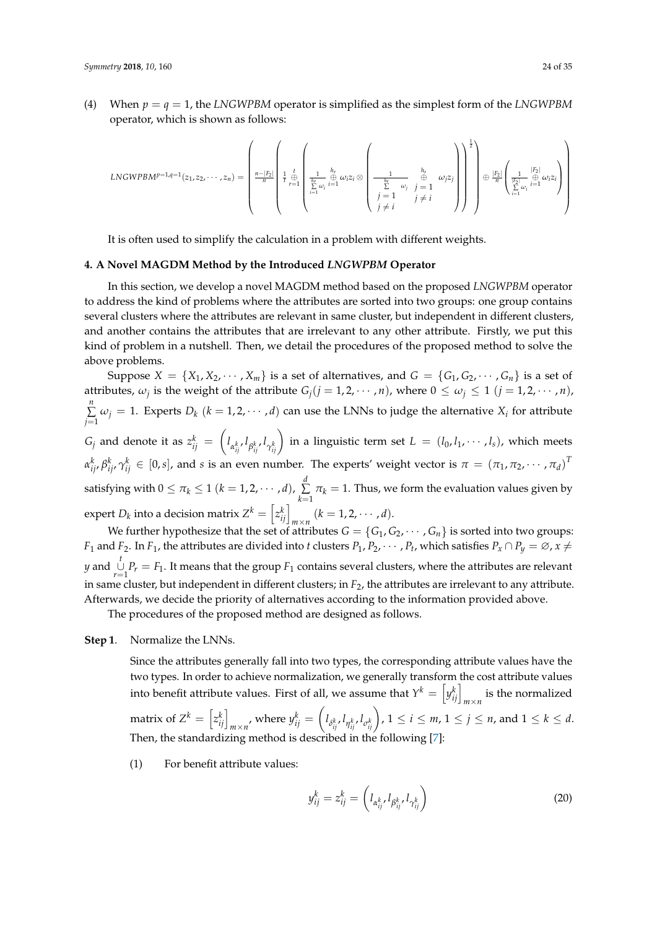(4) When  $p = q = 1$ , the *LNGWPBM* operator is simplified as the simplest form of the *LNGWPBM* operator, which is shown as follows:

$$
LNGWPB M^{p=1,q=1}(z_1,z_2,\cdots,z_n)=\left(\begin{array}{c|c} \begin{pmatrix} 1 & b & b \\ \frac{1}{r} & \frac{1}{r} & \frac{1}{r} \\ \frac{1}{r} & \frac{1}{r-1} & \frac{1}{r} \\ \frac{1}{r} & \frac{1}{r-1} & \frac{1}{r-1} \end{pmatrix} & \begin{pmatrix} 1 & b & b \\ \frac{1}{h_r} & \frac{1}{r} & \frac{1}{r} & \frac{1}{r} \\ \frac{1}{h_r} & \frac{1}{r} & \frac{1}{r} & \frac{1}{r} \end{pmatrix} & \begin{pmatrix} 1 & b & b \\ \frac{1}{h_r} & \frac{1}{r} & \frac{1}{r} \\ \frac{1}{r} & \frac{1}{r} & \frac{1}{r} \end{pmatrix} & \begin{pmatrix} 1 & b_1 & b_2 & b_1 \\ \frac{1}{h_r} & \frac{1}{r} & \frac{1}{r} & \frac{1}{r} \\ \frac{1}{r} & \frac{1}{r} & \frac{1}{r} & \frac{1}{r} \end{pmatrix} & \begin{pmatrix} 1 & b_1 & b_2 & b_1 \\ \frac{1}{h_r} & \frac{1}{h_r} & \frac{1}{h_r} & \frac{1}{h_r} \end{pmatrix} & \begin{pmatrix} 1 & b_1 & b_2 & b_1 & b_1 \\ \frac{1}{h_r} & \frac{1}{h_r} & \frac{1}{h_r} & \frac{1}{h_r} \end{pmatrix} & \begin{pmatrix} 1 & b_1 & b_2 & b_1 & b_1 \\ \frac{1}{h_r} & \frac{1}{h_r} & \frac{1}{h_r} & \frac{1}{h_r} \end{pmatrix} & \begin{pmatrix} 1 & b_1 & b_2 & b_1 & b_1 \\ \frac{1}{h_r} & \frac{1}{h_r} & \frac{1}{h_r} & \frac{1}{h_r} \end{pmatrix} & \begin{pmatrix} 1 & b_1 & b_1 & b_1 & b_1 \\ \frac{1}{h_r} & \frac{1}{h_r} & \frac{1}{h_r} & \frac{1}{h_r} \end{pmatrix} & \begin{pmatrix} 1 & b_1 & b_1 & b_1 & b_1 \\ \frac{1}{h_r} & \frac{1}{h_r} & \frac{1}{h_r
$$

It is often used to simplify the calculation in a problem with different weights.

#### <span id="page-23-0"></span>**4. A Novel MAGDM Method by the Introduced** *LNGWPBM* **Operator**

In this section, we develop a novel MAGDM method based on the proposed *LNGWPBM* operator to address the kind of problems where the attributes are sorted into two groups: one group contains several clusters where the attributes are relevant in same cluster, but independent in different clusters, and another contains the attributes that are irrelevant to any other attribute. Firstly, we put this kind of problem in a nutshell. Then, we detail the procedures of the proposed method to solve the above problems.

Suppose  $X = \{X_1, X_2, \dots, X_m\}$  is a set of alternatives, and  $G = \{G_1, G_2, \dots, G_n\}$  is a set of attributes,  $\omega_j$  is the weight of the attribute  $G_j(j = 1, 2, \cdots, n)$ , where  $0 \le \omega_j \le 1$   $(j = 1, 2, \cdots, n)$ , *n* ∑  $\sum_{j=1} \omega_j = 1$ . Experts  $D_k$  ( $k = 1, 2, \dots, d$ ) can use the LNNs to judge the alternative  $X_i$  for attribute  $G_j$  and denote it as  $z_{ij}^k = \left(l_{\alpha_{ij}^k}, l_{\beta_{ij}^k}, l_{\gamma_{ij}^k}\right)$  in a linguistic term set  $L = (l_0, l_1, \cdots, l_s)$ , which meets  $\alpha_{ij}^k, \beta_{ij}^k, \gamma_{ij}^k \in [0,s]$ , and  $s$  is an even number. The experts' weight vector is  $\pi = (\pi_1, \pi_2, \cdots, \pi_d)^T$ satisfying with  $0 \leq \pi_k \leq 1$   $(k = 1, 2, \cdots, d)$ ,  $\sum_{k=1}^{d}$  $\sum_{k=1}$   $\pi_k = 1$ . Thus, we form the evaluation values given by expert *D<sub>k</sub>* into a decision matrix  $Z^k = \left[z_{ij}^k\right]_{m \times n}$   $(k = 1, 2, \cdots, d)$ .

We further hypothesize that the set of attributes  $G = \{G_1, G_2, \dots, G_n\}$  is sorted into two groups: *F*<sub>1</sub> and *F*<sub>2</sub>. In *F*<sub>1</sub>, the attributes are divided into *t* clusters  $P_1, P_2, \cdots, P_t$ , which satisfies  $P_x \cap P_y = \emptyset$ ,  $x \neq$ *y* and  $\bigcup_{r=1}^{t} P_r = F_1$ . It means that the group *F*<sub>1</sub> contains several clusters, where the attributes are relevant in same cluster, but independent in different clusters; in *F*<sub>2</sub>, the attributes are irrelevant to any attribute. Afterwards, we decide the priority of alternatives according to the information provided above.

The procedures of the proposed method are designed as follows.

## **Step 1**. Normalize the LNNs.

Since the attributes generally fall into two types, the corresponding attribute values have the two types. In order to achieve normalization, we generally transform the cost attribute values into benefit attribute values. First of all, we assume that  $Y^k = \left[ y^k_{ij} \right]_{m \times n}$  is the normalized matrix of  $Z^k = \left[z_{ij}^k\right]_{m\times n'}$ , where  $y_{ij}^k = \left(l_{\delta_{ij}^k}, l_{\eta_{ij}^k}, l_{\sigma_{ij}^k}\right)$ ,  $1\leq i\leq m$ ,  $1\leq j\leq n$ , and  $1\leq k\leq d$ . Then, the standardizing method is described in the following [\[7\]](#page-33-19):

(1) For benefit attribute values:

$$
y_{ij}^k = z_{ij}^k = \left(l_{\alpha_{ij}^k}, l_{\beta_{ij}^k}, l_{\gamma_{ij}^k}\right)
$$
\n<sup>(20)</sup>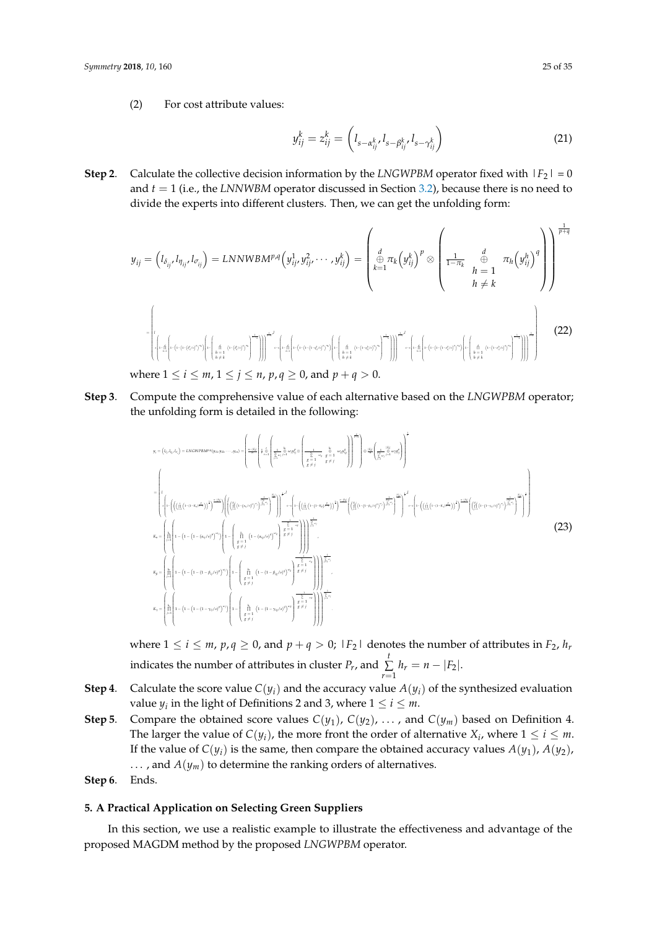(2) For cost attribute values:

$$
y_{ij}^k = z_{ij}^k = \left( l_{s - \alpha_{ij}^k}, l_{s - \beta_{ij}^k}, l_{s - \gamma_{ij}^k} \right)
$$
 (21)

**Step 2**. Calculate the collective decision information by the *LNGWPBM* operator fixed with  $|F_2| = 0$ and  $t = 1$  (i.e., the *LNNWBM* operator discussed in Section [3.2\)](#page-14-0), because there is no need to divide the experts into different clusters. Then, we can get the unfolding form:

$$
y_{ij} = (l_{\delta_{ij}}, l_{\eta_{ij}}, l_{\sigma_{ij}}) = \text{LNNWBMPA} \left( y_{ij}^1, y_{ij}^2, \dots, y_{ij}^k \right) = \left( \bigoplus_{k=1}^d \pi_k \left( y_{ij}^k \right)^p \otimes \left( \frac{1}{1 - \pi_k} \bigoplus_{h=1}^d \pi_h \left( y_{ij}^h \right)^q \right) \right) \bigoplus_{h \neq k} \pi_h \left( y_{ij}^h \right)^q \right)
$$
\n
$$
= \left( \bigoplus_{k=1}^d \pi_k \left( y_{ij}^k \right)^p \otimes \left( \frac{1}{1 - \pi_k} \bigoplus_{h \neq k}^d \pi_h \left( y_{ij}^h \right)^q \right) \right) \bigoplus_{h \neq k} \pi_h \left( y_{ij}^h \right)^q \right)
$$
\nwhere  $1 \leq i \leq m, 1 \leq j \leq n, p, q \geq 0$ , and  $p + q > 0$ . (22)

**Step 3**. Compute the comprehensive value of each alternative based on the *LNGWPBM* operator; the unfolding form is detailed in the following:

$$
y_{i} = (t_{i_{1}}.t_{\alpha_{i_{1}}}t_{\alpha_{i_{1}}} ) = LNGWPBM^{\alpha_{i_{1}}} (y_{i1}.y_{i2}. \cdots, y_{in}) = \left(\frac{\sum_{i=1}^{k} \left(\frac{1}{\beta_{i_{1}+1}} \left(1-\left(\frac{1}{\beta_{i_{1}+1}} \left(1-\left(1-\left(1-\left(1-\beta_{i_{1}+1}\beta_{i_{1}}\right)^{2}\right)^{2}\right)\right)^{\frac{2\alpha_{i_{1}}}{\beta_{i_{1}+1}}} - \frac{1}{\beta_{i_{1}+1}} \left(1-\left(1-\left(1-\left(1-\beta_{i_{1}+1}\beta_{i_{1}}\right)^{2}\right)^{\frac{2\alpha_{i_{1}}}{\beta_{i_{1}+1}}} - \frac{1}{\beta_{i_{1}+1}} \left(1-\left(1-\left(1-\left(1-\beta_{i_{1}+1}\beta_{i_{1}}\right)^{2}\right)^{\frac{2\alpha_{i_{1}}}{\beta_{i_{1}+1}}} - \frac{1}{\beta_{i_{1}+1}} \left(1-\left(1-\left(1-\left(1-\beta_{i_{1}+1}\beta_{i_{1}}\right)^{2}\right)^{\frac{2\alpha_{i_{1}}}{\beta_{i_{1}+1}}} - \frac{1}{\beta_{i_{1}+1}} \left(1-\left(1-\left(1-\left(1-\beta_{i_{1}+1}\beta_{i_{1}}\right)^{2}\right)^{\frac{2\alpha_{i_{1}}}{\beta_{i_{1}+1}}} - \frac{1}{\beta_{i_{1}+1}} \left(1-\left(1-\left(1-\left(1-\beta_{i_{1}+1}\beta_{i_{1}}\right)^{2}\right)^{\frac{2\alpha_{i_{1}}}{\beta_{i_{1}+1}}} - \frac{1}{\beta_{i_{1}+1}} \left(1-\left(1-\left(1-\left(1-\beta_{i_{1}+1}\beta_{i_{1}}\right)^{2}\right)^{\frac{2\alpha_{i_{1}}}{\beta_{i_{1}+1}}} - \frac{1}{\beta_{i_{1}+1}} \left(1-\left(1-\left(1-\left(1-\beta_{i_{1}+1}\beta_{i_{1}}\right)^{2}\right)^{\frac{2\alpha_{i_{1}}}{\beta_{i_{1}+1}}} - \frac{1}{\beta_{i_{1}+1}} \left(1-\left(1-\left(
$$

where  $1 \le i \le m$ ,  $p, q \ge 0$ , and  $p + q > 0$ ;  $|F_2|$  denotes the number of attributes in  $F_2$ ,  $h_r$ indicates the number of attributes in cluster  $P_r$ , and  $\sum$  $\sum_{r=1} h_r = n - |F_2|$ .

- **Step 4**. Calculate the score value  $C(y_i)$  and the accuracy value  $A(y_i)$  of the synthesized evaluation value  $y_i$  in the light of Definitions 2 and 3, where  $1 \leq i \leq m$ .
- **Step 5**. Compare the obtained score values  $C(y_1)$ ,  $C(y_2)$ , ..., and  $C(y_m)$  based on Definition 4. The larger the value of  $C(y_i)$ , the more front the order of alternative  $X_i$ , where  $1 \leq i \leq m$ . If the value of  $C(y_i)$  is the same, then compare the obtained accuracy values  $A(y_1)$ ,  $A(y_2)$ , ..., and  $A(y_m)$  to determine the ranking orders of alternatives.

## <span id="page-24-0"></span>**5. A Practical Application on Selecting Green Suppliers**

In this section, we use a realistic example to illustrate the effectiveness and advantage of the proposed MAGDM method by the proposed *LNGWPBM* operator.

**Step 6**. Ends.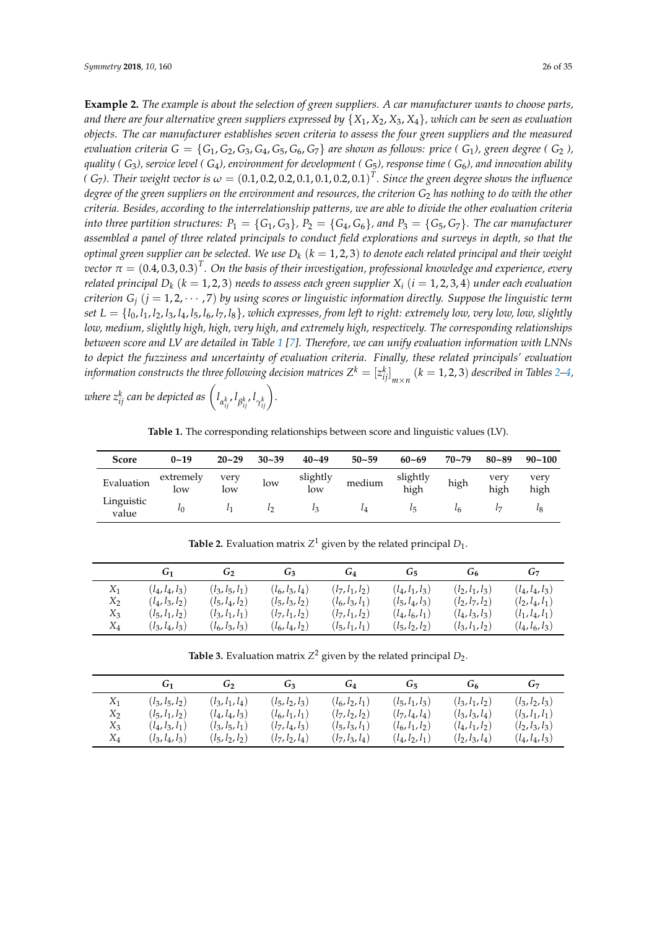**Example 2.** *The example is about the selection of green suppliers. A car manufacturer wants to choose parts,* and there are four alternative green suppliers expressed by  $\{X_1, X_2, X_3, X_4\}$ , which can be seen as evaluation *objects. The car manufacturer establishes seven criteria to assess the four green suppliers and the measured evaluation criteria*  $G = \{G_1, G_2, G_3, G_4, G_5, G_6, G_7\}$  are shown as follows: price ( $G_1$ ), green degree ( $G_2$ ), *quality ( G*3*), service level ( G*4*), environment for development ( G*5*), response time ( G*6*), and innovation ability* (  $G_7$ ). Their weight vector is  $\omega = (0.1,0.2,0.2,0.1,0.1,0.2,0.1)^T$ . Since the green degree shows the influence *degree of the green suppliers on the environment and resources, the criterion*  $G_2$  *has nothing to do with the other criteria. Besides, according to the interrelationship patterns, we are able to divide the other evaluation criteria into three partition structures:*  $P_1 = \{G_1, G_3\}$ ,  $P_2 = \{G_4, G_6\}$ , and  $P_3 = \{G_5, G_7\}$ . The car manufacturer *assembled a panel of three related principals to conduct field explorations and surveys in depth, so that the optimal green supplier can be selected. We use D<sup>k</sup>* (*k* = 1, 2, 3) *to denote each related principal and their weight*  $vector~\tau=(0.4,0.3,0.3)^T.$  On the basis of their investigation, professional knowledge and experience, every *related principal*  $D_k$  ( $k = 1, 2, 3$ ) *needs to assess each green supplier*  $X_i$  ( $i = 1, 2, 3, 4$ ) *under each evaluation criterion*  $G_i$  ( $j = 1, 2, \cdots, 7$ ) *by using scores or linguistic information directly. Suppose the linguistic term set*  $L = \{l_0, l_1, l_2, l_3, l_4, l_5, l_6, l_7, l_8\}$ , which expresses, from left to right: extremely low, very low, low, slightly *low, medium, slightly high, high, very high, and extremely high, respectively. The corresponding relationships between score and LV are detailed in Table [1](#page-25-0) [\[7\]](#page-33-19). Therefore, we can unify evaluation information with LNNs to depict the fuzziness and uncertainty of evaluation criteria. Finally, these related principals' evaluation* information constructs the three following decision matrices  $Z^k = [z_{ij}^k]_{m \times n}$   $(k = 1, 2, 3)$  described in Tables [2–](#page-25-1)[4,](#page-26-0)

 $\omega$ here  $z_{ij}^k$  can be depicted as  $\left(l_{\alpha_{ij}^k}, l_{\beta_{ij}^k}, l_{\gamma_{ij}^k}\right)$ .

**Table 1.** The corresponding relationships between score and linguistic values (LV).

<span id="page-25-0"></span>

| Score               | $0 - 19$         | $20 - 29$   | $30 - 39$ | $40 - 49$       | $50 - 59$ | $60 - 69$        | $70 - 79$ | $80 - 89$       | $90 - 100$   |
|---------------------|------------------|-------------|-----------|-----------------|-----------|------------------|-----------|-----------------|--------------|
| Evaluation          | extremely<br>low | very<br>low | low       | slightly<br>low | medium    | slightly<br>high | high      | very<br>high    | very<br>high |
| Linguistic<br>value | $\iota$          |             | ı٥        | $l_3$           | $\iota_A$ | l                | $\iota_6$ | $l\overline{z}$ |              |

**Table 2.** Evaluation matrix  $Z^1$  given by the related principal  $D_1$ .

<span id="page-25-1"></span>

|                         | G1                                                          | G۰                                                          | G۹                                                          | G4                                                          | G۳                                                          | Ġ٢                                                          | G7                                                          |
|-------------------------|-------------------------------------------------------------|-------------------------------------------------------------|-------------------------------------------------------------|-------------------------------------------------------------|-------------------------------------------------------------|-------------------------------------------------------------|-------------------------------------------------------------|
| $X_1$<br>$X_2$<br>$X_3$ | $(l_4, l_4, l_3)$<br>$(l_4, l_3, l_2)$<br>$(l_5, l_1, l_2)$ | $(l_3, l_5, l_1)$<br>$(l_5, l_4, l_2)$<br>$(l_3, l_1, l_1)$ | $(l_6, l_3, l_4)$<br>$(l_5, l_3, l_2)$<br>$(l_7, l_1, l_2)$ | $(l_7, l_1, l_2)$<br>$(l_6, l_3, l_1)$<br>$(l_7, l_1, l_2)$ | $(l_4, l_1, l_3)$<br>$(l_5, l_4, l_3)$<br>$(l_4, l_6, l_1)$ | $(l_2, l_1, l_3)$<br>$(l_2, l_7, l_2)$<br>$(l_4, l_3, l_3)$ | $(l_4, l_4, l_3)$<br>$(l_2, l_4, l_1)$<br>$(l_1, l_4, l_1)$ |
| $X_4$                   | $(l_3, l_4, l_3)$                                           | $(l_6, l_3, l_3)$                                           | $(l_6, l_4, l_2)$                                           | $(l_5, l_1, l_1)$                                           | $(l_5, l_2, l_2)$                                           | $(l_3, l_1, l_2)$                                           | $(l_4, l_6, l_3)$                                           |

**Table 3.** Evaluation matrix  $Z^2$  given by the related principal  $D_2$ .

|       | G1                | G۰                | G٩                | G4                | G۳                | Ġ٢                | G7                |
|-------|-------------------|-------------------|-------------------|-------------------|-------------------|-------------------|-------------------|
| $X_1$ | $(l_3, l_5, l_2)$ | $(l_3, l_1, l_4)$ | $(l_5, l_2, l_3)$ | $(l_6, l_2, l_1)$ | $(l_5, l_1, l_3)$ | $(l_3, l_1, l_2)$ | $(l_3, l_2, l_3)$ |
| $X_2$ | $(l_5, l_1, l_2)$ | $(l_4, l_4, l_3)$ | $(l_6, l_1, l_1)$ | $(l_7, l_2, l_2)$ | $(l_7, l_4, l_4)$ | $(l_3, l_3, l_4)$ | $(l_3, l_1, l_1)$ |
| $X_3$ | $(l_4, l_3, l_1)$ | $(l_3, l_5, l_1)$ | $(l_7, l_4, l_3)$ | $(l_5, l_3, l_1)$ | $(l_6, l_1, l_2)$ | $(l_4, l_1, l_2)$ | $(l_2, l_3, l_3)$ |
| $X_4$ | $(l_3, l_4, l_3)$ | $(l_5, l_2, l_2)$ | $(l_7, l_2, l_4)$ | $(l_7, l_3, l_4)$ | $(l_4, l_2, l_1)$ | $(l_2, l_3, l_4)$ | $(l_4, l_4, l_3)$ |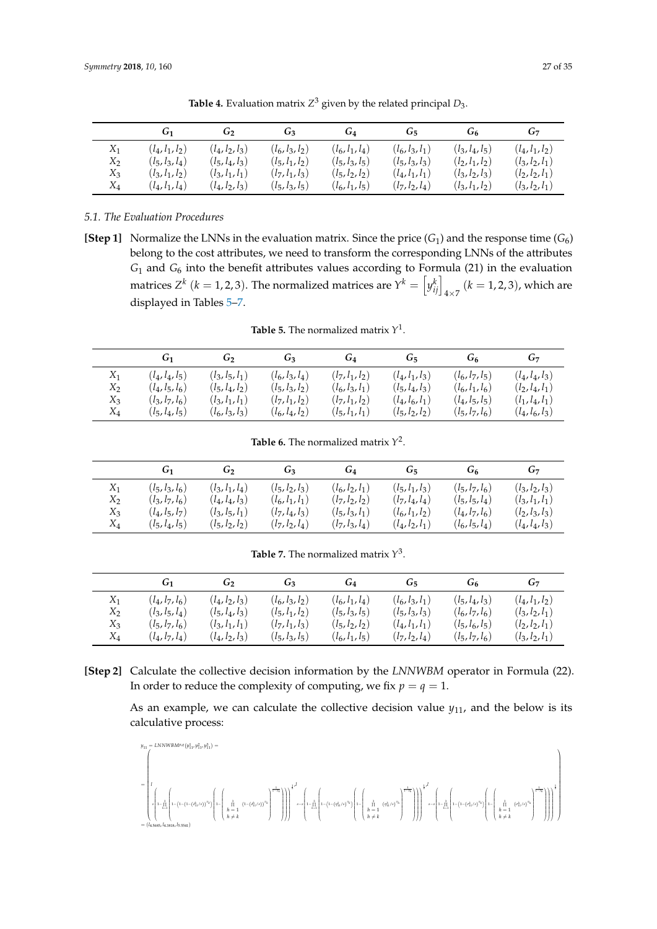<span id="page-26-0"></span>

|                         | G1                                                          | G۶                                                          | G٩                                                          | $G_4$                                                       | G5                                     | Ġ٢                                                          | $G_7$                                                       |
|-------------------------|-------------------------------------------------------------|-------------------------------------------------------------|-------------------------------------------------------------|-------------------------------------------------------------|----------------------------------------|-------------------------------------------------------------|-------------------------------------------------------------|
| $X_1$<br>$X_2$<br>$X_3$ | $(l_4, l_1, l_2)$<br>$(l_5, l_3, l_4)$<br>$(l_3, l_1, l_2)$ | $(l_4, l_2, l_3)$<br>$(l_5, l_4, l_3)$<br>$(l_3, l_1, l_1)$ | $(l_6, l_3, l_2)$<br>$(l_5, l_1, l_2)$<br>$(l_7, l_1, l_3)$ | $(l_6, l_1, l_4)$<br>$(l_5, l_3, l_5)$<br>$(l_5, l_2, l_2)$ | $(l_6, l_3, l_1)$<br>$(l_5, l_3, l_3)$ | $(l_3, l_4, l_5)$<br>$(l_2, l_1, l_2)$<br>$(l_3, l_2, l_3)$ | $(l_4, l_1, l_2)$<br>$(l_3, l_2, l_1)$<br>$(l_2, l_2, l_1)$ |
| X4                      | $(l_4, l_1, l_4)$                                           | $(l_4, l_2, l_3)$                                           | $(l_5, l_3, l_5)$                                           | $(l_6, l_1, l_5)$                                           | $(l_4, l_1, l_1)$<br>$(l_7, l_2, l_4)$ | $(l_3, l_1, l_2)$                                           | $(l_3, l_2, l_1)$                                           |

**Table 4.** Evaluation matrix *Z* <sup>3</sup> given by the related principal *D*3.

*5.1. The Evaluation Procedures*

**[Step 1]** Normalize the LNNs in the evaluation matrix. Since the price  $(G_1)$  and the response time  $(G_6)$ belong to the cost attributes, we need to transform the corresponding LNNs of the attributes *G*<sup>1</sup> and *G*<sup>6</sup> into the benefit attributes values according to Formula (21) in the evaluation matrices  $Z^k$  ( $k = 1, 2, 3$ ). The normalized matrices are  $Y^k = \left[y_{ij}^k\right]_{4 \times 7}$  ( $k = 1, 2, 3$ ), which are displayed in Tables [5](#page-26-1)[–7.](#page-26-2)

**Table 5.** The normalized matrix *Y* 1 .

<span id="page-26-1"></span>

|       | G <sub>1</sub>    | G <sub>2</sub>    | G3                | G4                | G5                | Ġ٢                | $G_7$             |
|-------|-------------------|-------------------|-------------------|-------------------|-------------------|-------------------|-------------------|
| $X_1$ | $(l_4, l_4, l_5)$ | $(l_3, l_5, l_1)$ | $(l_6, l_3, l_4)$ | $(l_7, l_1, l_2)$ | $(l_4, l_1, l_3)$ | $(l_6, l_7, l_5)$ | $(l_4, l_4, l_3)$ |
| $X_2$ | $(l_4, l_5, l_6)$ | $(l_5, l_4, l_2)$ | $(l_5, l_3, l_2)$ | $(l_6, l_3, l_1)$ | $(l_5, l_4, l_3)$ | $(l_6, l_1, l_6)$ | $(l_2, l_4, l_1)$ |
| $X_3$ | $(l_3, l_7, l_6)$ | $(l_3, l_1, l_1)$ | $(l_7, l_1, l_2)$ | $(l_7, l_1, l_2)$ | $(l_4, l_6, l_1)$ | $(l_4, l_5, l_5)$ | $(l_1, l_4, l_1)$ |
| $X_4$ | $(l_5, l_4, l_5)$ | $(l_6, l_3, l_3)$ | $(l_6, l_4, l_2)$ | $(l_5, l_1, l_1)$ | $(l_5, l_2, l_2)$ | $(l_5, l_7, l_6)$ | $(l_4, l_6, l_3)$ |

**Table 6.** The normalized matrix *Y* 2 .

|       | G1                | G۰                | G٦                | G4                | G۳                | Ġ۴                | $G_7$             |
|-------|-------------------|-------------------|-------------------|-------------------|-------------------|-------------------|-------------------|
| $X_1$ | $(l_5, l_3, l_6)$ | $(l_3, l_1, l_4)$ | $(l_5, l_2, l_3)$ | $(l_6, l_2, l_1)$ | $(l_5, l_1, l_3)$ | $(l_5, l_7, l_6)$ | $(l_3, l_2, l_3)$ |
| $X_2$ | $(l_3, l_7, l_6)$ | $(l_4, l_4, l_3)$ | $(l_6, l_1, l_1)$ | $(l_7, l_2, l_2)$ | $(l_7, l_4, l_4)$ | $(l_5, l_5, l_4)$ | $(l_3, l_1, l_1)$ |
| $X_3$ | $(l_4, l_5, l_7)$ | $(l_3, l_5, l_1)$ | $(l_7, l_4, l_3)$ | $(l_5, l_3, l_1)$ | $(l_6, l_1, l_2)$ | $(l_4, l_7, l_6)$ | $(l_2, l_3, l_3)$ |
| $X_4$ | $(l_5, l_4, l_5)$ | $(l_5, l_2, l_2)$ | $(l_7, l_2, l_4)$ | $(l_7, l_3, l_4)$ | $(l_4, l_2, l_1)$ | $(l_6, l_5, l_4)$ | $(l_4, l_4, l_3)$ |

**Table 7.** The normalized matrix *Y* 3 .

<span id="page-26-2"></span>

|       | G1.               | G۰                | G٩                | G4                | G5                | Ġ٢                | G7                |
|-------|-------------------|-------------------|-------------------|-------------------|-------------------|-------------------|-------------------|
| $X_1$ | $(l_4, l_7, l_6)$ | $(l_4, l_2, l_3)$ | $(l_6, l_3, l_2)$ | $(l_6, l_1, l_4)$ | $(l_6, l_3, l_1)$ | $(l_5, l_4, l_3)$ | $(l_4, l_1, l_2)$ |
| $X_2$ | $(l_3, l_5, l_4)$ | $(l_5, l_4, l_3)$ | $(l_5, l_1, l_2)$ | $(l_5, l_3, l_5)$ | $(l_5, l_3, l_3)$ | $(l_6, l_7, l_6)$ | $(l_3, l_2, l_1)$ |
| $X_3$ | $(l_5, l_7, l_6)$ | $(l_3, l_1, l_1)$ | $(l_7, l_1, l_3)$ | $(l_5, l_2, l_2)$ | $(l_4, l_1, l_1)$ | $(l_5, l_6, l_5)$ | $(l_2, l_2, l_1)$ |
| $X_4$ | $(l_4, l_7, l_4)$ | $(l_4, l_2, l_3)$ | $(l_5, l_3, l_5)$ | $(l_6, l_1, l_5)$ | $(l_7, l_2, l_4)$ | $(l_5, l_7, l_6)$ | $(l_3, l_2, l_1)$ |

**[Step 2]** Calculate the collective decision information by the *LNNWBM* operator in Formula (22). In order to reduce the complexity of computing, we fix  $p = q = 1$ .

As an example, we can calculate the collective decision value  $y_{11}$ , and the below is its calculative process:

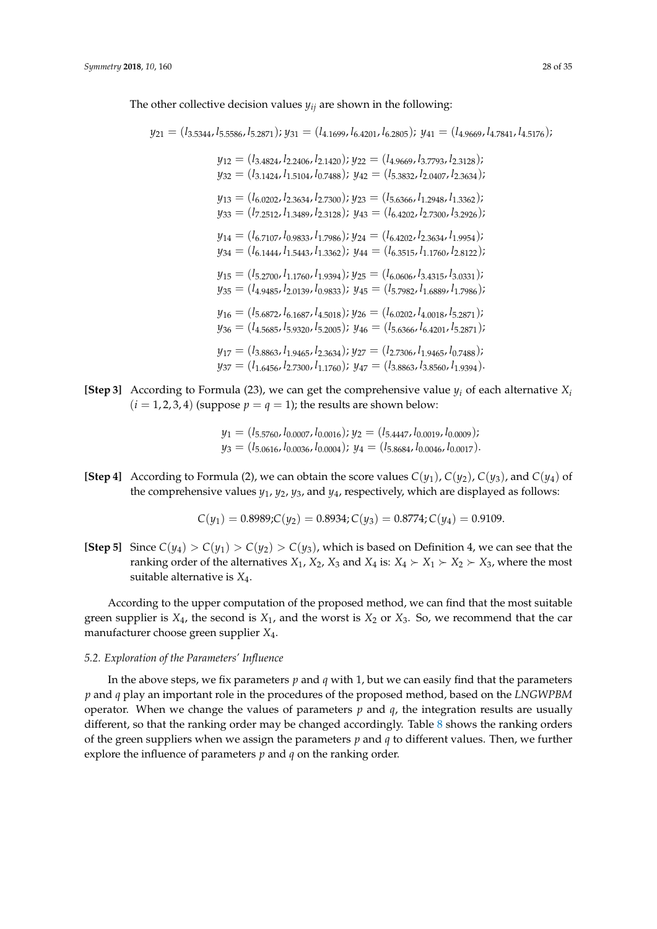The other collective decision values *yij* are shown in the following:

*y*<sup>21</sup> = (*l*3.5344, *l*5.5586, *l*5.2871); *y*<sup>31</sup> = (*l*4.1699, *l*6.4201, *l*6.2805); *y*<sup>41</sup> = (*l*4.9669, *l*4.7841, *l*4.5176);

 $y_{12} = (l_{3.4824}, l_{2.2406}, l_{2.1420})$ ;  $y_{22} = (l_{4.9669}, l_{3.7793}, l_{2.3128})$ ;  $y_{32} = (l_{3.1424}, l_{1.5104}, l_{0.7488})$ ;  $y_{42} = (l_{5.3832}, l_{2.0407}, l_{2.3634})$ ; *y*<sup>13</sup> = (*l*6.0202, *l*2.3634, *l*2.7300); *y*<sup>23</sup> = (*l*5.6366, *l*1.2948, *l*1.3362); *y*<sup>33</sup> = (*l*7.2512, *l*1.3489, *l*2.3128); *y*<sup>43</sup> = (*l*6.4202, *l*2.7300, *l*3.2926); *y*<sup>14</sup> = (*l*6.7107, *l*0.9833, *l*1.7986); *y*<sup>24</sup> = (*l*6.4202, *l*2.3634, *l*1.9954); *y*<sup>34</sup> = (*l*6.1444, *l*1.5443, *l*1.3362); *y*<sup>44</sup> = (*l*6.3515, *l*1.1760, *l*2.8122);  $y_{15} = (l_{5.2700}, l_{1.1760}, l_{1.9394})$ ;  $y_{25} = (l_{6.0606}, l_{3.4315}, l_{3.0331})$ ;  $y_{35} = (l_{4.9485}, l_{2.0139}, l_{0.9833})$ ;  $y_{45} = (l_{5.7982}, l_{1.6889}, l_{1.7986})$ ; *y*<sup>16</sup> = (*l*5.6872, *l*6.1687, *l*4.5018); *y*<sup>26</sup> = (*l*6.0202, *l*4.0018, *l*5.2871); *y*<sup>36</sup> = (*l*4.5685, *l*5.9320, *l*5.2005); *y*<sup>46</sup> = (*l*5.6366, *l*6.4201, *l*5.2871); *y*<sup>17</sup> = (*l*3.8863, *l*1.9465, *l*2.3634); *y*<sup>27</sup> = (*l*2.7306, *l*1.9465, *l*0.7488); *y*<sup>37</sup> = (*l*1.6456, *l*2.7300, *l*1.1760); *y*<sup>47</sup> = (*l*3.8863, *l*3.8560, *l*1.9394).

**[Step 3]** According to Formula (23), we can get the comprehensive value  $y_i$  of each alternative  $X_i$  $(i = 1, 2, 3, 4)$  (suppose  $p = q = 1$ ); the results are shown below:

> *y*<sup>1</sup> = (*l*5.5760, *l*0.0007, *l*0.0016); *y*<sup>2</sup> = (*l*5.4447, *l*0.0019, *l*0.0009); *y*<sup>3</sup> = (*l*5.0616, *l*0.0036, *l*0.0004); *y*<sup>4</sup> = (*l*5.8684, *l*0.0046, *l*0.0017).

**[Step 4]** According to Formula (2), we can obtain the score values  $C(y_1)$ ,  $C(y_2)$ ,  $C(y_3)$ , and  $C(y_4)$  of the comprehensive values *y*1, *y*2, *y*3, and *y*4, respectively, which are displayed as follows:

$$
C(y_1) = 0.8989; C(y_2) = 0.8934; C(y_3) = 0.8774; C(y_4) = 0.9109.
$$

**[Step 5]** Since  $C(y_4) > C(y_1) > C(y_2) > C(y_3)$ , which is based on Definition 4, we can see that the ranking order of the alternatives  $X_1$ ,  $X_2$ ,  $X_3$  and  $X_4$  is:  $X_4 \succ X_1 \succ X_2 \succ X_3$ , where the most suitable alternative is *X*4.

According to the upper computation of the proposed method, we can find that the most suitable green supplier is  $X_4$ , the second is  $X_1$ , and the worst is  $X_2$  or  $X_3$ . So, we recommend that the car manufacturer choose green supplier *X*4.

## *5.2. Exploration of the Parameters' Influence*

In the above steps, we fix parameters *p* and *q* with 1, but we can easily find that the parameters *p* and *q* play an important role in the procedures of the proposed method, based on the *LNGWPBM* operator. When we change the values of parameters  $p$  and  $q$ , the integration results are usually different, so that the ranking order may be changed accordingly. Table [8](#page-28-0) shows the ranking orders of the green suppliers when we assign the parameters *p* and *q* to different values. Then, we further explore the influence of parameters *p* and *q* on the ranking order.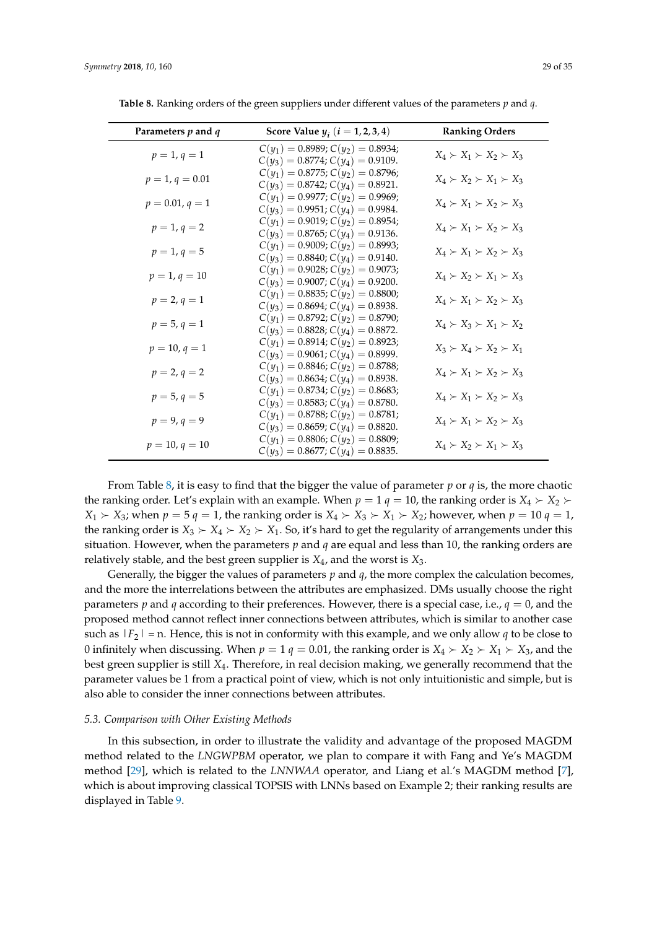| Parameters $p$ and $q$ | Score Value $y_i$ $(i = 1, 2, 3, 4)$                                           | <b>Ranking Orders</b>               |
|------------------------|--------------------------------------------------------------------------------|-------------------------------------|
| $p = 1, q = 1$         | $C(y_1) = 0.8989; C(y_2) = 0.8934;$<br>$C(y_3) = 0.8774$ ; $C(y_4) = 0.9109$ . | $X_4 \succ X_1 \succ X_2 \succ X_3$ |
| $p = 1, q = 0.01$      | $C(y_1) = 0.8775; C(y_2) = 0.8796;$<br>$C(y_3) = 0.8742; C(y_4) = 0.8921.$     | $X_4 \succ X_2 \succ X_1 \succ X_3$ |
| $p = 0.01, q = 1$      | $C(y_1) = 0.9977; C(y_2) = 0.9969;$<br>$C(y_3) = 0.9951; C(y_4) = 0.9984.$     | $X_4 \succ X_1 \succ X_2 \succ X_3$ |
| $p = 1, q = 2$         | $C(y_1) = 0.9019; C(y_2) = 0.8954;$<br>$C(y_3) = 0.8765; C(y_4) = 0.9136.$     | $X_4 \succ X_1 \succ X_2 \succ X_3$ |
| $p = 1, q = 5$         | $C(y_1) = 0.9009; C(y_2) = 0.8993;$<br>$C(y_3) = 0.8840; C(y_4) = 0.9140.$     | $X_4 \succ X_1 \succ X_2 \succ X_3$ |
| $p = 1, q = 10$        | $C(y_1) = 0.9028; C(y_2) = 0.9073;$<br>$C(y_3) = 0.9007; C(y_4) = 0.9200.$     | $X_4 \succ X_2 \succ X_1 \succ X_3$ |
| $p = 2, q = 1$         | $C(y_1) = 0.8835; C(y_2) = 0.8800;$<br>$C(y_3) = 0.8694; C(y_4) = 0.8938.$     | $X_4 \succ X_1 \succ X_2 \succ X_3$ |
| $p = 5, q = 1$         | $C(y_1) = 0.8792; C(y_2) = 0.8790;$<br>$C(y_3) = 0.8828$ ; $C(y_4) = 0.8872$ . | $X_4 \succ X_3 \succ X_1 \succ X_2$ |
| $p = 10, q = 1$        | $C(y_1) = 0.8914; C(y_2) = 0.8923;$<br>$C(y_3) = 0.9061; C(y_4) = 0.8999.$     | $X_3 \succ X_4 \succ X_2 \succ X_1$ |
| $p = 2, q = 2$         | $C(y_1) = 0.8846; C(y_2) = 0.8788;$<br>$C(y_3) = 0.8634; C(y_4) = 0.8938.$     | $X_4 \succ X_1 \succ X_2 \succ X_3$ |
| $p = 5, q = 5$         | $C(y_1) = 0.8734; C(y_2) = 0.8683;$<br>$C(y_3) = 0.8583; C(y_4) = 0.8780.$     | $X_4 \succ X_1 \succ X_2 \succ X_3$ |
| $p = 9, q = 9$         | $C(y_1) = 0.8788; C(y_2) = 0.8781;$<br>$C(y_3) = 0.8659; C(y_4) = 0.8820.$     | $X_4 \succ X_1 \succ X_2 \succ X_3$ |
| $p = 10, q = 10$       | $C(y_1) = 0.8806; C(y_2) = 0.8809;$<br>$C(y_3) = 0.8677; C(y_4) = 0.8835.$     | $X_4 \succ X_2 \succ X_1 \succ X_3$ |

<span id="page-28-0"></span>**Table 8.** Ranking orders of the green suppliers under different values of the parameters *p* and *q*.

From Table [8,](#page-28-0) it is easy to find that the bigger the value of parameter  $p$  or  $q$  is, the more chaotic the ranking order. Let's explain with an example. When  $p = 1$   $q = 10$ , the ranking order is  $X_4 \succ X_2$ .  $X_1 \succ X_3$ ; when  $p = 5$   $q = 1$ , the ranking order is  $X_4 \succ X_3 \succ X_1 \succ X_2$ ; however, when  $p = 10$   $q = 1$ , the ranking order is  $X_3 \succ X_4 \succ X_2 \succ X_1$ . So, it's hard to get the regularity of arrangements under this situation. However, when the parameters *p* and *q* are equal and less than 10, the ranking orders are relatively stable, and the best green supplier is *X*4, and the worst is *X*3.

Generally, the bigger the values of parameters *p* and *q*, the more complex the calculation becomes, and the more the interrelations between the attributes are emphasized. DMs usually choose the right parameters  $p$  and  $q$  according to their preferences. However, there is a special case, i.e.,  $q = 0$ , and the proposed method cannot reflect inner connections between attributes, which is similar to another case such as  $|F_2|$  = n. Hence, this is not in conformity with this example, and we only allow *q* to be close to 0 infinitely when discussing. When  $p = 1$   $q = 0.01$ , the ranking order is  $X_4 \succ X_2 \succ X_1 \succ X_3$ , and the best green supplier is still *X*4. Therefore, in real decision making, we generally recommend that the parameter values be 1 from a practical point of view, which is not only intuitionistic and simple, but is also able to consider the inner connections between attributes.

#### *5.3. Comparison with Other Existing Methods*

In this subsection, in order to illustrate the validity and advantage of the proposed MAGDM method related to the *LNGWPBM* operator, we plan to compare it with Fang and Ye's MAGDM method [\[29\]](#page-33-14), which is related to the *LNNWAA* operator, and Liang et al.'s MAGDM method [\[7\]](#page-33-19), which is about improving classical TOPSIS with LNNs based on Example 2; their ranking results are displayed in Table [9.](#page-29-0)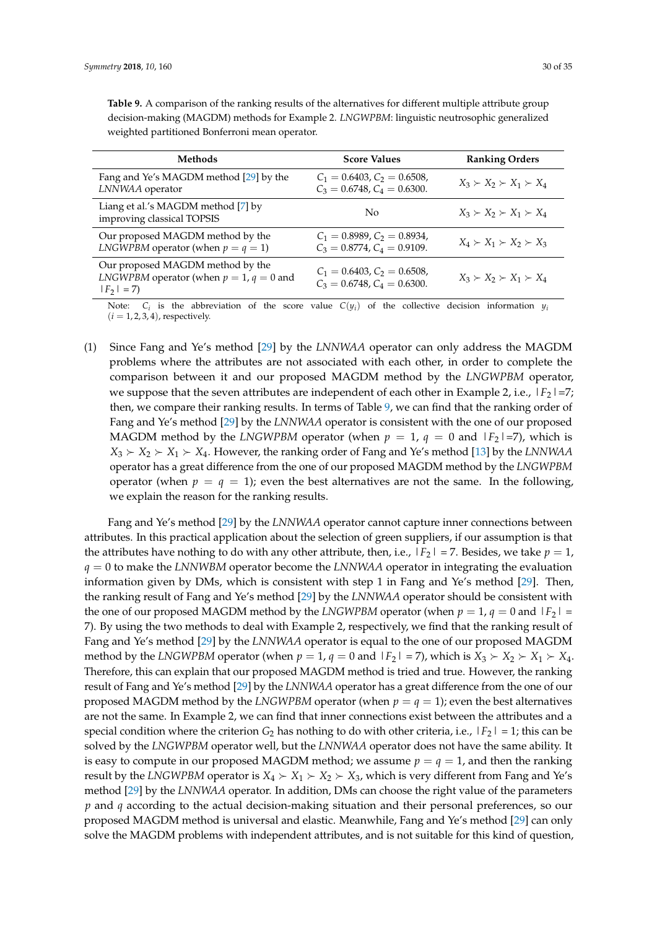| Methods                                                                                                | <b>Score Values</b>                                                    | <b>Ranking Orders</b>               |
|--------------------------------------------------------------------------------------------------------|------------------------------------------------------------------------|-------------------------------------|
| Fang and Ye's MAGDM method [29] by the<br>LNNWAA operator                                              | $C_1 = 0.6403, C_2 = 0.6508,$<br>$C_3 = 0.6748$ , $C_4 = 0.6300$ .     | $X_3 \succ X_2 \succ X_1 \succ X_4$ |
| Liang et al.'s MAGDM method [7] by<br>improving classical TOPSIS                                       | No                                                                     | $X_3 \succ X_2 \succ X_1 \succ X_4$ |
| Our proposed MAGDM method by the<br><i>LNGWPBM</i> operator (when $p = q = 1$ )                        | $C_1 = 0.8989, C_2 = 0.8934,$<br>$C_3 = 0.8774$ , $C_4 = 0.9109$ .     | $X_4 \succ X_1 \succ X_2 \succ X_3$ |
| Our proposed MAGDM method by the<br><i>LNGWPBM</i> operator (when $p = 1$ , $q = 0$ and<br>$ F_2  = 7$ | $C_1 = 0.6403$ , $C_2 = 0.6508$ ,<br>$C_3 = 0.6748$ , $C_4 = 0.6300$ . | $X_3 \succ X_2 \succ X_1 \succ X_4$ |

<span id="page-29-0"></span>**Table 9.** A comparison of the ranking results of the alternatives for different multiple attribute group decision-making (MAGDM) methods for Example 2. *LNGWPBM*: linguistic neutrosophic generalized weighted partitioned Bonferroni mean operator.

Note:  $C_i$  is the abbreviation of the score value  $C(y_i)$  of the collective decision information  $y_i$  $(i = 1, 2, 3, 4)$ , respectively.

(1) Since Fang and Ye's method [\[29\]](#page-33-14) by the *LNNWAA* operator can only address the MAGDM problems where the attributes are not associated with each other, in order to complete the comparison between it and our proposed MAGDM method by the *LNGWPBM* operator, we suppose that the seven attributes are independent of each other in Example 2, i.e.,  $|F_2| = 7$ ; then, we compare their ranking results. In terms of Table [9,](#page-29-0) we can find that the ranking order of Fang and Ye's method [\[29\]](#page-33-14) by the *LNNWAA* operator is consistent with the one of our proposed MAGDM method by the *LNGWPBM* operator (when  $p = 1$ ,  $q = 0$  and  $|F_2| = 7$ ), which is  $X_3 \succ X_2 \succ X_1 \succ X_4$ . However, the ranking order of Fang and Ye's method [\[13\]](#page-33-3) by the *LNNWAA* operator has a great difference from the one of our proposed MAGDM method by the *LNGWPBM* operator (when  $p = q = 1$ ); even the best alternatives are not the same. In the following, we explain the reason for the ranking results.

Fang and Ye's method [\[29\]](#page-33-14) by the *LNNWAA* operator cannot capture inner connections between attributes. In this practical application about the selection of green suppliers, if our assumption is that the attributes have nothing to do with any other attribute, then, i.e.,  $|F_2| = 7$ . Besides, we take  $p = 1$ , *q* = 0 to make the *LNNWBM* operator become the *LNNWAA* operator in integrating the evaluation information given by DMs, which is consistent with step 1 in Fang and Ye's method [\[29\]](#page-33-14). Then, the ranking result of Fang and Ye's method [\[29\]](#page-33-14) by the *LNNWAA* operator should be consistent with the one of our proposed MAGDM method by the *LNGWPBM* operator (when  $p = 1$ ,  $q = 0$  and  $|F_2|$  = 7). By using the two methods to deal with Example 2, respectively, we find that the ranking result of Fang and Ye's method [\[29\]](#page-33-14) by the *LNNWAA* operator is equal to the one of our proposed MAGDM method by the *LNGWPBM* operator (when  $p = 1$ ,  $q = 0$  and  $|F_2| = 7$ ), which is  $X_3 \succ X_2 \succ X_1 \succ X_4$ . Therefore, this can explain that our proposed MAGDM method is tried and true. However, the ranking result of Fang and Ye's method [\[29\]](#page-33-14) by the *LNNWAA* operator has a great difference from the one of our proposed MAGDM method by the *LNGWPBM* operator (when  $p = q = 1$ ); even the best alternatives are not the same. In Example 2, we can find that inner connections exist between the attributes and a special condition where the criterion  $G_2$  has nothing to do with other criteria, i.e.,  $|F_2| = 1$ ; this can be solved by the *LNGWPBM* operator well, but the *LNNWAA* operator does not have the same ability. It is easy to compute in our proposed MAGDM method; we assume  $p = q = 1$ , and then the ranking result by the *LNGWPBM* operator is  $X_4 \succ X_1 \succ X_2 \succ X_3$ , which is very different from Fang and Ye's method [\[29\]](#page-33-14) by the *LNNWAA* operator. In addition, DMs can choose the right value of the parameters *p* and *q* according to the actual decision-making situation and their personal preferences, so our proposed MAGDM method is universal and elastic. Meanwhile, Fang and Ye's method [\[29\]](#page-33-14) can only solve the MAGDM problems with independent attributes, and is not suitable for this kind of question,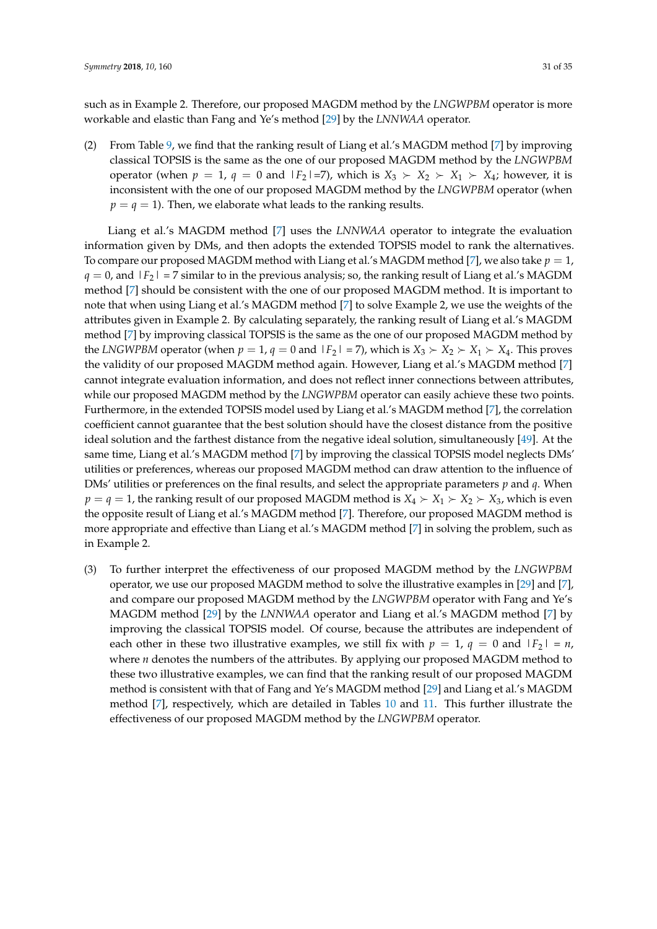such as in Example 2. Therefore, our proposed MAGDM method by the *LNGWPBM* operator is more workable and elastic than Fang and Ye's method [\[29\]](#page-33-14) by the *LNNWAA* operator.

(2) From Table [9,](#page-29-0) we find that the ranking result of Liang et al.'s MAGDM method [\[7\]](#page-33-19) by improving classical TOPSIS is the same as the one of our proposed MAGDM method by the *LNGWPBM* operator (when  $p = 1$ ,  $q = 0$  and  $|F_2| = 7$ ), which is  $X_3 \succ X_2 \succ X_1 \succ X_4$ ; however, it is inconsistent with the one of our proposed MAGDM method by the *LNGWPBM* operator (when  $p = q = 1$ ). Then, we elaborate what leads to the ranking results.

Liang et al.'s MAGDM method [\[7\]](#page-33-19) uses the *LNNWAA* operator to integrate the evaluation information given by DMs, and then adopts the extended TOPSIS model to rank the alternatives. To compare our proposed MAGDM method with Liang et al.'s MAGDM method [\[7\]](#page-33-19), we also take *p* = 1,  $q = 0$ , and  $|F_2| = 7$  similar to in the previous analysis; so, the ranking result of Liang et al.'s MAGDM method [\[7\]](#page-33-19) should be consistent with the one of our proposed MAGDM method. It is important to note that when using Liang et al.'s MAGDM method [\[7\]](#page-33-19) to solve Example 2, we use the weights of the attributes given in Example 2. By calculating separately, the ranking result of Liang et al.'s MAGDM method [\[7\]](#page-33-19) by improving classical TOPSIS is the same as the one of our proposed MAGDM method by the *LNGWPBM* operator (when  $p = 1$ ,  $q = 0$  and  $|F_2| = 7$ ), which is  $X_3 \succ X_2 \succ X_1 \succ X_4$ . This proves the validity of our proposed MAGDM method again. However, Liang et al.'s MAGDM method [\[7\]](#page-33-19) cannot integrate evaluation information, and does not reflect inner connections between attributes, while our proposed MAGDM method by the *LNGWPBM* operator can easily achieve these two points. Furthermore, in the extended TOPSIS model used by Liang et al.'s MAGDM method [\[7\]](#page-33-19), the correlation coefficient cannot guarantee that the best solution should have the closest distance from the positive ideal solution and the farthest distance from the negative ideal solution, simultaneously [\[49\]](#page-34-9). At the same time, Liang et al.'s MAGDM method [\[7\]](#page-33-19) by improving the classical TOPSIS model neglects DMs' utilities or preferences, whereas our proposed MAGDM method can draw attention to the influence of DMs' utilities or preferences on the final results, and select the appropriate parameters *p* and *q*. When  $p = q = 1$ , the ranking result of our proposed MAGDM method is  $X_4 \succ X_1 \succ X_2 \succ X_3$ , which is even the opposite result of Liang et al.'s MAGDM method [\[7\]](#page-33-19). Therefore, our proposed MAGDM method is more appropriate and effective than Liang et al.'s MAGDM method [\[7\]](#page-33-19) in solving the problem, such as in Example 2.

(3) To further interpret the effectiveness of our proposed MAGDM method by the *LNGWPBM* operator, we use our proposed MAGDM method to solve the illustrative examples in [\[29\]](#page-33-14) and [\[7\]](#page-33-19), and compare our proposed MAGDM method by the *LNGWPBM* operator with Fang and Ye's MAGDM method [\[29\]](#page-33-14) by the *LNNWAA* operator and Liang et al.'s MAGDM method [\[7\]](#page-33-19) by improving the classical TOPSIS model. Of course, because the attributes are independent of each other in these two illustrative examples, we still fix with  $p = 1$ ,  $q = 0$  and  $|F_2| = n$ , where *n* denotes the numbers of the attributes. By applying our proposed MAGDM method to these two illustrative examples, we can find that the ranking result of our proposed MAGDM method is consistent with that of Fang and Ye's MAGDM method [\[29\]](#page-33-14) and Liang et al.'s MAGDM method [\[7\]](#page-33-19), respectively, which are detailed in Tables [10](#page-31-0) and [11.](#page-31-1) This further illustrate the effectiveness of our proposed MAGDM method by the *LNGWPBM* operator.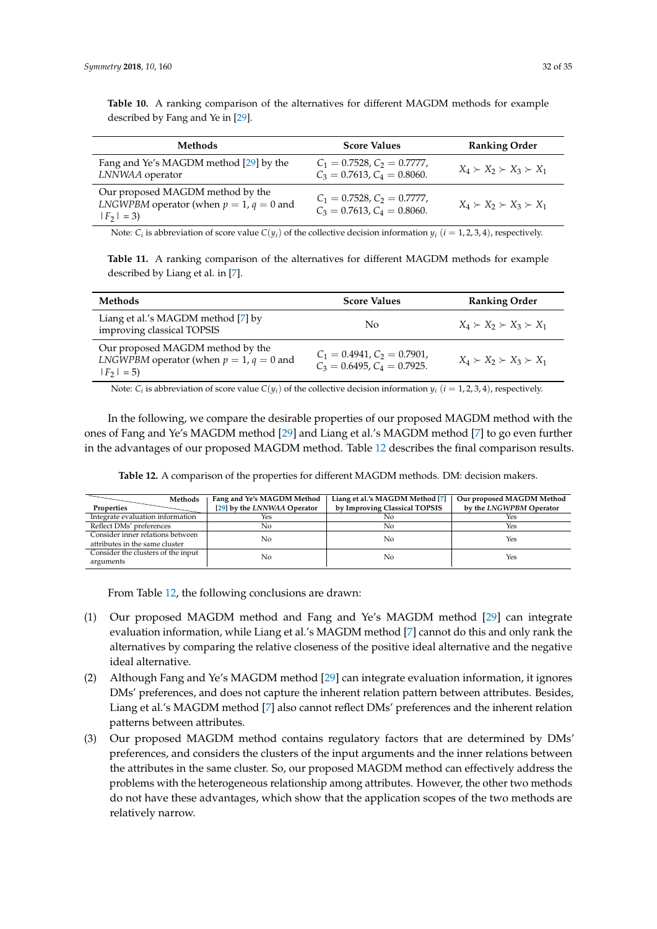<span id="page-31-0"></span>

| <b>Methods</b>                                                                                  | <b>Score Values</b>                                                    | <b>Ranking Order</b>                |
|-------------------------------------------------------------------------------------------------|------------------------------------------------------------------------|-------------------------------------|
| Fang and Ye's MAGDM method [29] by the<br>LNNWAA operator                                       | $C_1 = 0.7528$ , $C_2 = 0.7777$ ,<br>$C_3 = 0.7613$ , $C_4 = 0.8060$ . | $X_4 \succ X_2 \succ X_3 \succ X_1$ |
| Our proposed MAGDM method by the<br>LNGWPBM operator (when $p = 1$ , $q = 0$ and<br>$ F_2  = 3$ | $C_1 = 0.7528$ , $C_2 = 0.7777$ ,<br>$C_3 = 0.7613$ , $C_4 = 0.8060$ . | $X_4 \succ X_2 \succ X_3 \succ X_1$ |

Note:  $C_i$  is abbreviation of score value  $C(y_i)$  of the collective decision information  $y_i$   $(i = 1, 2, 3, 4)$ , respectively.

<span id="page-31-1"></span>**Table 11.** A ranking comparison of the alternatives for different MAGDM methods for example described by Liang et al. in [\[7\]](#page-33-19).

| <b>Methods</b>                                                                                         | <b>Score Values</b>                                            | <b>Ranking Order</b>                |
|--------------------------------------------------------------------------------------------------------|----------------------------------------------------------------|-------------------------------------|
| Liang et al.'s MAGDM method [7] by<br>improving classical TOPSIS                                       | No                                                             | $X_4 \succ X_2 \succ X_3 \succ X_1$ |
| Our proposed MAGDM method by the<br><i>LNGWPBM</i> operator (when $p = 1$ , $q = 0$ and<br>$ F_2  = 5$ | $C_1 = 0.4941, C_2 = 0.7901,$<br>$C_3 = 0.6495, C_4 = 0.7925.$ | $X_4 \succ X_2 \succ X_3 \succ X_1$ |

Note:  $C_i$  is abbreviation of score value  $C(y_i)$  of the collective decision information  $y_i$   $(i = 1, 2, 3, 4)$ , respectively.

In the following, we compare the desirable properties of our proposed MAGDM method with the ones of Fang and Ye's MAGDM method [\[29\]](#page-33-14) and Liang et al.'s MAGDM method [\[7\]](#page-33-19) to go even further in the advantages of our proposed MAGDM method. Table [12](#page-31-2) describes the final comparison results.

<span id="page-31-2"></span>

| Methods                            | Fang and Ye's MAGDM Method  | Liang et al.'s MAGDM Method [7] | Our proposed MAGDM Method |
|------------------------------------|-----------------------------|---------------------------------|---------------------------|
| Properties                         | [29] by the LNNWAA Operator | by Improving Classical TOPSIS   | by the LNGWPBM Operator   |
| Integrate evaluation information   | Yes                         | No                              | Yes                       |
| Reflect DMs' preferences           | No                          | No                              | Yes                       |
| Consider inner relations between   | No                          | No                              | Yes                       |
| attributes in the same cluster     |                             |                                 |                           |
| Consider the clusters of the input | No                          | No                              | Yes                       |
| arguments                          |                             |                                 |                           |

**Table 12.** A comparison of the properties for different MAGDM methods. DM: decision makers.

From Table [12,](#page-31-2) the following conclusions are drawn:

- (1) Our proposed MAGDM method and Fang and Ye's MAGDM method [\[29\]](#page-33-14) can integrate evaluation information, while Liang et al.'s MAGDM method [\[7\]](#page-33-19) cannot do this and only rank the alternatives by comparing the relative closeness of the positive ideal alternative and the negative ideal alternative.
- (2) Although Fang and Ye's MAGDM method [\[29\]](#page-33-14) can integrate evaluation information, it ignores DMs' preferences, and does not capture the inherent relation pattern between attributes. Besides, Liang et al.'s MAGDM method [\[7\]](#page-33-19) also cannot reflect DMs' preferences and the inherent relation patterns between attributes.
- (3) Our proposed MAGDM method contains regulatory factors that are determined by DMs' preferences, and considers the clusters of the input arguments and the inner relations between the attributes in the same cluster. So, our proposed MAGDM method can effectively address the problems with the heterogeneous relationship among attributes. However, the other two methods do not have these advantages, which show that the application scopes of the two methods are relatively narrow.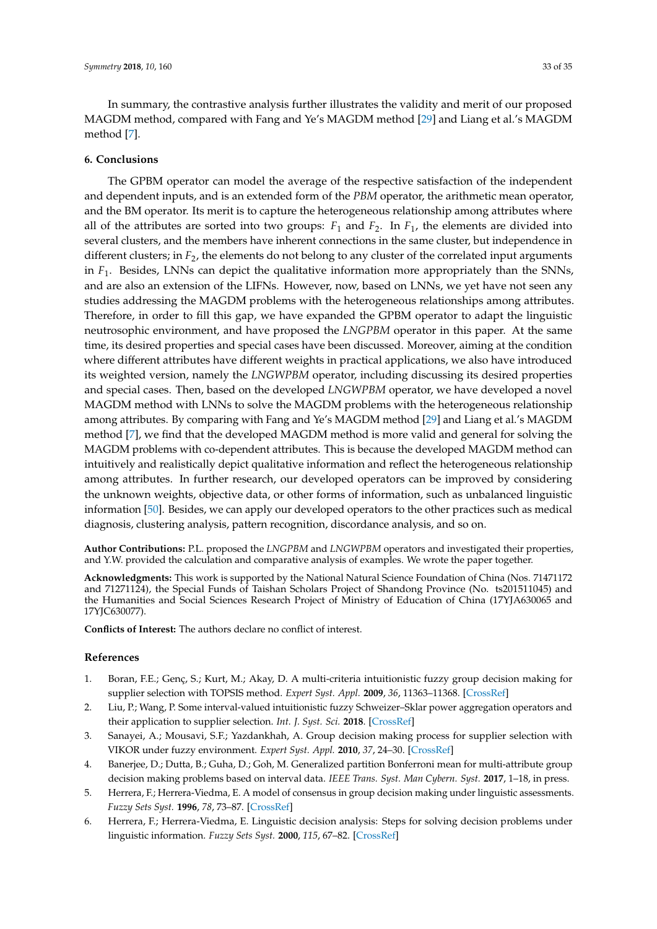In summary, the contrastive analysis further illustrates the validity and merit of our proposed MAGDM method, compared with Fang and Ye's MAGDM method [\[29\]](#page-33-14) and Liang et al.'s MAGDM method [\[7\]](#page-33-19).

#### <span id="page-32-6"></span>**6. Conclusions**

The GPBM operator can model the average of the respective satisfaction of the independent and dependent inputs, and is an extended form of the *PBM* operator, the arithmetic mean operator, and the BM operator. Its merit is to capture the heterogeneous relationship among attributes where all of the attributes are sorted into two groups:  $F_1$  and  $F_2$ . In  $F_1$ , the elements are divided into several clusters, and the members have inherent connections in the same cluster, but independence in different clusters; in *F*2, the elements do not belong to any cluster of the correlated input arguments in *F*1. Besides, LNNs can depict the qualitative information more appropriately than the SNNs, and are also an extension of the LIFNs. However, now, based on LNNs, we yet have not seen any studies addressing the MAGDM problems with the heterogeneous relationships among attributes. Therefore, in order to fill this gap, we have expanded the GPBM operator to adapt the linguistic neutrosophic environment, and have proposed the *LNGPBM* operator in this paper. At the same time, its desired properties and special cases have been discussed. Moreover, aiming at the condition where different attributes have different weights in practical applications, we also have introduced its weighted version, namely the *LNGWPBM* operator, including discussing its desired properties and special cases. Then, based on the developed *LNGWPBM* operator, we have developed a novel MAGDM method with LNNs to solve the MAGDM problems with the heterogeneous relationship among attributes. By comparing with Fang and Ye's MAGDM method [\[29\]](#page-33-14) and Liang et al.'s MAGDM method [\[7\]](#page-33-19), we find that the developed MAGDM method is more valid and general for solving the MAGDM problems with co-dependent attributes. This is because the developed MAGDM method can intuitively and realistically depict qualitative information and reflect the heterogeneous relationship among attributes. In further research, our developed operators can be improved by considering the unknown weights, objective data, or other forms of information, such as unbalanced linguistic information [\[50\]](#page-34-10). Besides, we can apply our developed operators to the other practices such as medical diagnosis, clustering analysis, pattern recognition, discordance analysis, and so on.

**Author Contributions:** P.L. proposed the *LNGPBM* and *LNGWPBM* operators and investigated their properties, and Y.W. provided the calculation and comparative analysis of examples. We wrote the paper together.

**Acknowledgments:** This work is supported by the National Natural Science Foundation of China (Nos. 71471172 and 71271124), the Special Funds of Taishan Scholars Project of Shandong Province (No. ts201511045) and the Humanities and Social Sciences Research Project of Ministry of Education of China (17YJA630065 and 17YJC630077).

**Conflicts of Interest:** The authors declare no conflict of interest.

#### **References**

- <span id="page-32-0"></span>1. Boran, F.E.; Genç, S.; Kurt, M.; Akay, D. A multi-criteria intuitionistic fuzzy group decision making for supplier selection with TOPSIS method. *Expert Syst. Appl.* **2009**, *36*, 11363–11368. [\[CrossRef\]](http://dx.doi.org/10.1016/j.eswa.2009.03.039)
- <span id="page-32-5"></span>2. Liu, P.; Wang, P. Some interval-valued intuitionistic fuzzy Schweizer–Sklar power aggregation operators and their application to supplier selection. *Int. J. Syst. Sci.* **2018**. [\[CrossRef\]](http://dx.doi.org/10.1080/00207721.2018.1442510)
- <span id="page-32-1"></span>3. Sanayei, A.; Mousavi, S.F.; Yazdankhah, A. Group decision making process for supplier selection with VIKOR under fuzzy environment. *Expert Syst. Appl.* **2010**, *37*, 24–30. [\[CrossRef\]](http://dx.doi.org/10.1016/j.eswa.2009.04.063)
- <span id="page-32-2"></span>4. Banerjee, D.; Dutta, B.; Guha, D.; Goh, M. Generalized partition Bonferroni mean for multi-attribute group decision making problems based on interval data. *IEEE Trans. Syst. Man Cybern. Syst.* **2017**, 1–18, in press.
- <span id="page-32-3"></span>5. Herrera, F.; Herrera-Viedma, E. A model of consensus in group decision making under linguistic assessments. *Fuzzy Sets Syst.* **1996**, *78*, 73–87. [\[CrossRef\]](http://dx.doi.org/10.1016/0165-0114(95)00107-7)
- <span id="page-32-4"></span>6. Herrera, F.; Herrera-Viedma, E. Linguistic decision analysis: Steps for solving decision problems under linguistic information. *Fuzzy Sets Syst.* **2000**, *115*, 67–82. [\[CrossRef\]](http://dx.doi.org/10.1016/S0165-0114(99)00024-X)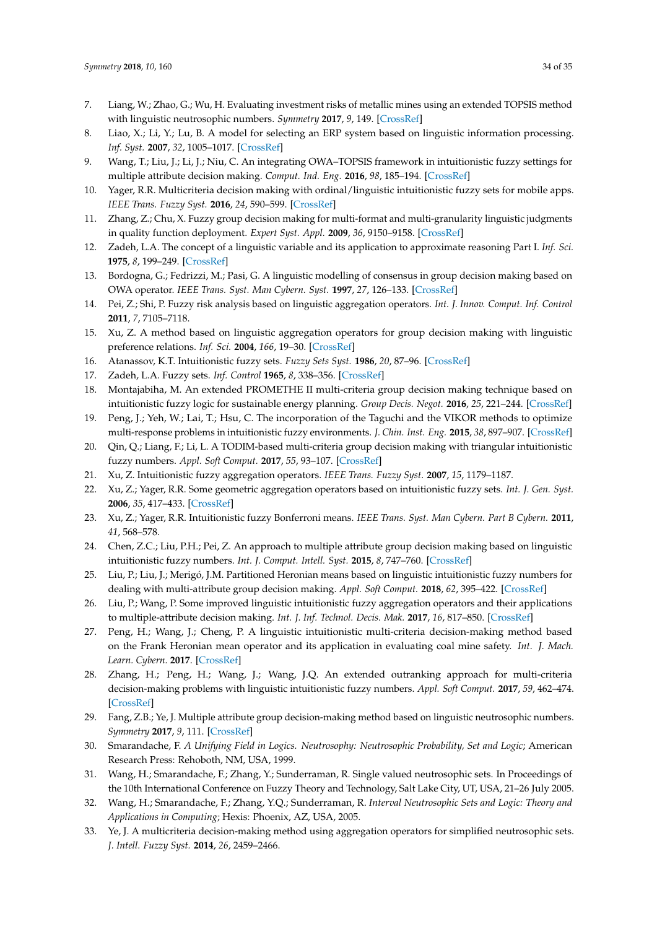- <span id="page-33-19"></span>7. Liang, W.; Zhao, G.; Wu, H. Evaluating investment risks of metallic mines using an extended TOPSIS method with linguistic neutrosophic numbers. *Symmetry* **2017**, *9*, 149. [\[CrossRef\]](http://dx.doi.org/10.3390/sym9080149)
- <span id="page-33-2"></span>8. Liao, X.; Li, Y.; Lu, B. A model for selecting an ERP system based on linguistic information processing. *Inf. Syst.* **2007**, *32*, 1005–1017. [\[CrossRef\]](http://dx.doi.org/10.1016/j.is.2006.10.005)
- <span id="page-33-7"></span>9. Wang, T.; Liu, J.; Li, J.; Niu, C. An integrating OWA–TOPSIS framework in intuitionistic fuzzy settings for multiple attribute decision making. *Comput. Ind. Eng.* **2016**, *98*, 185–194. [\[CrossRef\]](http://dx.doi.org/10.1016/j.cie.2016.05.029)
- <span id="page-33-8"></span>10. Yager, R.R. Multicriteria decision making with ordinal/linguistic intuitionistic fuzzy sets for mobile apps. *IEEE Trans. Fuzzy Syst.* **2016**, *24*, 590–599. [\[CrossRef\]](http://dx.doi.org/10.1109/TFUZZ.2015.2463740)
- <span id="page-33-0"></span>11. Zhang, Z.; Chu, X. Fuzzy group decision making for multi-format and multi-granularity linguistic judgments in quality function deployment. *Expert Syst. Appl.* **2009**, *36*, 9150–9158. [\[CrossRef\]](http://dx.doi.org/10.1016/j.eswa.2008.12.027)
- <span id="page-33-1"></span>12. Zadeh, L.A. The concept of a linguistic variable and its application to approximate reasoning Part I. *Inf. Sci.* **1975**, *8*, 199–249. [\[CrossRef\]](http://dx.doi.org/10.1016/0020-0255(75)90036-5)
- <span id="page-33-3"></span>13. Bordogna, G.; Fedrizzi, M.; Pasi, G. A linguistic modelling of consensus in group decision making based on OWA operator. *IEEE Trans. Syst. Man Cybern. Syst.* **1997**, *27*, 126–133. [\[CrossRef\]](http://dx.doi.org/10.1109/3468.553232)
- 14. Pei, Z.; Shi, P. Fuzzy risk analysis based on linguistic aggregation operators. *Int. J. Innov. Comput. Inf. Control* **2011**, *7*, 7105–7118.
- <span id="page-33-4"></span>15. Xu, Z. A method based on linguistic aggregation operators for group decision making with linguistic preference relations. *Inf. Sci.* **2004**, *166*, 19–30. [\[CrossRef\]](http://dx.doi.org/10.1016/j.ins.2003.10.006)
- <span id="page-33-6"></span><span id="page-33-5"></span>16. Atanassov, K.T. Intuitionistic fuzzy sets. *Fuzzy Sets Syst.* **1986**, *20*, 87–96. [\[CrossRef\]](http://dx.doi.org/10.1016/S0165-0114(86)80034-3)
- <span id="page-33-9"></span>17. Zadeh, L.A. Fuzzy sets. *Inf. Control* **1965**, *8*, 338–356. [\[CrossRef\]](http://dx.doi.org/10.1016/S0019-9958(65)90241-X)
- 18. Montajabiha, M. An extended PROMETHE II multi-criteria group decision making technique based on intuitionistic fuzzy logic for sustainable energy planning. *Group Decis. Negot.* **2016**, *25*, 221–244. [\[CrossRef\]](http://dx.doi.org/10.1007/s10726-015-9440-z)
- <span id="page-33-20"></span>19. Peng, J.; Yeh, W.; Lai, T.; Hsu, C. The incorporation of the Taguchi and the VIKOR methods to optimize multi-response problems in intuitionistic fuzzy environments. *J. Chin. Inst. Eng.* **2015**, *38*, 897–907. [\[CrossRef\]](http://dx.doi.org/10.1080/02533839.2015.1037994)
- <span id="page-33-21"></span>20. Qin, Q.; Liang, F.; Li, L. A TODIM-based multi-criteria group decision making with triangular intuitionistic fuzzy numbers. *Appl. Soft Comput.* **2017**, *55*, 93–107. [\[CrossRef\]](http://dx.doi.org/10.1016/j.asoc.2017.01.041)
- 21. Xu, Z. Intuitionistic fuzzy aggregation operators. *IEEE Trans. Fuzzy Syst.* **2007**, *15*, 1179–1187.
- 22. Xu, Z.; Yager, R.R. Some geometric aggregation operators based on intuitionistic fuzzy sets. *Int. J. Gen. Syst.* **2006**, *35*, 417–433. [\[CrossRef\]](http://dx.doi.org/10.1080/03081070600574353)
- <span id="page-33-10"></span>23. Xu, Z.; Yager, R.R. Intuitionistic fuzzy Bonferroni means. *IEEE Trans. Syst. Man Cybern. Part B Cybern.* **2011**, *41*, 568–578.
- <span id="page-33-11"></span>24. Chen, Z.C.; Liu, P.H.; Pei, Z. An approach to multiple attribute group decision making based on linguistic intuitionistic fuzzy numbers. *Int. J. Comput. Intell. Syst.* **2015**, *8*, 747–760. [\[CrossRef\]](http://dx.doi.org/10.1080/18756891.2015.1061394)
- <span id="page-33-12"></span>25. Liu, P.; Liu, J.; Merigó, J.M. Partitioned Heronian means based on linguistic intuitionistic fuzzy numbers for dealing with multi-attribute group decision making. *Appl. Soft Comput.* **2018**, *62*, 395–422. [\[CrossRef\]](http://dx.doi.org/10.1016/j.asoc.2017.10.017)
- 26. Liu, P.; Wang, P. Some improved linguistic intuitionistic fuzzy aggregation operators and their applications to multiple-attribute decision making. *Int. J. Inf. Technol. Decis. Mak.* **2017**, *16*, 817–850. [\[CrossRef\]](http://dx.doi.org/10.1142/S0219622017500110)
- 27. Peng, H.; Wang, J.; Cheng, P. A linguistic intuitionistic multi-criteria decision-making method based on the Frank Heronian mean operator and its application in evaluating coal mine safety. *Int. J. Mach. Learn. Cybern.* **2017**. [\[CrossRef\]](http://dx.doi.org/10.1007/s13042-016-0630-z)
- <span id="page-33-13"></span>28. Zhang, H.; Peng, H.; Wang, J.; Wang, J.Q. An extended outranking approach for multi-criteria decision-making problems with linguistic intuitionistic fuzzy numbers. *Appl. Soft Comput.* **2017**, *59*, 462–474. [\[CrossRef\]](http://dx.doi.org/10.1016/j.asoc.2017.06.013)
- <span id="page-33-14"></span>29. Fang, Z.B.; Ye, J. Multiple attribute group decision-making method based on linguistic neutrosophic numbers. *Symmetry* **2017**, *9*, 111. [\[CrossRef\]](http://dx.doi.org/10.3390/sym9070111)
- <span id="page-33-15"></span>30. Smarandache, F. *A Unifying Field in Logics. Neutrosophy: Neutrosophic Probability, Set and Logic*; American Research Press: Rehoboth, NM, USA, 1999.
- <span id="page-33-16"></span>31. Wang, H.; Smarandache, F.; Zhang, Y.; Sunderraman, R. Single valued neutrosophic sets. In Proceedings of the 10th International Conference on Fuzzy Theory and Technology, Salt Lake City, UT, USA, 21–26 July 2005.
- <span id="page-33-17"></span>32. Wang, H.; Smarandache, F.; Zhang, Y.Q.; Sunderraman, R. *Interval Neutrosophic Sets and Logic: Theory and Applications in Computing*; Hexis: Phoenix, AZ, USA, 2005.
- <span id="page-33-18"></span>33. Ye, J. A multicriteria decision-making method using aggregation operators for simplified neutrosophic sets. *J. Intell. Fuzzy Syst.* **2014**, *26*, 2459–2466.